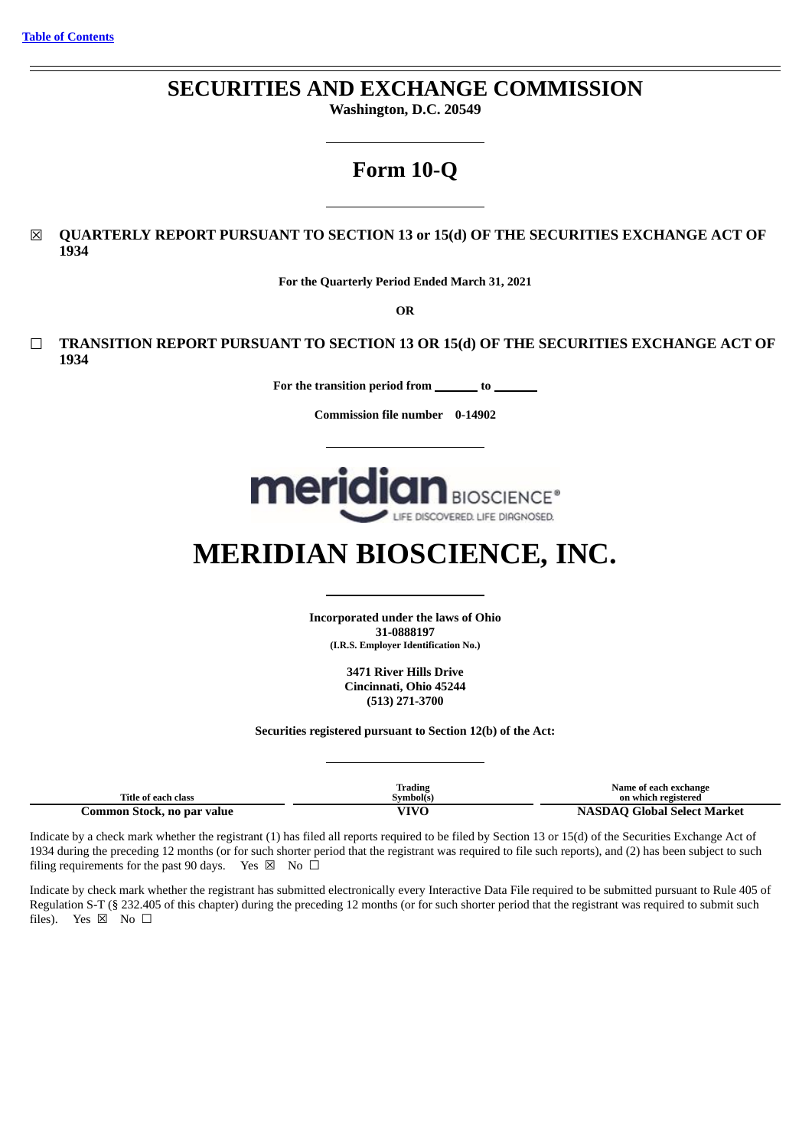# **SECURITIES AND EXCHANGE COMMISSION**

**Washington, D.C. 20549**

# **Form 10-Q**

☒ **QUARTERLY REPORT PURSUANT TO SECTION 13 or 15(d) OF THE SECURITIES EXCHANGE ACT OF 1934**

**For the Quarterly Period Ended March 31, 2021**

**OR**

☐ **TRANSITION REPORT PURSUANT TO SECTION 13 OR 15(d) OF THE SECURITIES EXCHANGE ACT OF 1934**

**For the transition period from to**

**Commission file number 0-14902**



# **MERIDIAN BIOSCIENCE, INC.**

**Incorporated under the laws of Ohio 31-0888197 (I.R.S. Employer Identification No.)**

> **3471 River Hills Drive Cincinnati, Ohio 45244 (513) 271-3700**

**Securities registered pursuant to Section 12(b) of the Act:**

|                            | Trading   | Name of each exchange              |
|----------------------------|-----------|------------------------------------|
| Title of each class        | Symbol(s) | on which registered                |
| Common Stock, no par value | VIVO      | <b>NASDAO Global Select Market</b> |

Indicate by a check mark whether the registrant (1) has filed all reports required to be filed by Section 13 or 15(d) of the Securities Exchange Act of 1934 during the preceding 12 months (or for such shorter period that the registrant was required to file such reports), and (2) has been subject to such filing requirements for the past 90 days. Yes  $\boxtimes$  No  $\Box$ 

Indicate by check mark whether the registrant has submitted electronically every Interactive Data File required to be submitted pursuant to Rule 405 of Regulation S-T (§ 232.405 of this chapter) during the preceding 12 months (or for such shorter period that the registrant was required to submit such files). Yes ⊠ No □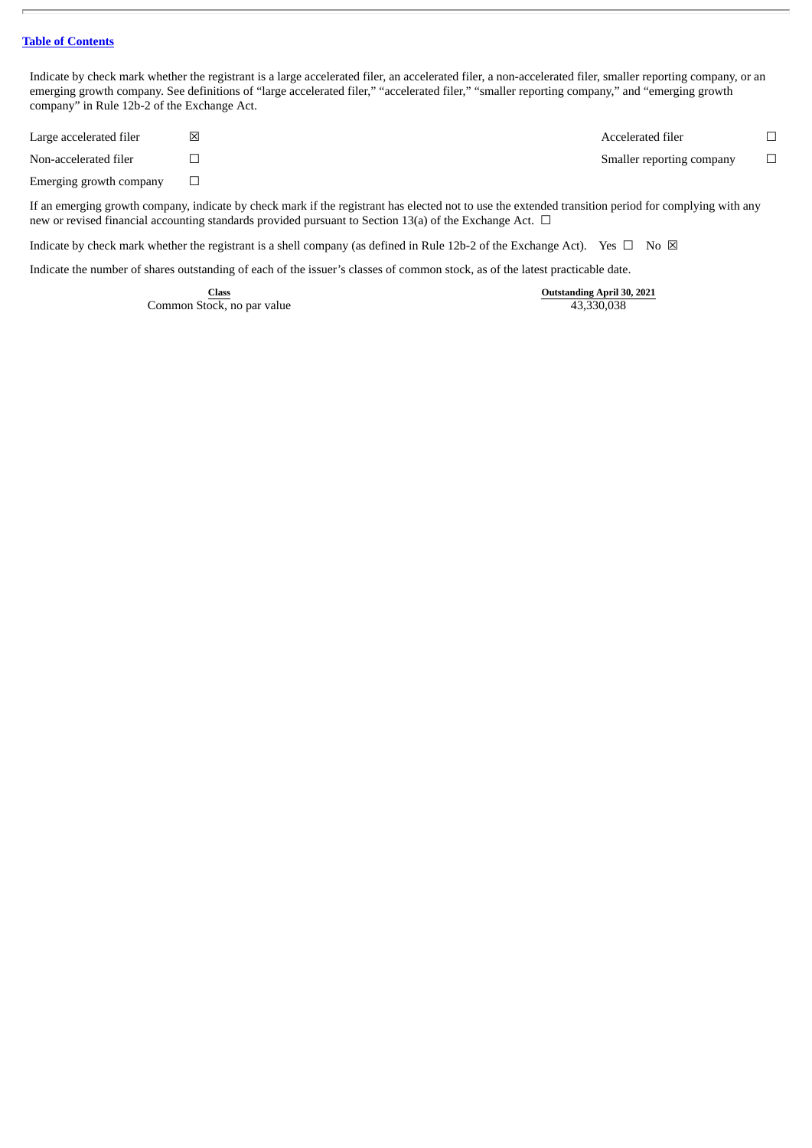Indicate by check mark whether the registrant is a large accelerated filer, an accelerated filer, a non-accelerated filer, smaller reporting company, or an emerging growth company. See definitions of "large accelerated filer," "accelerated filer," "smaller reporting company," and "emerging growth company" in Rule 12b-2 of the Exchange Act.

| Large accelerated filer | ⊠ | Accelerated filer         |  |
|-------------------------|---|---------------------------|--|
| Non-accelerated filer   |   | Smaller reporting company |  |
| Emerging growth company |   |                           |  |

If an emerging growth company, indicate by check mark if the registrant has elected not to use the extended transition period for complying with any new or revised financial accounting standards provided pursuant to Section 13(a) of the Exchange Act.  $\Box$ 

Indicate by check mark whether the registrant is a shell company (as defined in Rule 12b-2 of the Exchange Act). Yes  $\Box$  No  $\boxtimes$ 

Indicate the number of shares outstanding of each of the issuer's classes of common stock, as of the latest practicable date.

Common Stock, no par value

**Class**<br> **Outstanding April 30, 2021**<br> **Outstanding April 30, 2021**<br> **Outstanding April 30, 2021**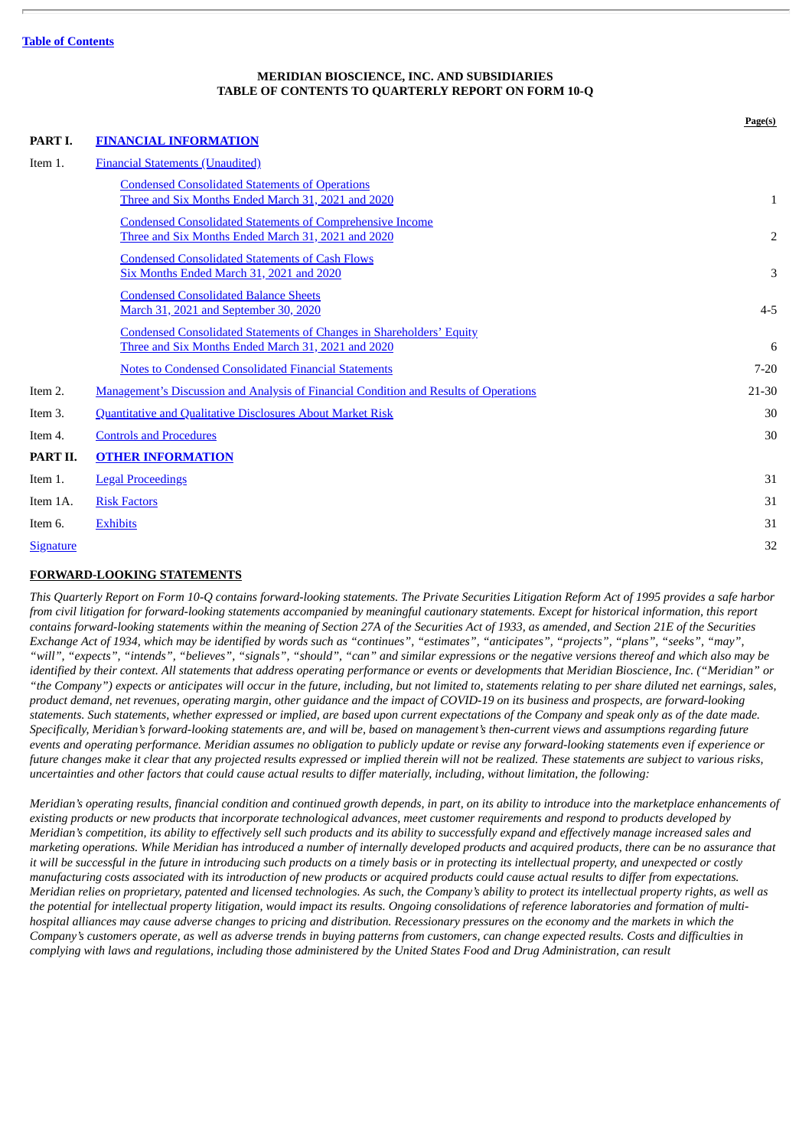#### **MERIDIAN BIOSCIENCE, INC. AND SUBSIDIARIES TABLE OF CONTENTS TO QUARTERLY REPORT ON FORM 10-Q**

<span id="page-2-0"></span>

| PART I.          | <b>FINANCIAL INFORMATION</b>                                                                                                      | Page(s)        |
|------------------|-----------------------------------------------------------------------------------------------------------------------------------|----------------|
| Item 1.          | <b>Financial Statements (Unaudited)</b>                                                                                           |                |
|                  | <b>Condensed Consolidated Statements of Operations</b><br>Three and Six Months Ended March 31, 2021 and 2020                      | $\mathbf{1}$   |
|                  | <b>Condensed Consolidated Statements of Comprehensive Income</b><br>Three and Six Months Ended March 31, 2021 and 2020            | $\overline{2}$ |
|                  | <b>Condensed Consolidated Statements of Cash Flows</b><br>Six Months Ended March 31, 2021 and 2020                                | 3              |
|                  | <b>Condensed Consolidated Balance Sheets</b><br>March 31, 2021 and September 30, 2020                                             | $4 - 5$        |
|                  | <b>Condensed Consolidated Statements of Changes in Shareholders' Equity</b><br>Three and Six Months Ended March 31, 2021 and 2020 | 6              |
|                  | <b>Notes to Condensed Consolidated Financial Statements</b>                                                                       | $7 - 20$       |
| Item 2.          | <b>Management's Discussion and Analysis of Financial Condition and Results of Operations</b>                                      | 21-30          |
| Item 3.          | <b>Quantitative and Qualitative Disclosures About Market Risk</b>                                                                 | 30             |
| Item 4.          | <b>Controls and Procedures</b>                                                                                                    | 30             |
| PART II.         | <b>OTHER INFORMATION</b>                                                                                                          |                |
| Item 1.          | <b>Legal Proceedings</b>                                                                                                          | 31             |
| Item 1A.         | <b>Risk Factors</b>                                                                                                               | 31             |
| Item 6.          | <b>Exhibits</b>                                                                                                                   | 31             |
| <b>Signature</b> |                                                                                                                                   | 32             |
|                  |                                                                                                                                   |                |

# **FORWARD-LOOKING STATEMENTS**

This Quarterly Report on Form 10-Q contains forward-looking statements. The Private Securities Litigation Reform Act of 1995 provides a safe harbor from civil litigation for forward-looking statements accompanied by meaningful cautionary statements. Except for historical information, this report contains forward-looking statements within the meaning of Section 27A of the Securities Act of 1933, as amended, and Section 21E of the Securities Exchange Act of 1934, which may be identified by words such as "continues", "estimates", "anticipates", "projects", "plans", "seeks", "may", "will", "expects", "intends", "believes", "signals", "should", "can" and similar expressions or the negative versions thereof and which also may be identified by their context. All statements that address operating performance or events or developments that Meridian Bioscience, Inc. ("Meridian" or "the Company") expects or anticipates will occur in the future, including, but not limited to, statements relating to per share diluted net earnings, sales, product demand, net revenues, operating margin, other quidance and the impact of COVID-19 on its business and prospects, are forward-looking statements. Such statements, whether expressed or implied, are based upon current expectations of the Company and speak only as of the date made. Specifically, Meridian's forward-looking statements are, and will be, based on management's then-current views and assumptions regarding future events and operating performance. Meridian assumes no obligation to publicly update or revise any forward-looking statements even if experience or future changes make it clear that any projected results expressed or implied therein will not be realized. These statements are subject to various risks, uncertainties and other factors that could cause actual results to differ materially, including, without limitation, the following:

Meridian's operating results, financial condition and continued growth depends, in part, on its ability to introduce into the marketplace enhancements of existing products or new products that incorporate technological advances, meet customer requirements and respond to products developed by Meridian's competition, its ability to effectively sell such products and its ability to successfully expand and effectively manage increased sales and marketing operations. While Meridian has introduced a number of internally developed products and acquired products, there can be no assurance that it will be successful in the future in introducing such products on a timely basis or in protecting its intellectual property, and unexpected or costly manufacturing costs associated with its introduction of new products or acquired products could cause actual results to differ from expectations. Meridian relies on proprietary, patented and licensed technologies. As such, the Company's ability to protect its intellectual property rights, as well as the potential for intellectual property litigation, would impact its results. Ongoing consolidations of reference laboratories and formation of multihospital alliances may cause adverse changes to pricing and distribution. Recessionary pressures on the economy and the markets in which the Company's customers operate, as well as adverse trends in buying patterns from customers, can change expected results. Costs and difficulties in complying with laws and regulations, including those administered by the United States Food and Drug Administration, can result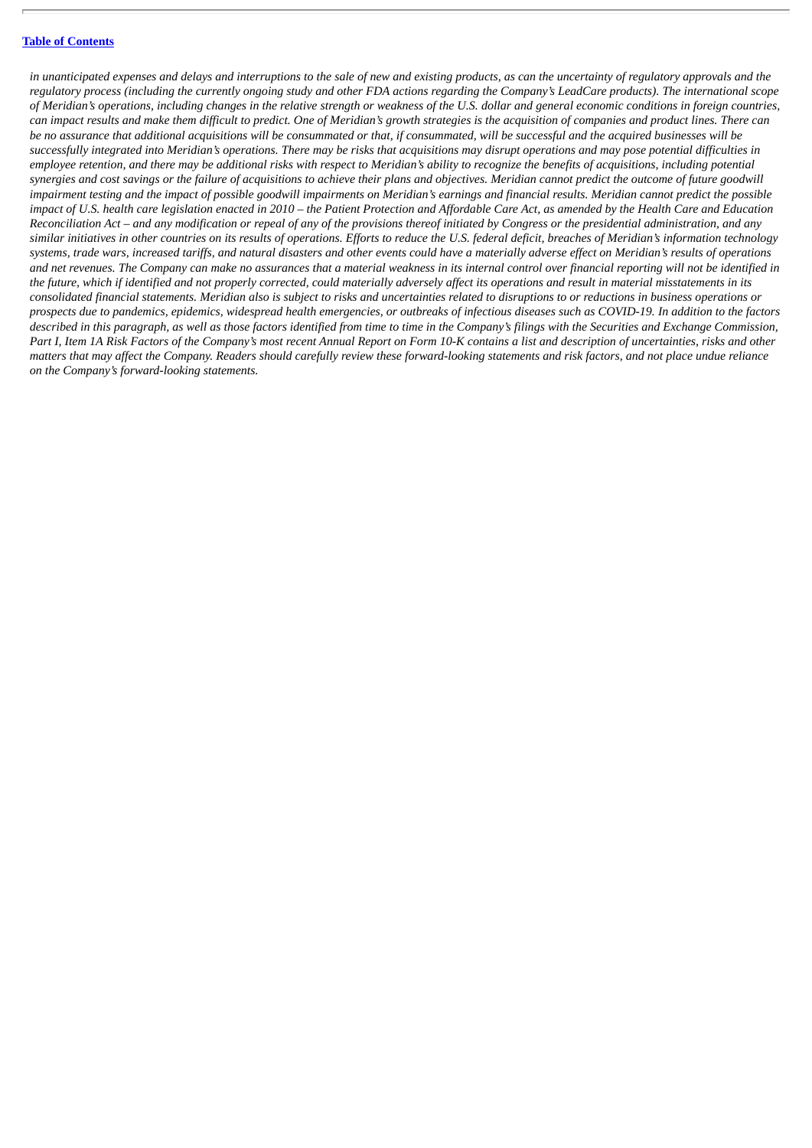in unanticipated expenses and delays and interruptions to the sale of new and existing products, as can the uncertainty of regulatory approvals and the regulatory process (including the currently ongoing study and other FDA actions regarding the Company's LeadCare products). The international scope of Meridian's operations, including changes in the relative strength or weakness of the U.S. dollar and general economic conditions in foreign countries, can impact results and make them difficult to predict. One of Meridian's growth strategies is the acquisition of companies and product lines. There can be no assurance that additional acquisitions will be consummated or that, if consummated, will be successful and the acquired businesses will be successfully integrated into Meridian's operations. There may be risks that acquisitions may disrupt operations and may pose potential difficulties in employee retention, and there may be additional risks with respect to Meridian's ability to recognize the benefits of acquisitions, including potential synergies and cost savings or the failure of acquisitions to achieve their plans and objectives. Meridian cannot predict the outcome of future goodwill impairment testing and the impact of possible goodwill impairments on Meridian's earnings and financial results. Meridian cannot predict the possible impact of U.S. health care legislation enacted in 2010 – the Patient Protection and Affordable Care Act, as amended by the Health Care and Education Reconciliation Act - and any modification or repeal of any of the provisions thereof initiated by Congress or the presidential administration, and any similar initiatives in other countries on its results of operations. Efforts to reduce the U.S. federal deficit, breaches of Meridian's information technology systems, trade wars, increased tariffs, and natural disasters and other events could have a materially adverse effect on Meridian's results of operations and net revenues. The Company can make no assurances that a material weakness in its internal control over financial reporting will not be identified in the future, which if identified and not properly corrected, could materially adversely affect its operations and result in material misstatements in its consolidated financial statements. Meridian also is subject to risks and uncertainties related to disruptions to or reductions in business operations or prospects due to pandemics, epidemics, widespread health emergencies, or outbreaks of infectious diseases such as COVID-19. In addition to the factors described in this paragraph, as well as those factors identified from time to time in the Company's filings with the Securities and Exchange Commission, Part I, Item 1A Risk Factors of the Company's most recent Annual Report on Form 10-K contains a list and description of uncertainties, risks and other matters that may affect the Company. Readers should carefully review these forward-lookina statements and risk factors, and not place undue reliance *on the Company's forward-looking statements.*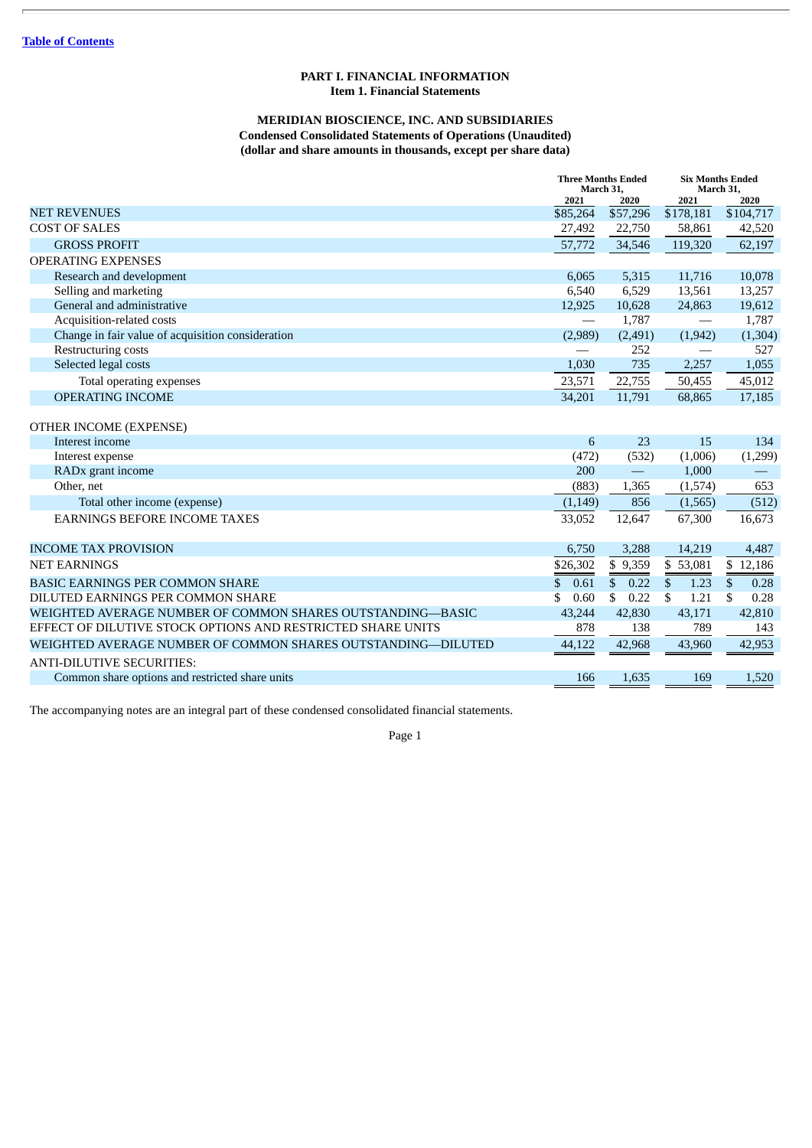#### **PART I. FINANCIAL INFORMATION Item 1. Financial Statements**

# **MERIDIAN BIOSCIENCE, INC. AND SUBSIDIARIES Condensed Consolidated Statements of Operations (Unaudited) (dollar and share amounts in thousands, except per share data)**

<span id="page-4-2"></span><span id="page-4-1"></span><span id="page-4-0"></span>

|                                                              | <b>Three Months Ended</b><br>March 31, |                      | <b>Six Months Ended</b><br>March 31, |                      |
|--------------------------------------------------------------|----------------------------------------|----------------------|--------------------------------------|----------------------|
|                                                              | 2021                                   | 2020                 | 2021                                 | 2020                 |
| <b>NET REVENUES</b>                                          | \$85,264                               | \$57,296             | \$178,181                            | \$104,717            |
| <b>COST OF SALES</b>                                         | 27,492                                 | 22,750               | 58,861                               | 42,520               |
| <b>GROSS PROFIT</b>                                          | 57,772                                 | 34,546               | 119,320                              | 62,197               |
| <b>OPERATING EXPENSES</b>                                    |                                        |                      |                                      |                      |
| Research and development                                     | 6,065                                  | 5,315                | 11,716                               | 10,078               |
| Selling and marketing                                        | 6,540                                  | 6,529                | 13,561                               | 13,257               |
| General and administrative                                   | 12,925                                 | 10,628               | 24,863                               | 19,612               |
| Acquisition-related costs                                    |                                        | 1,787                |                                      | 1,787                |
| Change in fair value of acquisition consideration            | (2,989)                                | (2, 491)             | (1, 942)                             | (1, 304)             |
| Restructuring costs                                          |                                        | 252                  |                                      | 527                  |
| Selected legal costs                                         | 1,030                                  | 735                  | 2,257                                | 1,055                |
| Total operating expenses                                     | 23,571                                 | 22,755               | 50,455                               | 45,012               |
| <b>OPERATING INCOME</b>                                      | 34,201                                 | 11,791               | 68,865                               | 17,185               |
| OTHER INCOME (EXPENSE)                                       |                                        |                      |                                      |                      |
| Interest income                                              | 6                                      | 23                   | 15                                   | 134                  |
| Interest expense                                             | (472)                                  | (532)                | (1,006)                              | (1,299)              |
| RAD <sub>x</sub> grant income                                | 200                                    |                      | 1,000                                |                      |
| Other, net                                                   | (883)                                  | 1,365                | (1,574)                              | 653                  |
| Total other income (expense)                                 | (1, 149)                               | 856                  | (1,565)                              | (512)                |
| <b>EARNINGS BEFORE INCOME TAXES</b>                          | 33,052                                 | 12,647               | 67,300                               | 16,673               |
| <b>INCOME TAX PROVISION</b>                                  | 6,750                                  | 3,288                | 14,219                               | 4,487                |
| <b>NET EARNINGS</b>                                          | \$26,302                               | \$9,359              | \$53,081                             | \$12,186             |
| <b>BASIC EARNINGS PER COMMON SHARE</b>                       | \$<br>0.61                             | $\mathbb{S}$<br>0.22 | $\mathfrak{S}$<br>1.23               | $\mathbf{s}$<br>0.28 |
| DILUTED EARNINGS PER COMMON SHARE                            | \$<br>0.60                             | 0.22<br>\$           | \$<br>1.21                           | \$<br>0.28           |
| WEIGHTED AVERAGE NUMBER OF COMMON SHARES OUTSTANDING-BASIC   | 43,244                                 | 42,830               | 43,171                               | 42,810               |
| EFFECT OF DILUTIVE STOCK OPTIONS AND RESTRICTED SHARE UNITS  | 878                                    | 138                  | 789                                  | 143                  |
| WEIGHTED AVERAGE NUMBER OF COMMON SHARES OUTSTANDING-DILUTED | 44,122                                 | 42,968               | 43,960                               | 42,953               |
| <b>ANTI-DILUTIVE SECURITIES:</b>                             |                                        |                      |                                      |                      |
| Common share options and restricted share units              | 166                                    | 1,635                | 169                                  | 1,520                |

The accompanying notes are an integral part of these condensed consolidated financial statements.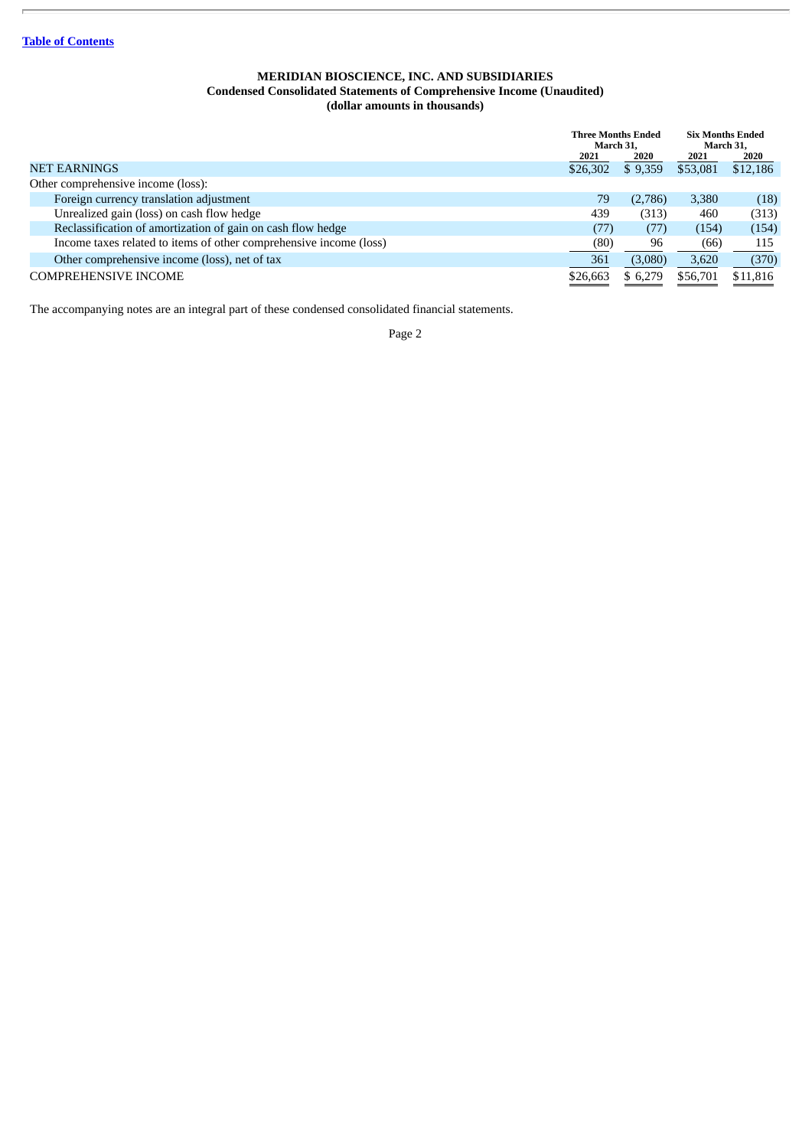#### **MERIDIAN BIOSCIENCE, INC. AND SUBSIDIARIES Condensed Consolidated Statements of Comprehensive Income (Unaudited) (dollar amounts in thousands)**

<span id="page-5-0"></span>

|                                                                    | <b>Three Months Ended</b><br>March 31. |         | <b>Six Months Ended</b><br>March 31, |          |
|--------------------------------------------------------------------|----------------------------------------|---------|--------------------------------------|----------|
|                                                                    | 2021                                   | 2020    | 2021                                 | 2020     |
| NET EARNINGS                                                       | \$26,302                               | \$9,359 | \$53,081                             | \$12,186 |
| Other comprehensive income (loss):                                 |                                        |         |                                      |          |
| Foreign currency translation adjustment                            | 79                                     | (2,786) | 3,380                                | (18)     |
| Unrealized gain (loss) on cash flow hedge                          | 439                                    | (313)   | 460                                  | (313)    |
| Reclassification of amortization of gain on cash flow hedge        | (77)                                   | (77)    | (154)                                | (154)    |
| Income taxes related to items of other comprehensive income (loss) | (80)                                   | 96      | (66)                                 | 115      |
| Other comprehensive income (loss), net of tax                      | 361                                    | (3,080) | 3,620                                | (370)    |
| <b>COMPREHENSIVE INCOME</b>                                        | \$26,663                               | \$6,279 | \$56,701                             | \$11,816 |
|                                                                    |                                        |         |                                      |          |

The accompanying notes are an integral part of these condensed consolidated financial statements.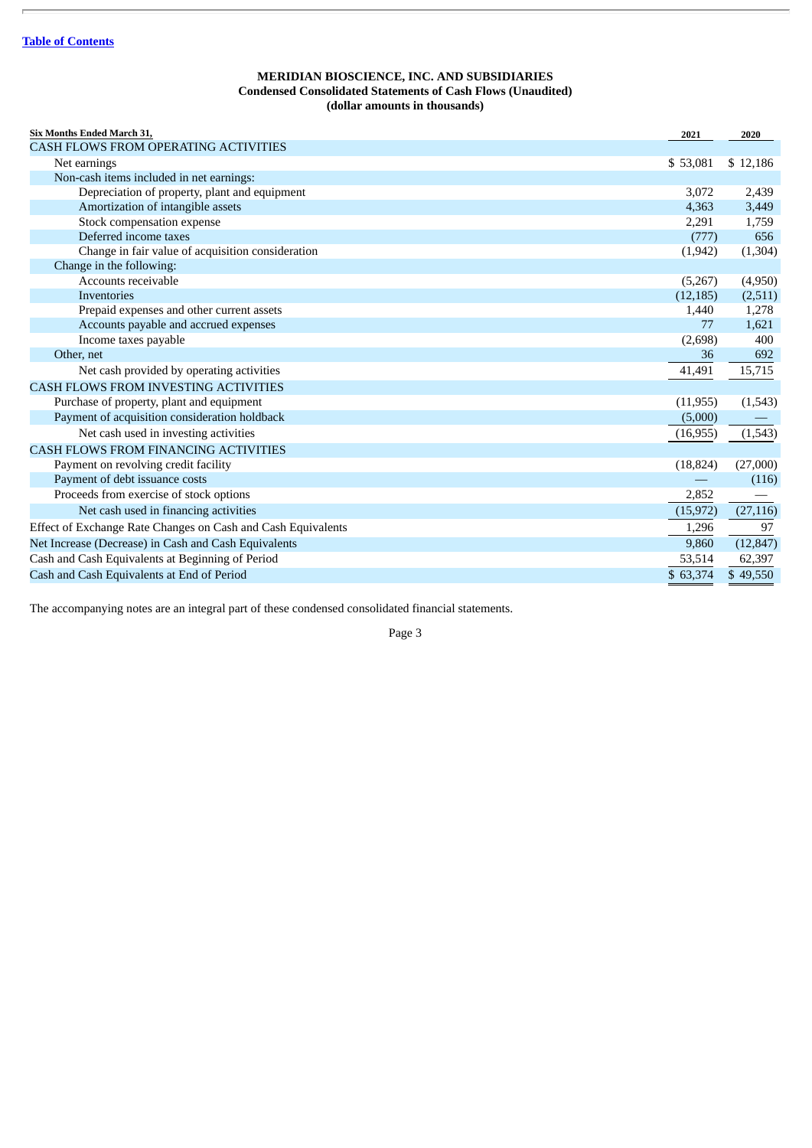#### **MERIDIAN BIOSCIENCE, INC. AND SUBSIDIARIES Condensed Consolidated Statements of Cash Flows (Unaudited) (dollar amounts in thousands)**

<span id="page-6-0"></span>

| Six Months Ended March 31,                                   | 2021      | 2020      |
|--------------------------------------------------------------|-----------|-----------|
| <b>CASH FLOWS FROM OPERATING ACTIVITIES</b>                  |           |           |
| Net earnings                                                 | \$53,081  | \$12,186  |
| Non-cash items included in net earnings:                     |           |           |
| Depreciation of property, plant and equipment                | 3,072     | 2,439     |
| Amortization of intangible assets                            | 4,363     | 3,449     |
| Stock compensation expense                                   | 2,291     | 1,759     |
| Deferred income taxes                                        | (777)     | 656       |
| Change in fair value of acquisition consideration            | (1, 942)  | (1,304)   |
| Change in the following:                                     |           |           |
| Accounts receivable                                          | (5,267)   | (4,950)   |
| Inventories                                                  | (12, 185) | (2,511)   |
| Prepaid expenses and other current assets                    | 1,440     | 1,278     |
| Accounts payable and accrued expenses                        | 77        | 1,621     |
| Income taxes payable                                         | (2,698)   | 400       |
| Other, net                                                   | 36        | 692       |
| Net cash provided by operating activities                    | 41,491    | 15,715    |
| <b>CASH FLOWS FROM INVESTING ACTIVITIES</b>                  |           |           |
| Purchase of property, plant and equipment                    | (11, 955) | (1,543)   |
| Payment of acquisition consideration holdback                | (5,000)   |           |
| Net cash used in investing activities                        | (16, 955) | (1, 543)  |
| CASH FLOWS FROM FINANCING ACTIVITIES                         |           |           |
| Payment on revolving credit facility                         | (18, 824) | (27,000)  |
| Payment of debt issuance costs                               |           | (116)     |
| Proceeds from exercise of stock options                      | 2,852     |           |
| Net cash used in financing activities                        | (15, 972) | (27, 116) |
| Effect of Exchange Rate Changes on Cash and Cash Equivalents | 1,296     | 97        |
| Net Increase (Decrease) in Cash and Cash Equivalents         | 9,860     | (12, 847) |
| Cash and Cash Equivalents at Beginning of Period             | 53,514    | 62,397    |
| Cash and Cash Equivalents at End of Period                   | \$63,374  | \$49,550  |

The accompanying notes are an integral part of these condensed consolidated financial statements.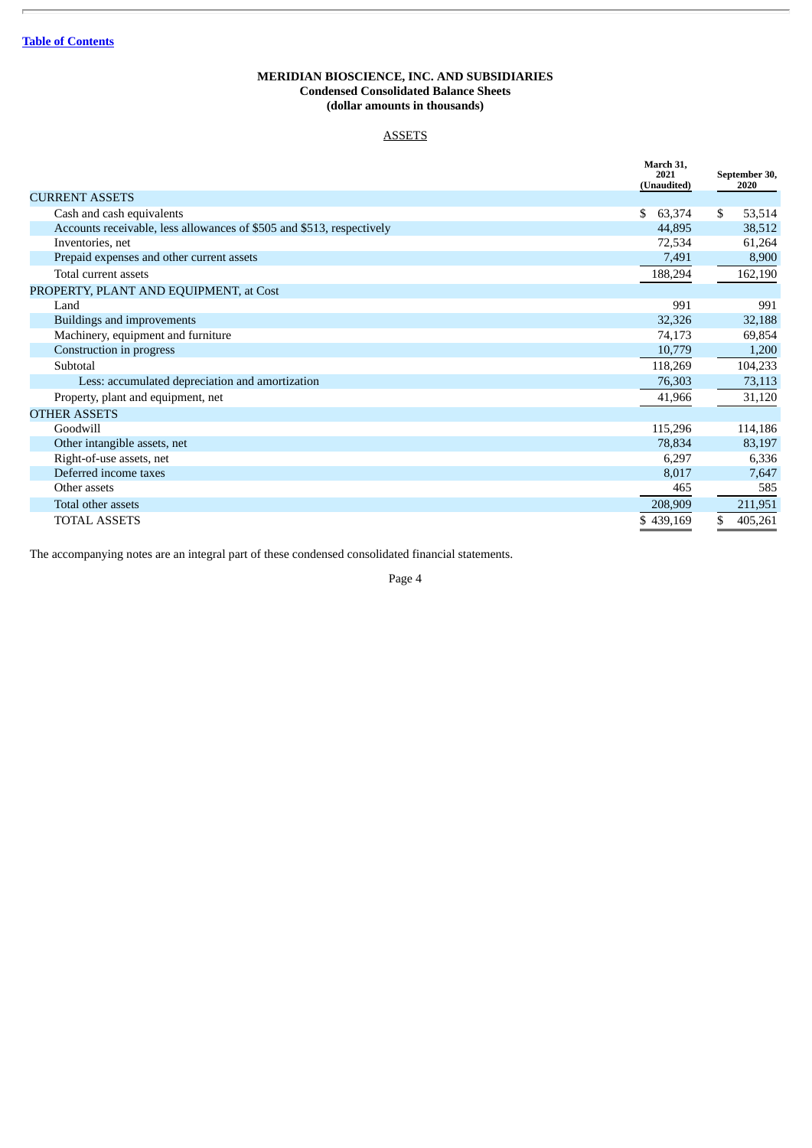#### **MERIDIAN BIOSCIENCE, INC. AND SUBSIDIARIES Condensed Consolidated Balance Sheets (dollar amounts in thousands)**

# **ASSETS**

<span id="page-7-0"></span>

|                                                                       | March 31,<br>2021<br>(Unaudited) | September 30,<br>2020 |
|-----------------------------------------------------------------------|----------------------------------|-----------------------|
| <b>CURRENT ASSETS</b>                                                 |                                  |                       |
| Cash and cash equivalents                                             | \$<br>63,374                     | \$<br>53,514          |
| Accounts receivable, less allowances of \$505 and \$513, respectively | 44,895                           | 38,512                |
| Inventories, net                                                      | 72,534                           | 61,264                |
| Prepaid expenses and other current assets                             | 7,491                            | 8,900                 |
| Total current assets                                                  | 188,294                          | 162,190               |
| PROPERTY, PLANT AND EQUIPMENT, at Cost                                |                                  |                       |
| Land                                                                  | 991                              | 991                   |
| Buildings and improvements                                            | 32,326                           | 32,188                |
| Machinery, equipment and furniture                                    | 74,173                           | 69,854                |
| Construction in progress                                              | 10,779                           | 1,200                 |
| Subtotal                                                              | 118,269                          | 104,233               |
| Less: accumulated depreciation and amortization                       | 76,303                           | 73,113                |
| Property, plant and equipment, net                                    | 41,966                           | 31,120                |
| <b>OTHER ASSETS</b>                                                   |                                  |                       |
| Goodwill                                                              | 115,296                          | 114,186               |
| Other intangible assets, net                                          | 78,834                           | 83,197                |
| Right-of-use assets, net                                              | 6,297                            | 6,336                 |
| Deferred income taxes                                                 | 8,017                            | 7,647                 |
| Other assets                                                          | 465                              | 585                   |
| Total other assets                                                    | 208,909                          | 211,951               |
| <b>TOTAL ASSETS</b>                                                   | \$439,169                        | \$<br>405,261         |

The accompanying notes are an integral part of these condensed consolidated financial statements.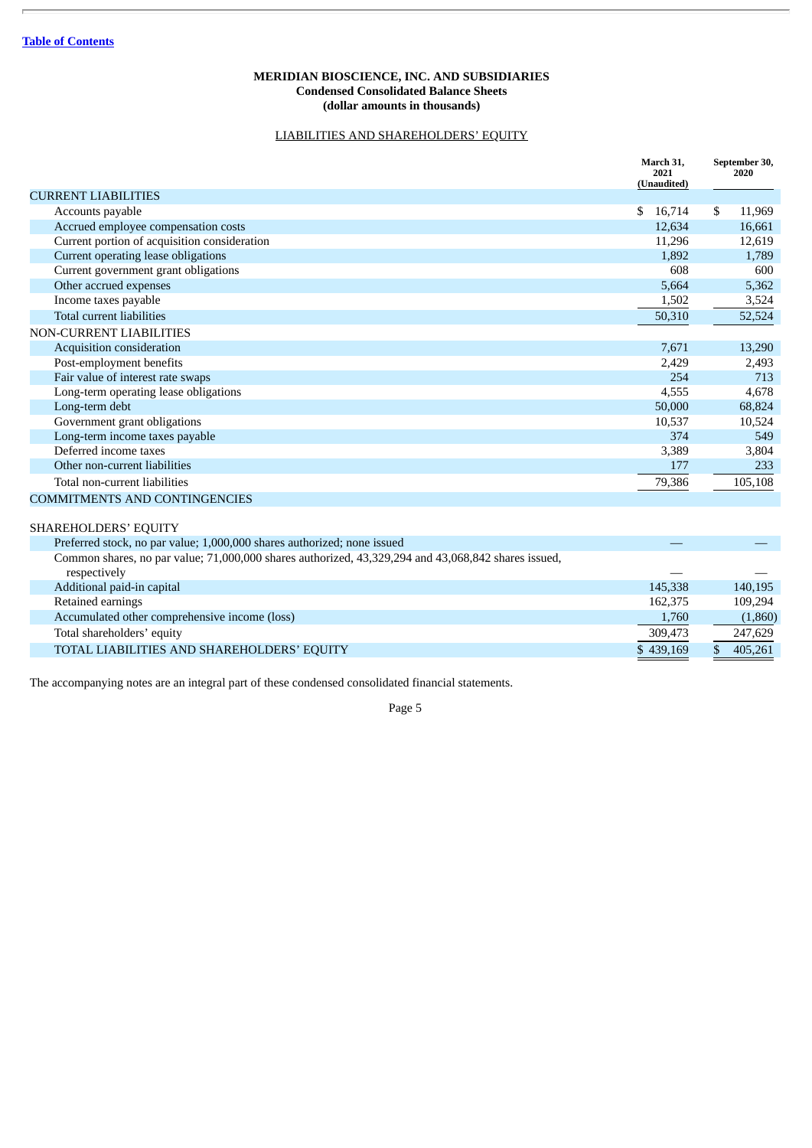#### **MERIDIAN BIOSCIENCE, INC. AND SUBSIDIARIES Condensed Consolidated Balance Sheets (dollar amounts in thousands)**

# LIABILITIES AND SHAREHOLDERS' EQUITY

|                                              | March 31.<br>2021<br>(Unaudited) | September 30,<br>2020 |
|----------------------------------------------|----------------------------------|-----------------------|
| <b>CURRENT LIABILITIES</b>                   |                                  |                       |
| Accounts payable                             | 16,714<br>\$                     | \$<br>11,969          |
| Accrued employee compensation costs          | 12,634                           | 16,661                |
| Current portion of acquisition consideration | 11,296                           | 12,619                |
| Current operating lease obligations          | 1,892                            | 1,789                 |
| Current government grant obligations         | 608                              | 600                   |
| Other accrued expenses                       | 5,664                            | 5,362                 |
| Income taxes payable                         | 1,502                            | 3,524                 |
| Total current liabilities                    | 50,310                           | 52,524                |
| <b>NON-CURRENT LIABILITIES</b>               |                                  |                       |
| Acquisition consideration                    | 7,671                            | 13,290                |
| Post-employment benefits                     | 2,429                            | 2,493                 |
| Fair value of interest rate swaps            | 254                              | 713                   |
| Long-term operating lease obligations        | 4,555                            | 4,678                 |
| Long-term debt                               | 50,000                           | 68,824                |
| Government grant obligations                 | 10,537                           | 10,524                |
| Long-term income taxes payable               | 374                              | 549                   |
| Deferred income taxes                        | 3,389                            | 3,804                 |
| Other non-current liabilities                | 177                              | 233                   |
| Total non-current liabilities                | 79,386                           | 105,108               |
| <b>COMMITMENTS AND CONTINGENCIES</b>         |                                  |                       |

# SHAREHOLDERS' EQUITY

| Preferred stock, no par value; 1,000,000 shares authorized; none issued                             |           |         |
|-----------------------------------------------------------------------------------------------------|-----------|---------|
| Common shares, no par value; 71,000,000 shares authorized, 43,329,294 and 43,068,842 shares issued, |           |         |
| respectively                                                                                        |           |         |
| Additional paid-in capital                                                                          | 145,338   | 140,195 |
| Retained earnings                                                                                   | 162,375   | 109.294 |
| Accumulated other comprehensive income (loss)                                                       | 1,760     | (1,860) |
| Total shareholders' equity                                                                          | 309,473   | 247,629 |
| TOTAL LIABILITIES AND SHAREHOLDERS' EQUITY                                                          | \$439,169 | 405,261 |
|                                                                                                     |           |         |

The accompanying notes are an integral part of these condensed consolidated financial statements.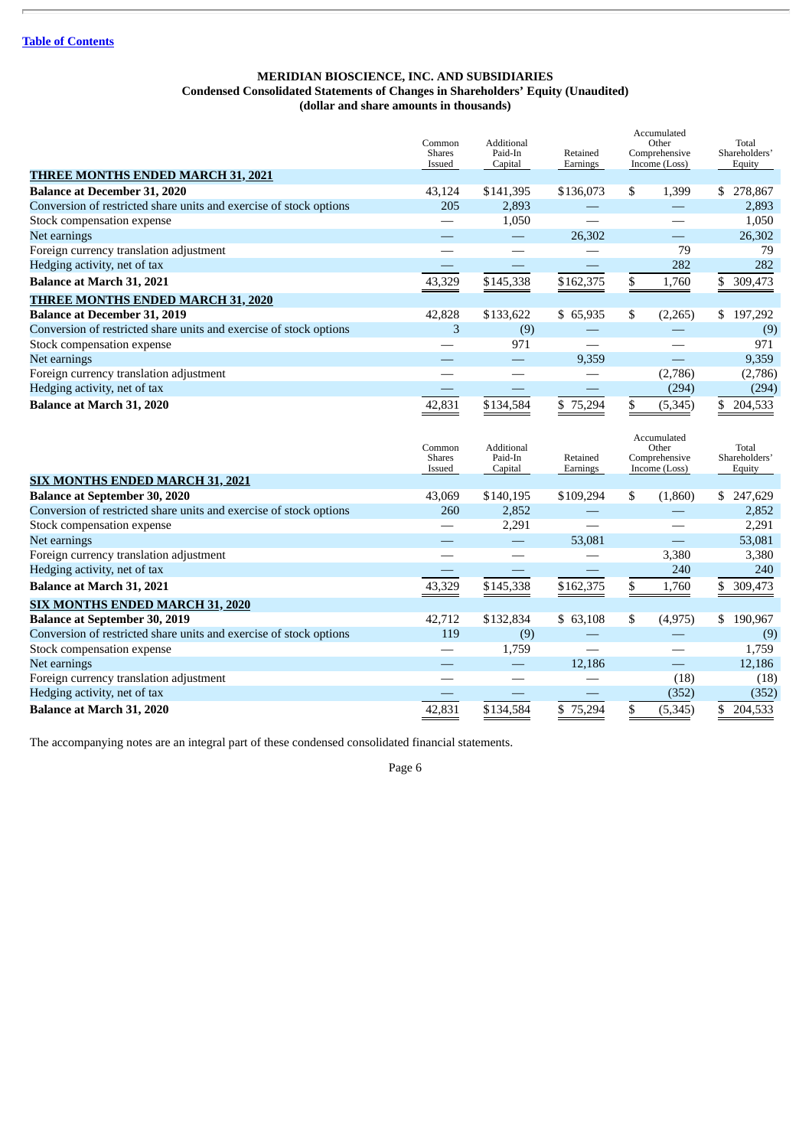#### **MERIDIAN BIOSCIENCE, INC. AND SUBSIDIARIES Condensed Consolidated Statements of Changes in Shareholders' Equity (Unaudited) (dollar and share amounts in thousands)**

<span id="page-9-0"></span>

|                                                                    | Common<br>Shares<br>Issued | Additional<br>Paid-In<br>Capital | Retained<br>Earnings | Accumulated<br>Other<br>Comprehensive<br>Income (Loss) | Total<br>Shareholders'<br>Equity |
|--------------------------------------------------------------------|----------------------------|----------------------------------|----------------------|--------------------------------------------------------|----------------------------------|
| <b>THREE MONTHS ENDED MARCH 31, 2021</b>                           |                            |                                  |                      |                                                        |                                  |
| <b>Balance at December 31, 2020</b>                                | 43,124                     | \$141,395                        | \$136,073            | \$<br>1,399                                            | 278,867<br>\$.                   |
| Conversion of restricted share units and exercise of stock options | 205                        | 2,893                            |                      |                                                        | 2,893                            |
| Stock compensation expense                                         |                            | 1,050                            |                      |                                                        | 1,050                            |
| Net earnings                                                       |                            |                                  | 26,302               |                                                        | 26,302                           |
| Foreign currency translation adjustment                            |                            |                                  |                      | 79                                                     | 79                               |
| Hedging activity, net of tax                                       |                            |                                  |                      | 282                                                    | 282                              |
| <b>Balance at March 31, 2021</b>                                   | 43,329                     | \$145,338                        | \$162,375            | \$<br>1,760                                            | \$ 309,473                       |
| <b>THREE MONTHS ENDED MARCH 31, 2020</b>                           |                            |                                  |                      |                                                        |                                  |
| <b>Balance at December 31, 2019</b>                                | 42,828                     | \$133,622                        | \$65,935             | \$<br>(2,265)                                          | 197,292<br>\$                    |
| Conversion of restricted share units and exercise of stock options | 3                          | (9)                              |                      |                                                        | (9)                              |
| Stock compensation expense                                         |                            | 971                              |                      |                                                        | 971                              |
| Net earnings                                                       |                            |                                  | 9,359                |                                                        | 9,359                            |
| Foreign currency translation adjustment                            |                            |                                  |                      | (2,786)                                                | (2,786)                          |
| Hedging activity, net of tax                                       |                            |                                  |                      | (294)                                                  | (294)                            |
| <b>Balance at March 31, 2020</b>                                   | 42,831                     | \$134,584                        | \$75,294             | \$<br>(5,345)                                          | 204,533                          |

|                                                                    | Common<br><b>Shares</b><br>Issued | Additional<br>Paid-In<br>Capital | Retained<br>Earnings | Accumulated<br>Other<br>Comprehensive<br>Income (Loss) | Total<br>Shareholders'<br>Equity |
|--------------------------------------------------------------------|-----------------------------------|----------------------------------|----------------------|--------------------------------------------------------|----------------------------------|
| <b>SIX MONTHS ENDED MARCH 31, 2021</b>                             |                                   |                                  |                      |                                                        |                                  |
| <b>Balance at September 30, 2020</b>                               | 43,069                            | \$140,195                        | \$109,294            | \$<br>(1,860)                                          | \$<br>247,629                    |
| Conversion of restricted share units and exercise of stock options | 260                               | 2,852                            |                      |                                                        | 2,852                            |
| Stock compensation expense                                         |                                   | 2,291                            |                      |                                                        | 2,291                            |
| Net earnings                                                       |                                   |                                  | 53,081               |                                                        | 53,081                           |
| Foreign currency translation adjustment                            |                                   |                                  |                      | 3,380                                                  | 3,380                            |
| Hedging activity, net of tax                                       |                                   |                                  |                      | 240                                                    | 240                              |
| <b>Balance at March 31, 2021</b>                                   | 43,329                            | \$145,338                        | \$162,375            | 1,760                                                  | \$ 309,473                       |
| <b>SIX MONTHS ENDED MARCH 31, 2020</b>                             |                                   |                                  |                      |                                                        |                                  |
| <b>Balance at September 30, 2019</b>                               | 42,712                            | \$132,834                        | \$63,108             | \$<br>(4, 975)                                         | \$<br>190,967                    |
| Conversion of restricted share units and exercise of stock options | 119                               | (9)                              |                      |                                                        | (9)                              |
| Stock compensation expense                                         |                                   | 1,759                            |                      |                                                        | 1,759                            |
| Net earnings                                                       |                                   |                                  | 12,186               |                                                        | 12,186                           |
| Foreign currency translation adjustment                            |                                   |                                  |                      | (18)                                                   | (18)                             |
| Hedging activity, net of tax                                       |                                   |                                  |                      | (352)                                                  | (352)                            |
| <b>Balance at March 31, 2020</b>                                   | 42,831                            | \$134,584                        | \$75,294             | \$<br>(5, 345)                                         | 204,533                          |

The accompanying notes are an integral part of these condensed consolidated financial statements.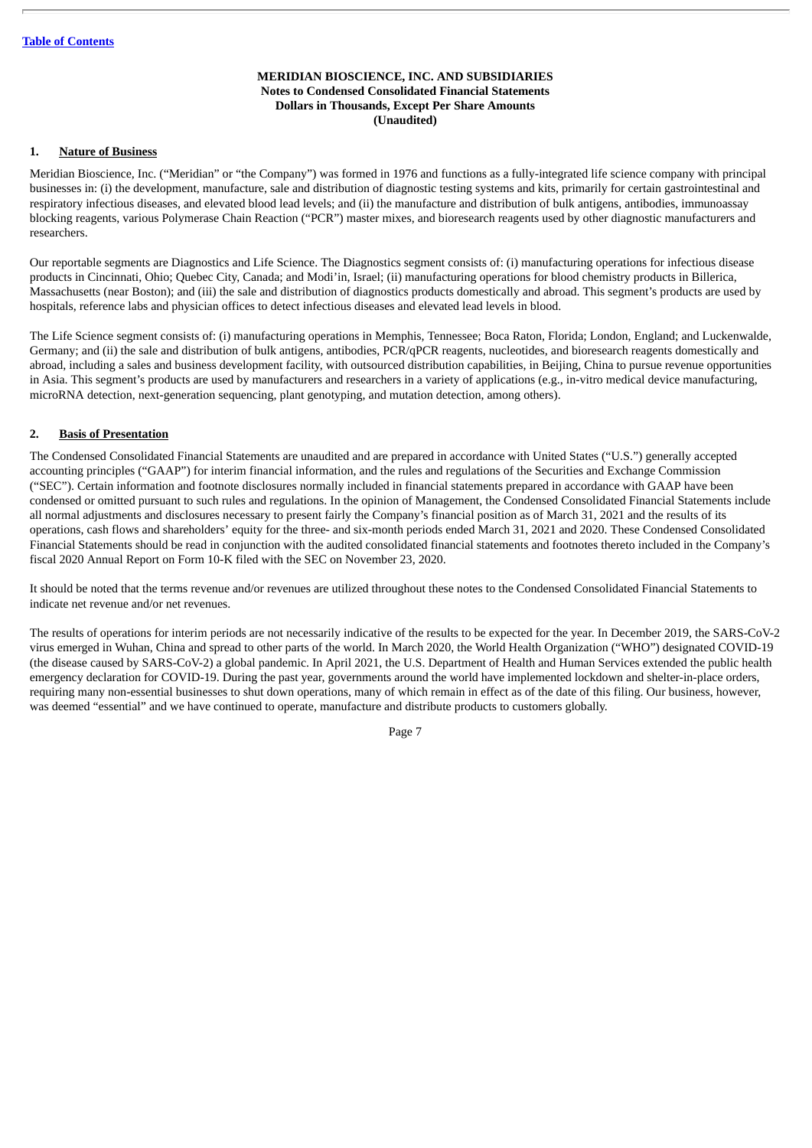#### **MERIDIAN BIOSCIENCE, INC. AND SUBSIDIARIES Notes to Condensed Consolidated Financial Statements Dollars in Thousands, Except Per Share Amounts (Unaudited)**

#### <span id="page-10-0"></span>**1. Nature of Business**

Meridian Bioscience, Inc. ("Meridian" or "the Company") was formed in 1976 and functions as a fully-integrated life science company with principal businesses in: (i) the development, manufacture, sale and distribution of diagnostic testing systems and kits, primarily for certain gastrointestinal and respiratory infectious diseases, and elevated blood lead levels; and (ii) the manufacture and distribution of bulk antigens, antibodies, immunoassay blocking reagents, various Polymerase Chain Reaction ("PCR") master mixes, and bioresearch reagents used by other diagnostic manufacturers and researchers.

Our reportable segments are Diagnostics and Life Science. The Diagnostics segment consists of: (i) manufacturing operations for infectious disease products in Cincinnati, Ohio; Quebec City, Canada; and Modi'in, Israel; (ii) manufacturing operations for blood chemistry products in Billerica, Massachusetts (near Boston); and (iii) the sale and distribution of diagnostics products domestically and abroad. This segment's products are used by hospitals, reference labs and physician offices to detect infectious diseases and elevated lead levels in blood.

The Life Science segment consists of: (i) manufacturing operations in Memphis, Tennessee; Boca Raton, Florida; London, England; and Luckenwalde, Germany; and (ii) the sale and distribution of bulk antigens, antibodies, PCR/qPCR reagents, nucleotides, and bioresearch reagents domestically and abroad, including a sales and business development facility, with outsourced distribution capabilities, in Beijing, China to pursue revenue opportunities in Asia. This segment's products are used by manufacturers and researchers in a variety of applications (e.g., in-vitro medical device manufacturing, microRNA detection, next-generation sequencing, plant genotyping, and mutation detection, among others).

#### **2. Basis of Presentation**

The Condensed Consolidated Financial Statements are unaudited and are prepared in accordance with United States ("U.S.") generally accepted accounting principles ("GAAP") for interim financial information, and the rules and regulations of the Securities and Exchange Commission ("SEC"). Certain information and footnote disclosures normally included in financial statements prepared in accordance with GAAP have been condensed or omitted pursuant to such rules and regulations. In the opinion of Management, the Condensed Consolidated Financial Statements include all normal adjustments and disclosures necessary to present fairly the Company's financial position as of March 31, 2021 and the results of its operations, cash flows and shareholders' equity for the three- and six-month periods ended March 31, 2021 and 2020. These Condensed Consolidated Financial Statements should be read in conjunction with the audited consolidated financial statements and footnotes thereto included in the Company's fiscal 2020 Annual Report on Form 10-K filed with the SEC on November 23, 2020.

It should be noted that the terms revenue and/or revenues are utilized throughout these notes to the Condensed Consolidated Financial Statements to indicate net revenue and/or net revenues.

The results of operations for interim periods are not necessarily indicative of the results to be expected for the year. In December 2019, the SARS-CoV-2 virus emerged in Wuhan, China and spread to other parts of the world. In March 2020, the World Health Organization ("WHO") designated COVID-19 (the disease caused by SARS-CoV-2) a global pandemic. In April 2021, the U.S. Department of Health and Human Services extended the public health emergency declaration for COVID-19. During the past year, governments around the world have implemented lockdown and shelter-in-place orders, requiring many non-essential businesses to shut down operations, many of which remain in effect as of the date of this filing. Our business, however, was deemed "essential" and we have continued to operate, manufacture and distribute products to customers globally.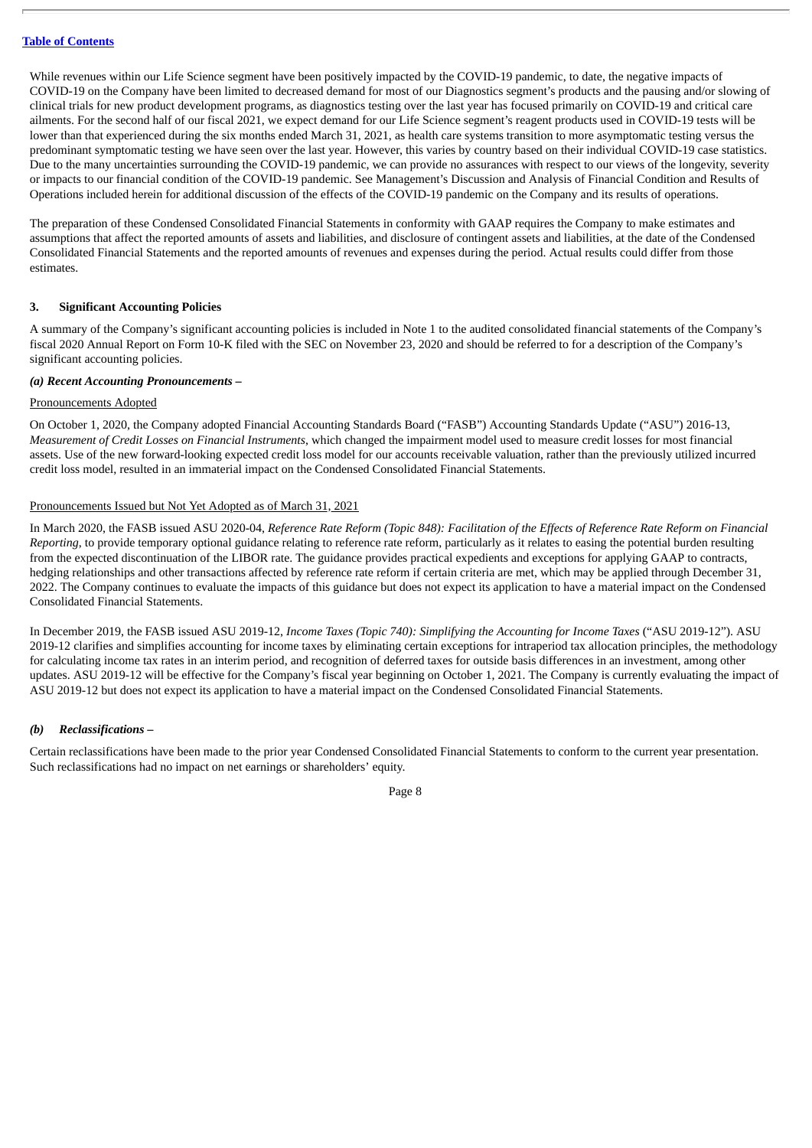While revenues within our Life Science segment have been positively impacted by the COVID-19 pandemic, to date, the negative impacts of COVID-19 on the Company have been limited to decreased demand for most of our Diagnostics segment's products and the pausing and/or slowing of clinical trials for new product development programs, as diagnostics testing over the last year has focused primarily on COVID-19 and critical care ailments. For the second half of our fiscal 2021, we expect demand for our Life Science segment's reagent products used in COVID-19 tests will be lower than that experienced during the six months ended March 31, 2021, as health care systems transition to more asymptomatic testing versus the predominant symptomatic testing we have seen over the last year. However, this varies by country based on their individual COVID-19 case statistics. Due to the many uncertainties surrounding the COVID-19 pandemic, we can provide no assurances with respect to our views of the longevity, severity or impacts to our financial condition of the COVID-19 pandemic. See Management's Discussion and Analysis of Financial Condition and Results of Operations included herein for additional discussion of the effects of the COVID-19 pandemic on the Company and its results of operations.

The preparation of these Condensed Consolidated Financial Statements in conformity with GAAP requires the Company to make estimates and assumptions that affect the reported amounts of assets and liabilities, and disclosure of contingent assets and liabilities, at the date of the Condensed Consolidated Financial Statements and the reported amounts of revenues and expenses during the period. Actual results could differ from those estimates.

#### **3. Significant Accounting Policies**

A summary of the Company's significant accounting policies is included in Note 1 to the audited consolidated financial statements of the Company's fiscal 2020 Annual Report on Form 10-K filed with the SEC on November 23, 2020 and should be referred to for a description of the Company's significant accounting policies.

#### *(a) Recent Accounting Pronouncements –*

#### Pronouncements Adopted

On October 1, 2020, the Company adopted Financial Accounting Standards Board ("FASB") Accounting Standards Update ("ASU") 2016-13, *Measurement of Credit Losses on Financial Instruments*, which changed the impairment model used to measure credit losses for most financial assets. Use of the new forward-looking expected credit loss model for our accounts receivable valuation, rather than the previously utilized incurred credit loss model, resulted in an immaterial impact on the Condensed Consolidated Financial Statements.

#### Pronouncements Issued but Not Yet Adopted as of March 31, 2021

In March 2020, the FASB issued ASU 2020-04, Reference Rate Reform (Topic 848): Facilitation of the Effects of Reference Rate Reform on Financial *Reporting*, to provide temporary optional guidance relating to reference rate reform, particularly as it relates to easing the potential burden resulting from the expected discontinuation of the LIBOR rate. The guidance provides practical expedients and exceptions for applying GAAP to contracts, hedging relationships and other transactions affected by reference rate reform if certain criteria are met, which may be applied through December 31, 2022. The Company continues to evaluate the impacts of this guidance but does not expect its application to have a material impact on the Condensed Consolidated Financial Statements.

In December 2019, the FASB issued ASU 2019-12, *Income Taxes (Topic 740): Simplifying the Accounting for Income Taxes* ("ASU 2019-12"). ASU 2019-12 clarifies and simplifies accounting for income taxes by eliminating certain exceptions for intraperiod tax allocation principles, the methodology for calculating income tax rates in an interim period, and recognition of deferred taxes for outside basis differences in an investment, among other updates. ASU 2019-12 will be effective for the Company's fiscal year beginning on October 1, 2021. The Company is currently evaluating the impact of ASU 2019-12 but does not expect its application to have a material impact on the Condensed Consolidated Financial Statements.

# *(b) Reclassifications –*

Certain reclassifications have been made to the prior year Condensed Consolidated Financial Statements to conform to the current year presentation. Such reclassifications had no impact on net earnings or shareholders' equity.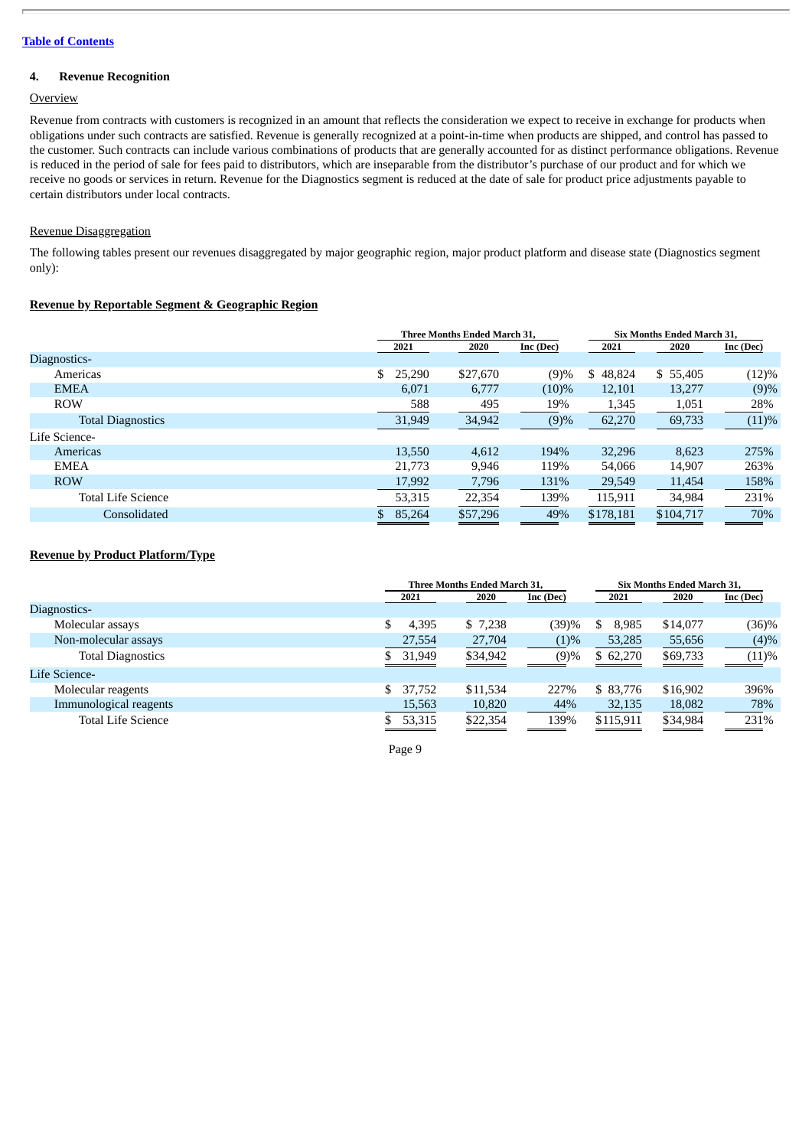#### **4. Revenue Recognition**

#### **Overview**

Revenue from contracts with customers is recognized in an amount that reflects the consideration we expect to receive in exchange for products when obligations under such contracts are satisfied. Revenue is generally recognized at a point-in-time when products are shipped, and control has passed to the customer. Such contracts can include various combinations of products that are generally accounted for as distinct performance obligations. Revenue is reduced in the period of sale for fees paid to distributors, which are inseparable from the distributor's purchase of our product and for which we receive no goods or services in return. Revenue for the Diagnostics segment is reduced at the date of sale for product price adjustments payable to certain distributors under local contracts.

# Revenue Disaggregation

The following tables present our revenues disaggregated by major geographic region, major product platform and disease state (Diagnostics segment only):

# **Revenue by Reportable Segment & Geographic Region**

|                           |               | <b>Three Months Ended March 31.</b> |           |           | <b>Six Months Ended March 31.</b> |           |  |
|---------------------------|---------------|-------------------------------------|-----------|-----------|-----------------------------------|-----------|--|
|                           | 2021          | 2020                                | Inc (Dec) | 2021      | 2020                              | Inc (Dec) |  |
| Diagnostics-              |               |                                     |           |           |                                   |           |  |
| Americas                  | 25,290<br>\$  | \$27,670                            | (9)%      | \$48,824  | \$55,405                          | (12)%     |  |
| <b>EMEA</b>               | 6,071         | 6,777                               | $(10)\%$  | 12.101    | 13,277                            | (9)%      |  |
| <b>ROW</b>                | 588           | 495                                 | 19%       | 1,345     | 1,051                             | 28%       |  |
| <b>Total Diagnostics</b>  | 31,949        | 34,942                              | (9)%      | 62,270    | 69,733                            | (11)%     |  |
| Life Science-             |               |                                     |           |           |                                   |           |  |
| Americas                  | 13,550        | 4,612                               | 194%      | 32.296    | 8.623                             | 275%      |  |
| <b>EMEA</b>               | 21,773        | 9,946                               | 119%      | 54.066    | 14,907                            | 263%      |  |
| <b>ROW</b>                | 17,992        | 7,796                               | 131%      | 29,549    | 11,454                            | 158%      |  |
| <b>Total Life Science</b> | 53,315        | 22,354                              | 139%      | 115,911   | 34,984                            | 231%      |  |
| Consolidated              | 85,264<br>\$. | \$57,296                            | 49%       | \$178.181 | \$104,717                         | 70%       |  |

# **Revenue by Product Platform/Type**

|                           | <b>Three Months Ended March 31,</b> |          |           | Six Months Ended March 31, |          |           |
|---------------------------|-------------------------------------|----------|-----------|----------------------------|----------|-----------|
|                           | 2021                                | 2020     | Inc (Dec) | 2021                       | 2020     | Inc (Dec) |
| Diagnostics-              |                                     |          |           |                            |          |           |
| Molecular assays          | 4,395                               | \$7,238  | (39)%     | 8,985<br>S                 | \$14,077 | $(36)\%$  |
| Non-molecular assays      | 27,554                              | 27,704   | (1)%      | 53,285                     | 55,656   | (4)%      |
| <b>Total Diagnostics</b>  | 31,949                              | \$34,942 | (9)%      | \$62,270                   | \$69,733 | (11)%     |
| Life Science-             |                                     |          |           |                            |          |           |
| Molecular reagents        | 37,752<br>\$.                       | \$11,534 | 227%      | \$83,776                   | \$16,902 | 396%      |
| Immunological reagents    | 15,563                              | 10,820   | 44%       | 32,135                     | 18,082   | 78%       |
| <b>Total Life Science</b> | 53,315                              | \$22,354 | 139%      | \$115,911                  | \$34,984 | 231%      |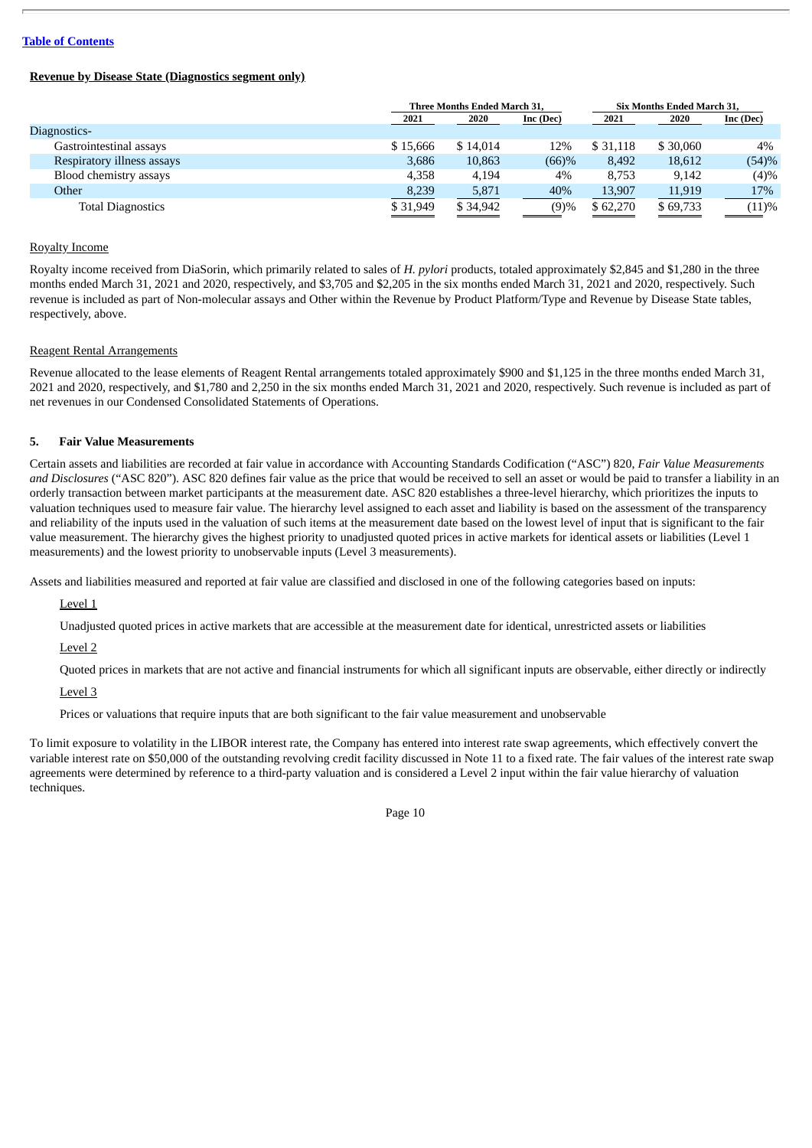#### **Revenue by Disease State (Diagnostics segment only)**

|                            |          | <b>Three Months Ended March 31.</b> |           |          | Six Months Ended March 31. |           |  |
|----------------------------|----------|-------------------------------------|-----------|----------|----------------------------|-----------|--|
|                            | 2021     | 2020                                | Inc (Dec) | 2021     | 2020                       | Inc (Dec) |  |
| Diagnostics-               |          |                                     |           |          |                            |           |  |
| Gastrointestinal assays    | \$15,666 | \$14,014                            | 12%       | \$31,118 | \$30,060                   | 4%        |  |
| Respiratory illness assays | 3,686    | 10,863                              | (66)%     | 8,492    | 18,612                     | (54)%     |  |
| Blood chemistry assays     | 4,358    | 4.194                               | 4%        | 8.753    | 9.142                      | (4)%      |  |
| Other                      | 8,239    | 5,871                               | 40%       | 13,907   | 11,919                     | 17%       |  |
| <b>Total Diagnostics</b>   | \$31,949 | \$34,942                            | (9)%      | \$62,270 | \$69,733                   | (11)%     |  |

#### Royalty Income

Royalty income received from DiaSorin, which primarily related to sales of *H. pylori* products, totaled approximately \$2,845 and \$1,280 in the three months ended March 31, 2021 and 2020, respectively, and \$3,705 and \$2,205 in the six months ended March 31, 2021 and 2020, respectively. Such revenue is included as part of Non-molecular assays and Other within the Revenue by Product Platform/Type and Revenue by Disease State tables, respectively, above.

#### Reagent Rental Arrangements

Revenue allocated to the lease elements of Reagent Rental arrangements totaled approximately \$900 and \$1,125 in the three months ended March 31, 2021 and 2020, respectively, and \$1,780 and 2,250 in the six months ended March 31, 2021 and 2020, respectively. Such revenue is included as part of net revenues in our Condensed Consolidated Statements of Operations.

#### **5. Fair Value Measurements**

Certain assets and liabilities are recorded at fair value in accordance with Accounting Standards Codification ("ASC") 820, *Fair Value Measurements and Disclosures* ("ASC 820"). ASC 820 defines fair value as the price that would be received to sell an asset or would be paid to transfer a liability in an orderly transaction between market participants at the measurement date. ASC 820 establishes a three-level hierarchy, which prioritizes the inputs to valuation techniques used to measure fair value. The hierarchy level assigned to each asset and liability is based on the assessment of the transparency and reliability of the inputs used in the valuation of such items at the measurement date based on the lowest level of input that is significant to the fair value measurement. The hierarchy gives the highest priority to unadjusted quoted prices in active markets for identical assets or liabilities (Level 1 measurements) and the lowest priority to unobservable inputs (Level 3 measurements).

Assets and liabilities measured and reported at fair value are classified and disclosed in one of the following categories based on inputs:

Level 1

Unadjusted quoted prices in active markets that are accessible at the measurement date for identical, unrestricted assets or liabilities

Level 2

Quoted prices in markets that are not active and financial instruments for which all significant inputs are observable, either directly or indirectly

Level 3

Prices or valuations that require inputs that are both significant to the fair value measurement and unobservable

To limit exposure to volatility in the LIBOR interest rate, the Company has entered into interest rate swap agreements, which effectively convert the variable interest rate on \$50,000 of the outstanding revolving credit facility discussed in Note 11 to a fixed rate. The fair values of the interest rate swap agreements were determined by reference to a third-party valuation and is considered a Level 2 input within the fair value hierarchy of valuation techniques.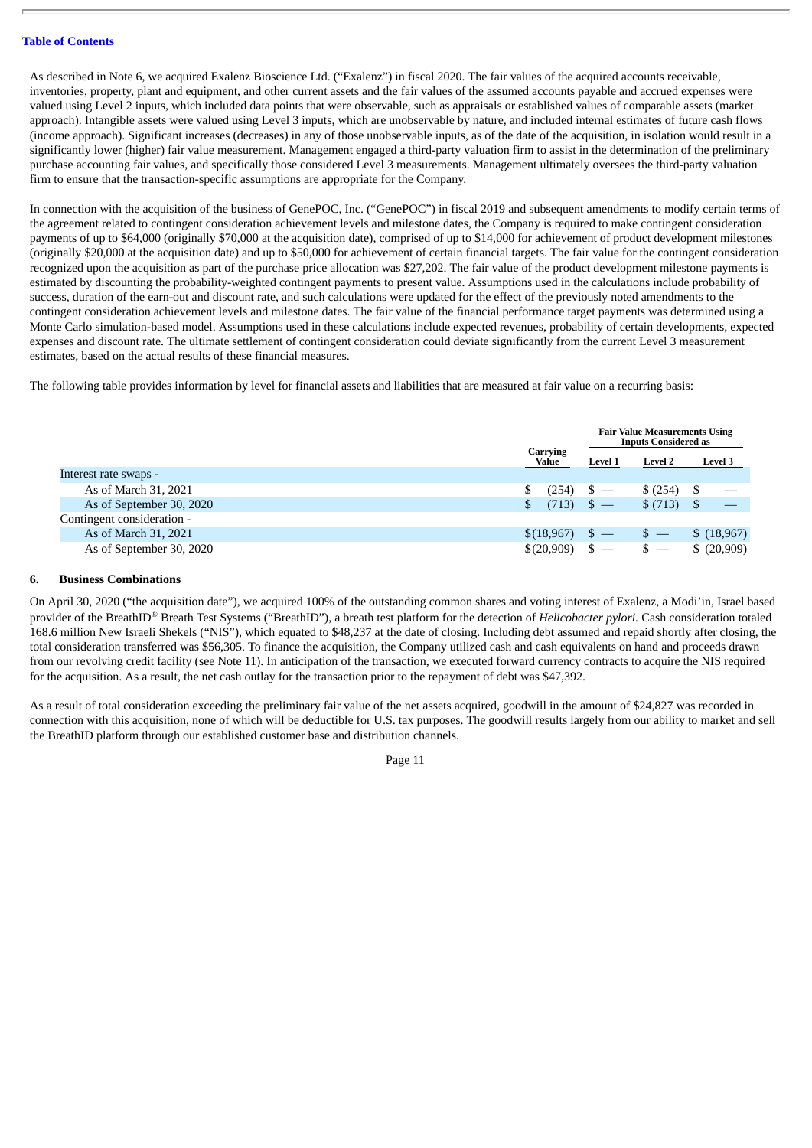As described in Note 6, we acquired Exalenz Bioscience Ltd. ("Exalenz") in fiscal 2020. The fair values of the acquired accounts receivable, inventories, property, plant and equipment, and other current assets and the fair values of the assumed accounts payable and accrued expenses were valued using Level 2 inputs, which included data points that were observable, such as appraisals or established values of comparable assets (market approach). Intangible assets were valued using Level 3 inputs, which are unobservable by nature, and included internal estimates of future cash flows (income approach). Significant increases (decreases) in any of those unobservable inputs, as of the date of the acquisition, in isolation would result in a significantly lower (higher) fair value measurement. Management engaged a third-party valuation firm to assist in the determination of the preliminary purchase accounting fair values, and specifically those considered Level 3 measurements. Management ultimately oversees the third-party valuation firm to ensure that the transaction-specific assumptions are appropriate for the Company.

In connection with the acquisition of the business of GenePOC, Inc. ("GenePOC") in fiscal 2019 and subsequent amendments to modify certain terms of the agreement related to contingent consideration achievement levels and milestone dates, the Company is required to make contingent consideration payments of up to \$64,000 (originally \$70,000 at the acquisition date), comprised of up to \$14,000 for achievement of product development milestones (originally \$20,000 at the acquisition date) and up to \$50,000 for achievement of certain financial targets. The fair value for the contingent consideration recognized upon the acquisition as part of the purchase price allocation was \$27,202. The fair value of the product development milestone payments is estimated by discounting the probability-weighted contingent payments to present value. Assumptions used in the calculations include probability of success, duration of the earn-out and discount rate, and such calculations were updated for the effect of the previously noted amendments to the contingent consideration achievement levels and milestone dates. The fair value of the financial performance target payments was determined using a Monte Carlo simulation-based model. Assumptions used in these calculations include expected revenues, probability of certain developments, expected expenses and discount rate. The ultimate settlement of contingent consideration could deviate significantly from the current Level 3 measurement estimates, based on the actual results of these financial measures.

The following table provides information by level for financial assets and liabilities that are measured at fair value on a recurring basis:

|                            |                          |                |                | <b>Fair Value Measurements Using</b><br><b>Inputs Considered as</b> |  |
|----------------------------|--------------------------|----------------|----------------|---------------------------------------------------------------------|--|
|                            | Carrying<br><b>Value</b> | <b>Level 1</b> | <b>Level 2</b> | <b>Level 3</b>                                                      |  |
| Interest rate swaps -      |                          |                |                |                                                                     |  |
| As of March 31, 2021       | (254)                    |                | \$(254)        |                                                                     |  |
| As of September 30, 2020   | (713)<br>$\mathbb{S}$    | $s =$          | \$(713)        |                                                                     |  |
| Contingent consideration - |                          |                |                |                                                                     |  |
| As of March 31, 2021       | \$(18,967)               |                |                | \$ (18,967)                                                         |  |
| As of September 30, 2020   | \$(20,909)               |                |                | \$ (20,909)                                                         |  |

#### **6. Business Combinations**

On April 30, 2020 ("the acquisition date"), we acquired 100% of the outstanding common shares and voting interest of Exalenz, a Modi'in, Israel based provider of the BreathID ® Breath Test Systems ("BreathID"), a breath test platform for the detection of *Helicobacter pylori.* Cash consideration totaled 168.6 million New Israeli Shekels ("NIS"), which equated to \$48,237 at the date of closing. Including debt assumed and repaid shortly after closing, the total consideration transferred was \$56,305. To finance the acquisition, the Company utilized cash and cash equivalents on hand and proceeds drawn from our revolving credit facility (see Note 11). In anticipation of the transaction, we executed forward currency contracts to acquire the NIS required for the acquisition. As a result, the net cash outlay for the transaction prior to the repayment of debt was \$47,392.

As a result of total consideration exceeding the preliminary fair value of the net assets acquired, goodwill in the amount of \$24,827 was recorded in connection with this acquisition, none of which will be deductible for U.S. tax purposes. The goodwill results largely from our ability to market and sell the BreathID platform through our established customer base and distribution channels.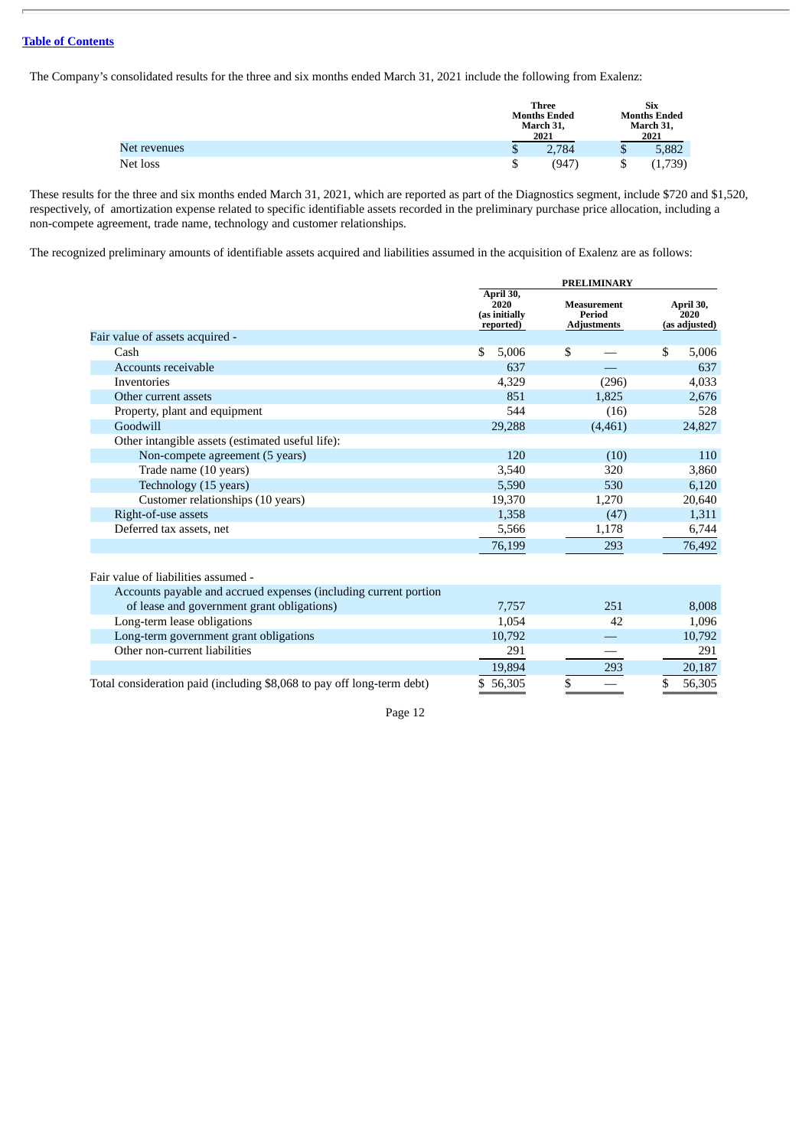The Company's consolidated results for the three and six months ended March 31, 2021 include the following from Exalenz:

|              |   | Three<br><b>Months Ended</b><br>March 31,<br>2021 |    |            |
|--------------|---|---------------------------------------------------|----|------------|
| Net revenues | S | 2,784                                             | \$ | 5,882      |
| Net loss     | S | (947)                                             |    | .739)<br>. |

These results for the three and six months ended March 31, 2021, which are reported as part of the Diagnostics segment, include \$720 and \$1,520, respectively, of amortization expense related to specific identifiable assets recorded in the preliminary purchase price allocation, including a non-compete agreement, trade name, technology and customer relationships.

The recognized preliminary amounts of identifiable assets acquired and liabilities assumed in the acquisition of Exalenz are as follows:

|                                                  | <b>PRELIMINARY</b>                              |                                             |                                    |  |  |
|--------------------------------------------------|-------------------------------------------------|---------------------------------------------|------------------------------------|--|--|
|                                                  | April 30,<br>2020<br>(as initially<br>reported) | Measurement<br>Period<br><b>Adjustments</b> | April 30,<br>2020<br>(as adjusted) |  |  |
| Fair value of assets acquired -                  |                                                 |                                             |                                    |  |  |
| Cash                                             | \$.<br>5,006                                    | \$                                          | \$<br>5,006                        |  |  |
| Accounts receivable                              | 637                                             |                                             | 637                                |  |  |
| Inventories                                      | 4,329                                           | (296)                                       | 4,033                              |  |  |
| Other current assets                             | 851                                             | 1,825                                       | 2,676                              |  |  |
| Property, plant and equipment                    | 544                                             | (16)                                        | 528                                |  |  |
| Goodwill                                         | 29,288                                          | (4, 461)                                    | 24,827                             |  |  |
| Other intangible assets (estimated useful life): |                                                 |                                             |                                    |  |  |
| Non-compete agreement (5 years)                  | 120                                             | (10)                                        | 110                                |  |  |
| Trade name (10 years)                            | 3,540                                           | 320                                         | 3,860                              |  |  |
| Technology (15 years)                            | 5,590                                           | 530                                         | 6,120                              |  |  |
| Customer relationships (10 years)                | 19,370                                          | 1,270                                       | 20,640                             |  |  |
| Right-of-use assets                              | 1,358                                           | (47)                                        | 1,311                              |  |  |
| Deferred tax assets, net                         | 5,566                                           | 1,178                                       | 6,744                              |  |  |
|                                                  | 76,199                                          | 293                                         | 76.492                             |  |  |

| Fair value of liabilities assumed -                                    |        |     |        |
|------------------------------------------------------------------------|--------|-----|--------|
| Accounts payable and accrued expenses (including current portion       |        |     |        |
| of lease and government grant obligations)                             | 7,757  | 251 | 8,008  |
| Long-term lease obligations                                            | 1,054  | 42  | 1,096  |
| Long-term government grant obligations                                 | 10,792 |     | 10,792 |
| Other non-current liabilities                                          | 291    |     | 291    |
|                                                                        | 19,894 | 293 | 20,187 |
| Total consideration paid (including \$8,068 to pay off long-term debt) | 56,305 |     | 56,305 |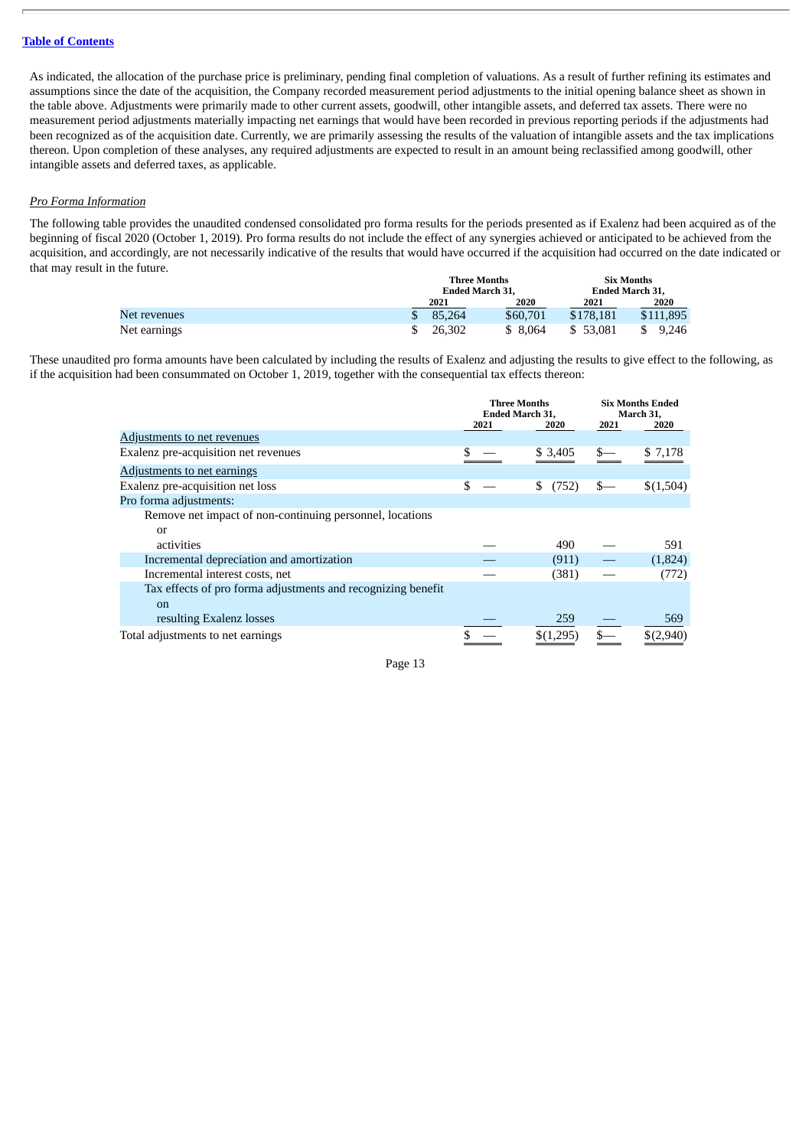As indicated, the allocation of the purchase price is preliminary, pending final completion of valuations. As a result of further refining its estimates and assumptions since the date of the acquisition, the Company recorded measurement period adjustments to the initial opening balance sheet as shown in the table above. Adjustments were primarily made to other current assets, goodwill, other intangible assets, and deferred tax assets. There were no measurement period adjustments materially impacting net earnings that would have been recorded in previous reporting periods if the adjustments had been recognized as of the acquisition date. Currently, we are primarily assessing the results of the valuation of intangible assets and the tax implications thereon. Upon completion of these analyses, any required adjustments are expected to result in an amount being reclassified among goodwill, other intangible assets and deferred taxes, as applicable.

#### *Pro Forma Information*

The following table provides the unaudited condensed consolidated pro forma results for the periods presented as if Exalenz had been acquired as of the beginning of fiscal 2020 (October 1, 2019). Pro forma results do not include the effect of any synergies achieved or anticipated to be achieved from the acquisition, and accordingly, are not necessarily indicative of the results that would have occurred if the acquisition had occurred on the date indicated or that may result in the future.

|              | Three Months |                        |  |          | Six Months             |           |  |           |
|--------------|--------------|------------------------|--|----------|------------------------|-----------|--|-----------|
|              |              | <b>Ended March 31.</b> |  |          | <b>Ended March 31.</b> |           |  |           |
|              |              | 2021                   |  | 2020     |                        | 2021      |  | 2020      |
| Net revenues |              | 85,264                 |  | \$60,701 |                        | \$178.181 |  | \$111,895 |
| Net earnings |              | 26,302                 |  | \$8.064  |                        | \$ 53,081 |  | 9.246     |

These unaudited pro forma amounts have been calculated by including the results of Exalenz and adjusting the results to give effect to the following, as if the acquisition had been consummated on October 1, 2019, together with the consequential tax effects thereon:

|                                                              | <b>Three Months</b><br>Ended March 31, |             | <b>Six Months Ended</b><br>March 31, |           |  |
|--------------------------------------------------------------|----------------------------------------|-------------|--------------------------------------|-----------|--|
|                                                              | 2021                                   | 2020        | 2021                                 | 2020      |  |
| Adjustments to net revenues                                  |                                        |             |                                      |           |  |
| Exalenz pre-acquisition net revenues                         |                                        | \$ 3,405    | $S-$                                 | \$7,178   |  |
| Adjustments to net earnings                                  |                                        |             |                                      |           |  |
| Exalenz pre-acquisition net loss                             | \$                                     | (752)<br>S. |                                      | \$(1,504) |  |
| Pro forma adjustments:                                       |                                        |             |                                      |           |  |
| Remove net impact of non-continuing personnel, locations     |                                        |             |                                      |           |  |
| or                                                           |                                        |             |                                      |           |  |
| activities                                                   |                                        | 490         |                                      | 591       |  |
| Incremental depreciation and amortization                    |                                        | (911)       |                                      | (1,824)   |  |
| Incremental interest costs, net                              |                                        | (381)       |                                      | (772)     |  |
| Tax effects of pro forma adjustments and recognizing benefit |                                        |             |                                      |           |  |
| on                                                           |                                        |             |                                      |           |  |
| resulting Exalenz losses                                     |                                        | 259         |                                      | 569       |  |
| Total adjustments to net earnings                            |                                        | \$(1,295)   |                                      | \$(2,940) |  |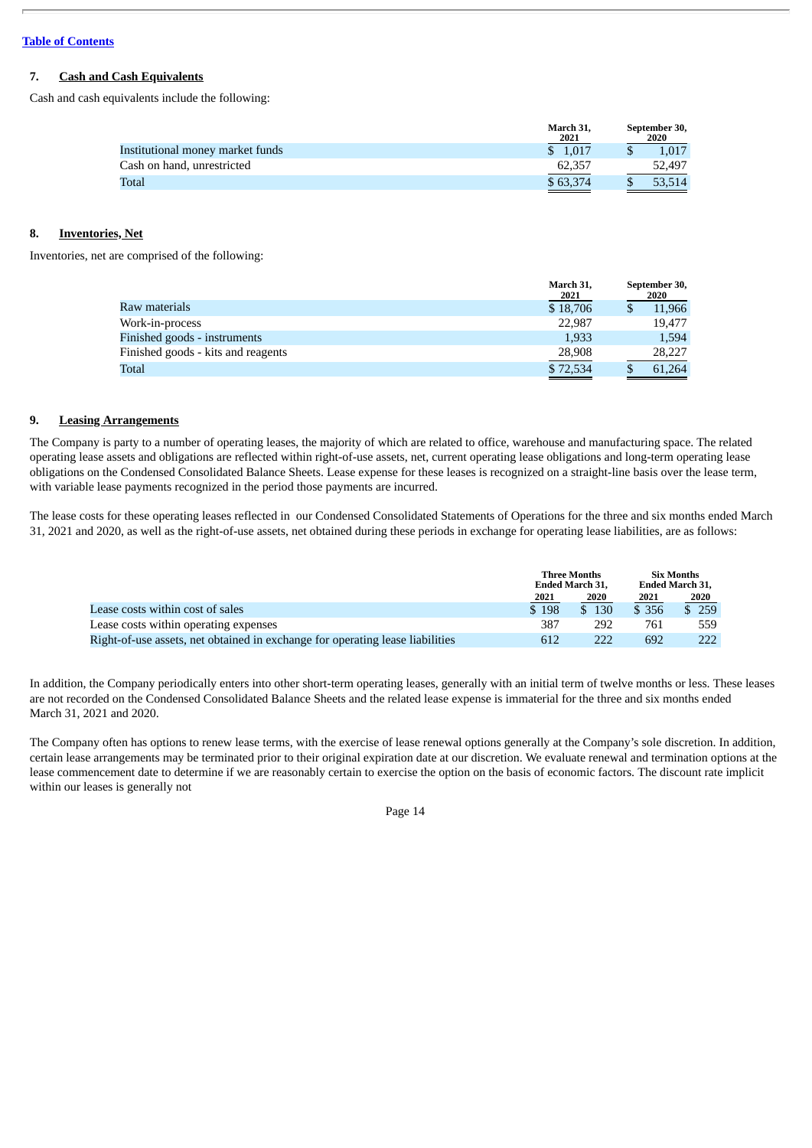### **7. Cash and Cash Equivalents**

Cash and cash equivalents include the following:

|                                  | March 31.<br>2021 | September 30,<br>2020 |
|----------------------------------|-------------------|-----------------------|
| Institutional money market funds | 1.017             | 1.017                 |
| Cash on hand, unrestricted       | 62,357            | 52,497                |
| Total                            | \$63,374          | 53.514                |

# **8. Inventories, Net**

Inventories, net are comprised of the following:

|                                    | March 31,<br>2021 | September 30,<br>2020 |
|------------------------------------|-------------------|-----------------------|
| Raw materials                      | \$18,706          | 11,966                |
| Work-in-process                    | 22,987            | 19.477                |
| Finished goods - instruments       | 1,933             | 1.594                 |
| Finished goods - kits and reagents | 28,908            | 28,227                |
| Total                              | \$72,534          | 61.264                |

#### **9. Leasing Arrangements**

The Company is party to a number of operating leases, the majority of which are related to office, warehouse and manufacturing space. The related operating lease assets and obligations are reflected within right-of-use assets, net, current operating lease obligations and long-term operating lease obligations on the Condensed Consolidated Balance Sheets. Lease expense for these leases is recognized on a straight-line basis over the lease term, with variable lease payments recognized in the period those payments are incurred.

The lease costs for these operating leases reflected in our Condensed Consolidated Statements of Operations for the three and six months ended March 31, 2021 and 2020, as well as the right-of-use assets, net obtained during these periods in exchange for operating lease liabilities, are as follows:

|                                                                               | <b>Ended March 31.</b> | <b>Three Months</b> | <b>Six Months</b><br><b>Ended March 31.</b> |       |
|-------------------------------------------------------------------------------|------------------------|---------------------|---------------------------------------------|-------|
|                                                                               | 2021                   | 2020                | 2021                                        | 2020  |
| Lease costs within cost of sales                                              | \$198                  | \$130               | \$ 356                                      | \$259 |
| Lease costs within operating expenses                                         | 387                    | 292                 | 761                                         | 559   |
| Right-of-use assets, net obtained in exchange for operating lease liabilities | 612                    | 222                 | 692                                         | 222   |

In addition, the Company periodically enters into other short-term operating leases, generally with an initial term of twelve months or less. These leases are not recorded on the Condensed Consolidated Balance Sheets and the related lease expense is immaterial for the three and six months ended March 31, 2021 and 2020.

The Company often has options to renew lease terms, with the exercise of lease renewal options generally at the Company's sole discretion. In addition, certain lease arrangements may be terminated prior to their original expiration date at our discretion. We evaluate renewal and termination options at the lease commencement date to determine if we are reasonably certain to exercise the option on the basis of economic factors. The discount rate implicit within our leases is generally not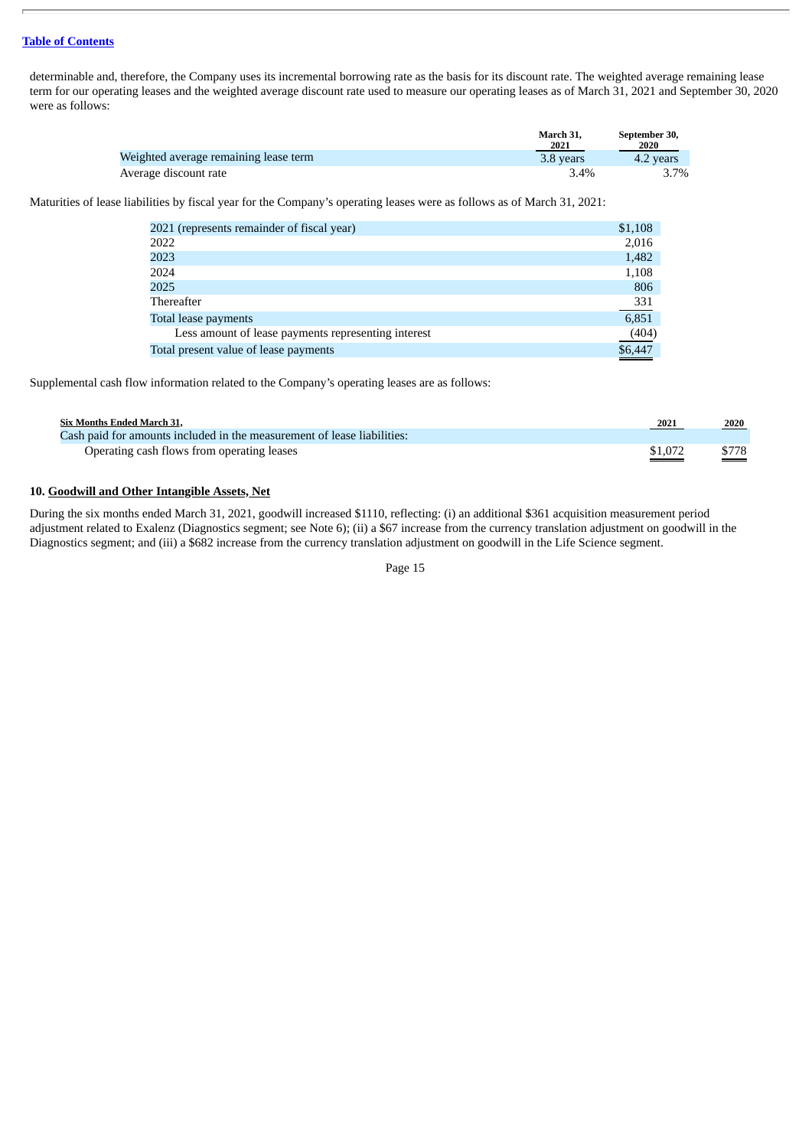determinable and, therefore, the Company uses its incremental borrowing rate as the basis for its discount rate. The weighted average remaining lease term for our operating leases and the weighted average discount rate used to measure our operating leases as of March 31, 2021 and September 30, 2020 were as follows:

|                                       | March 31.<br>2021 | September 30,<br>2020 |
|---------------------------------------|-------------------|-----------------------|
| Weighted average remaining lease term | 3.8 years         | 4.2 years             |
| Average discount rate                 | $3.4\%$           | 3.7%                  |

Maturities of lease liabilities by fiscal year for the Company's operating leases were as follows as of March 31, 2021:

| 2021 (represents remainder of fiscal year)          | \$1,108 |
|-----------------------------------------------------|---------|
| 2022                                                | 2,016   |
| 2023                                                | 1,482   |
| 2024                                                | 1,108   |
| 2025                                                | 806     |
| Thereafter                                          | 331     |
| Total lease payments                                | 6,851   |
| Less amount of lease payments representing interest | (404)   |
| Total present value of lease payments               | \$6,447 |

Supplemental cash flow information related to the Company's operating leases are as follows:

| Six Months Ended March 31.<br>Cash paid for amounts included in the measurement of lease liabilities: | 2021            | 2020              |
|-------------------------------------------------------------------------------------------------------|-----------------|-------------------|
| Operating cash flows from operating leases                                                            | \$1,072<br>____ | \$778<br>$\equiv$ |

#### **10. Goodwill and Other Intangible Assets, Net**

During the six months ended March 31, 2021, goodwill increased \$1110, reflecting: (i) an additional \$361 acquisition measurement period adjustment related to Exalenz (Diagnostics segment; see Note 6); (ii) a \$67 increase from the currency translation adjustment on goodwill in the Diagnostics segment; and (iii) a \$682 increase from the currency translation adjustment on goodwill in the Life Science segment.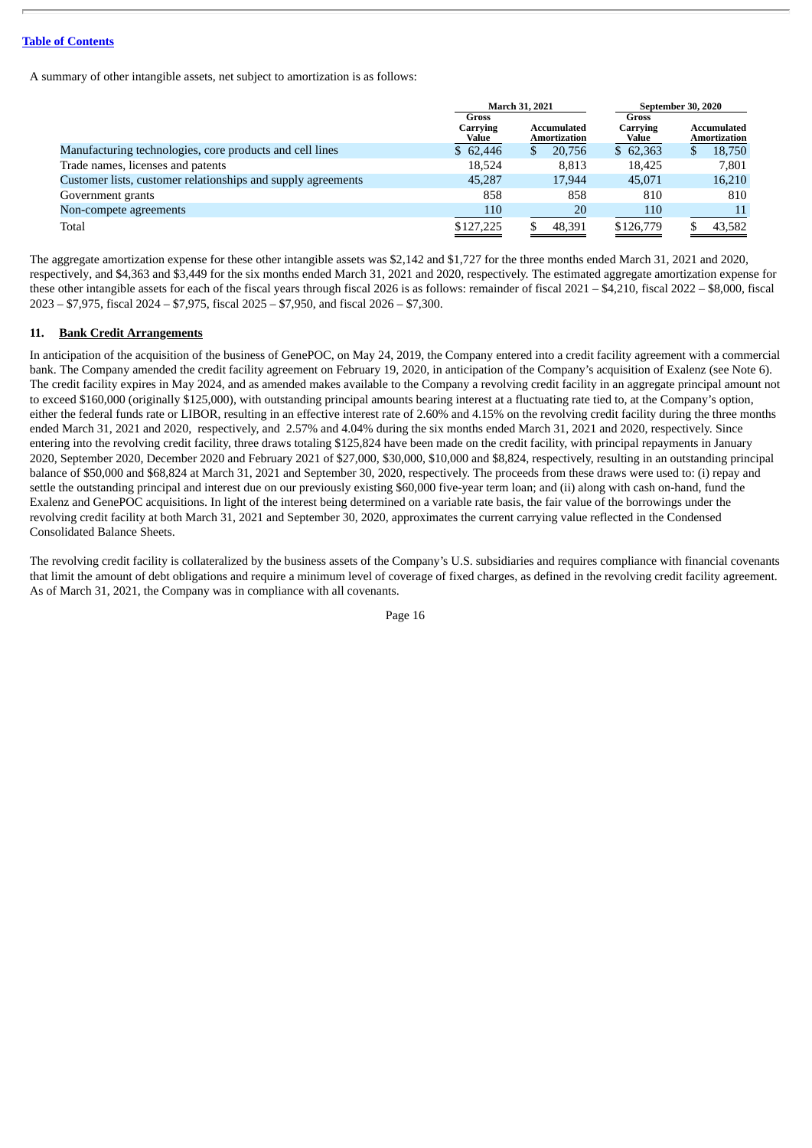A summary of other intangible assets, net subject to amortization is as follows:

|                                                              |                                                                                                                                    | March 31, 2021              |                            | <b>September 30, 2020</b>          |
|--------------------------------------------------------------|------------------------------------------------------------------------------------------------------------------------------------|-----------------------------|----------------------------|------------------------------------|
|                                                              | Gross<br>Carrying<br>Value                                                                                                         | Accumulated<br>Amortization | Gross<br>Carrying<br>Value | <b>Accumulated</b><br>Amortization |
| Manufacturing technologies, core products and cell lines     | \$62,446                                                                                                                           | 20,756<br>S                 | \$62,363                   | 18,750<br>$\mathbf{E}$             |
| Trade names, licenses and patents                            | 18,524                                                                                                                             | 8.813                       | 18.425                     | 7.801                              |
| Customer lists, customer relationships and supply agreements | 45.287                                                                                                                             | 17.944                      | 45,071                     | 16,210                             |
| Government grants                                            | 858                                                                                                                                | 858                         | 810                        | 810                                |
| Non-compete agreements                                       | 110                                                                                                                                | 20                          | 110                        |                                    |
| Total                                                        | \$127,225<br><u> Tanzania de la contenentación de la contenentación de la contenentación de la contenentación de la contenenta</u> | 48.391                      | \$126,779                  | 43,582                             |

The aggregate amortization expense for these other intangible assets was \$2,142 and \$1,727 for the three months ended March 31, 2021 and 2020, respectively, and \$4,363 and \$3,449 for the six months ended March 31, 2021 and 2020, respectively. The estimated aggregate amortization expense for these other intangible assets for each of the fiscal years through fiscal 2026 is as follows: remainder of fiscal 2021 – \$4,210, fiscal 2022 – \$8,000, fiscal 2023 – \$7,975, fiscal 2024 – \$7,975, fiscal 2025 – \$7,950, and fiscal 2026 – \$7,300.

## **11. Bank Credit Arrangements**

In anticipation of the acquisition of the business of GenePOC, on May 24, 2019, the Company entered into a credit facility agreement with a commercial bank. The Company amended the credit facility agreement on February 19, 2020, in anticipation of the Company's acquisition of Exalenz (see Note 6). The credit facility expires in May 2024, and as amended makes available to the Company a revolving credit facility in an aggregate principal amount not to exceed \$160,000 (originally \$125,000), with outstanding principal amounts bearing interest at a fluctuating rate tied to, at the Company's option, either the federal funds rate or LIBOR, resulting in an effective interest rate of 2.60% and 4.15% on the revolving credit facility during the three months ended March 31, 2021 and 2020, respectively, and 2.57% and 4.04% during the six months ended March 31, 2021 and 2020, respectively. Since entering into the revolving credit facility, three draws totaling \$125,824 have been made on the credit facility, with principal repayments in January 2020, September 2020, December 2020 and February 2021 of \$27,000, \$30,000, \$10,000 and \$8,824, respectively, resulting in an outstanding principal balance of \$50,000 and \$68,824 at March 31, 2021 and September 30, 2020, respectively. The proceeds from these draws were used to: (i) repay and settle the outstanding principal and interest due on our previously existing \$60,000 five-year term loan; and (ii) along with cash on-hand, fund the Exalenz and GenePOC acquisitions. In light of the interest being determined on a variable rate basis, the fair value of the borrowings under the revolving credit facility at both March 31, 2021 and September 30, 2020, approximates the current carrying value reflected in the Condensed Consolidated Balance Sheets.

The revolving credit facility is collateralized by the business assets of the Company's U.S. subsidiaries and requires compliance with financial covenants that limit the amount of debt obligations and require a minimum level of coverage of fixed charges, as defined in the revolving credit facility agreement. As of March 31, 2021, the Company was in compliance with all covenants.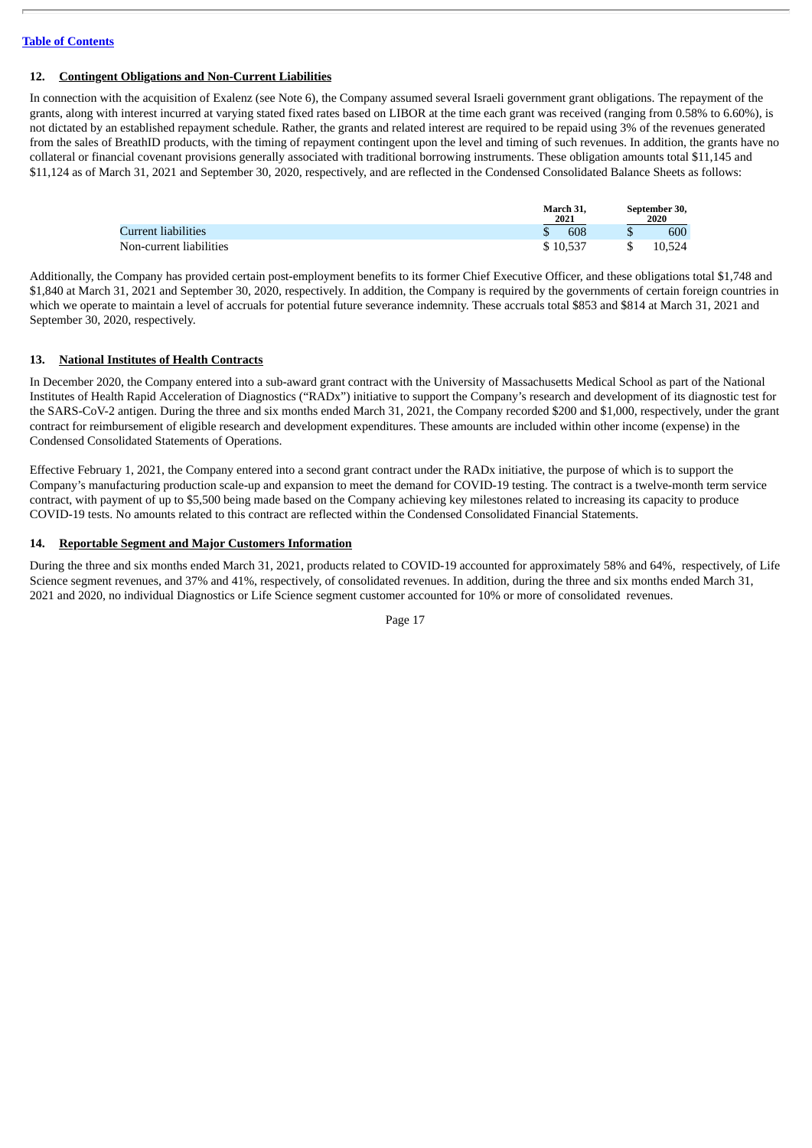#### **12. Contingent Obligations and Non-Current Liabilities**

In connection with the acquisition of Exalenz (see Note 6), the Company assumed several Israeli government grant obligations. The repayment of the grants, along with interest incurred at varying stated fixed rates based on LIBOR at the time each grant was received (ranging from 0.58% to 6.60%), is not dictated by an established repayment schedule. Rather, the grants and related interest are required to be repaid using 3% of the revenues generated from the sales of BreathID products, with the timing of repayment contingent upon the level and timing of such revenues. In addition, the grants have no collateral or financial covenant provisions generally associated with traditional borrowing instruments. These obligation amounts total \$11,145 and \$11,124 as of March 31, 2021 and September 30, 2020, respectively, and are reflected in the Condensed Consolidated Balance Sheets as follows:

|                            | March 31.<br>2021 | September 30.<br>2020 |
|----------------------------|-------------------|-----------------------|
| <b>Current liabilities</b> | 608               | 600                   |
| Non-current liabilities    | \$10,537          | 10.524                |

Additionally, the Company has provided certain post-employment benefits to its former Chief Executive Officer, and these obligations total \$1,748 and \$1,840 at March 31, 2021 and September 30, 2020, respectively. In addition, the Company is required by the governments of certain foreign countries in which we operate to maintain a level of accruals for potential future severance indemnity. These accruals total \$853 and \$814 at March 31, 2021 and September 30, 2020, respectively.

#### **13. National Institutes of Health Contracts**

In December 2020, the Company entered into a sub-award grant contract with the University of Massachusetts Medical School as part of the National Institutes of Health Rapid Acceleration of Diagnostics ("RADx") initiative to support the Company's research and development of its diagnostic test for the SARS-CoV-2 antigen. During the three and six months ended March 31, 2021, the Company recorded \$200 and \$1,000, respectively, under the grant contract for reimbursement of eligible research and development expenditures. These amounts are included within other income (expense) in the Condensed Consolidated Statements of Operations.

Effective February 1, 2021, the Company entered into a second grant contract under the RADx initiative, the purpose of which is to support the Company's manufacturing production scale-up and expansion to meet the demand for COVID-19 testing. The contract is a twelve-month term service contract, with payment of up to \$5,500 being made based on the Company achieving key milestones related to increasing its capacity to produce COVID-19 tests. No amounts related to this contract are reflected within the Condensed Consolidated Financial Statements.

#### **14. Reportable Segment and Major Customers Information**

During the three and six months ended March 31, 2021, products related to COVID-19 accounted for approximately 58% and 64%, respectively, of Life Science segment revenues, and 37% and 41%, respectively, of consolidated revenues. In addition, during the three and six months ended March 31, 2021 and 2020, no individual Diagnostics or Life Science segment customer accounted for 10% or more of consolidated revenues.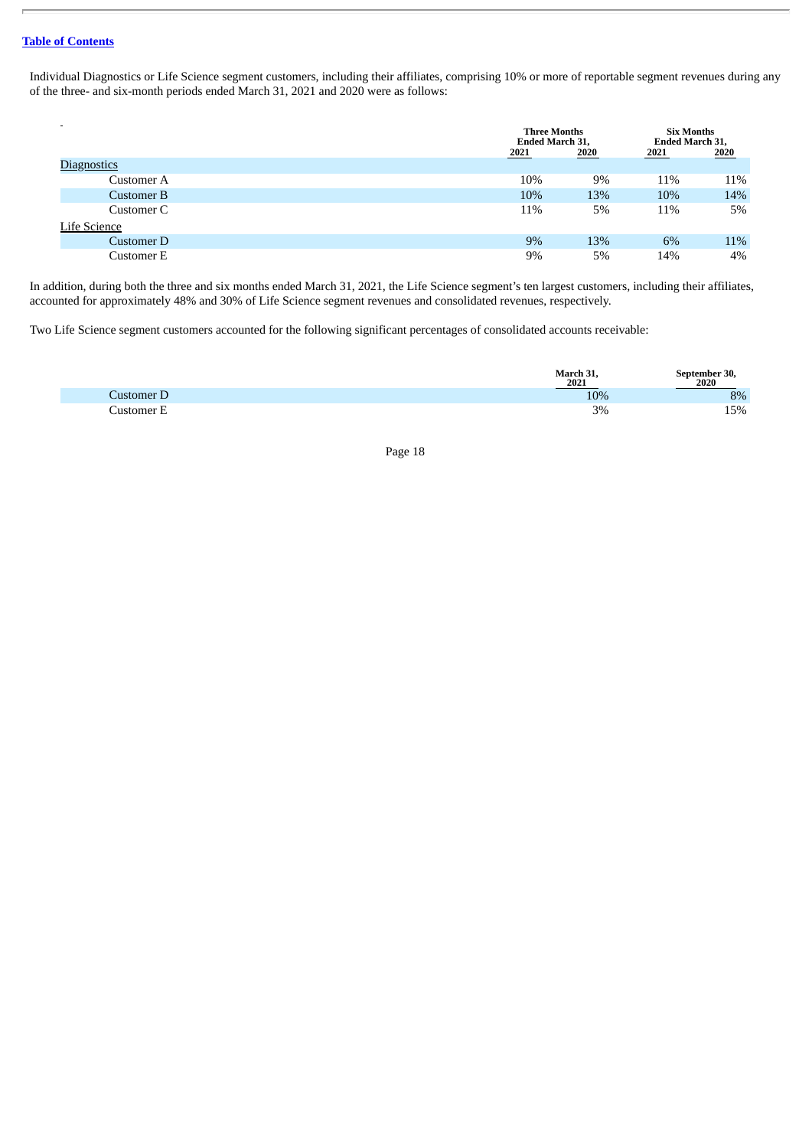Individual Diagnostics or Life Science segment customers, including their affiliates, comprising 10% or more of reportable segment revenues during any of the three- and six-month periods ended March 31, 2021 and 2020 were as follows:

| $\sim$             |      | <b>Three Months</b><br><b>Ended March 31,</b> | <b>Six Months</b><br><b>Ended March 31,</b> |      |  |
|--------------------|------|-----------------------------------------------|---------------------------------------------|------|--|
|                    | 2021 | 2020                                          | 2021                                        | 2020 |  |
| <b>Diagnostics</b> |      |                                               |                                             |      |  |
| Customer A         | 10%  | 9%                                            | 11%                                         | 11%  |  |
| Customer B         | 10%  | 13%                                           | 10%                                         | 14%  |  |
| Customer C         | 11%  | 5%                                            | 11%                                         | 5%   |  |
| Life Science       |      |                                               |                                             |      |  |
| Customer D         | 9%   | 13%                                           | 6%                                          | 11%  |  |
| Customer E         | 9%   | 5%                                            | 14%                                         | 4%   |  |

In addition, during both the three and six months ended March 31, 2021, the Life Science segment's ten largest customers, including their affiliates, accounted for approximately 48% and 30% of Life Science segment revenues and consolidated revenues, respectively.

Two Life Science segment customers accounted for the following significant percentages of consolidated accounts receivable:

|            | March 31,<br>2021 | September 30,<br>2020 |
|------------|-------------------|-----------------------|
| lustomer D | 10%               | 8%                    |
| lustomer E | 3%                | 15%                   |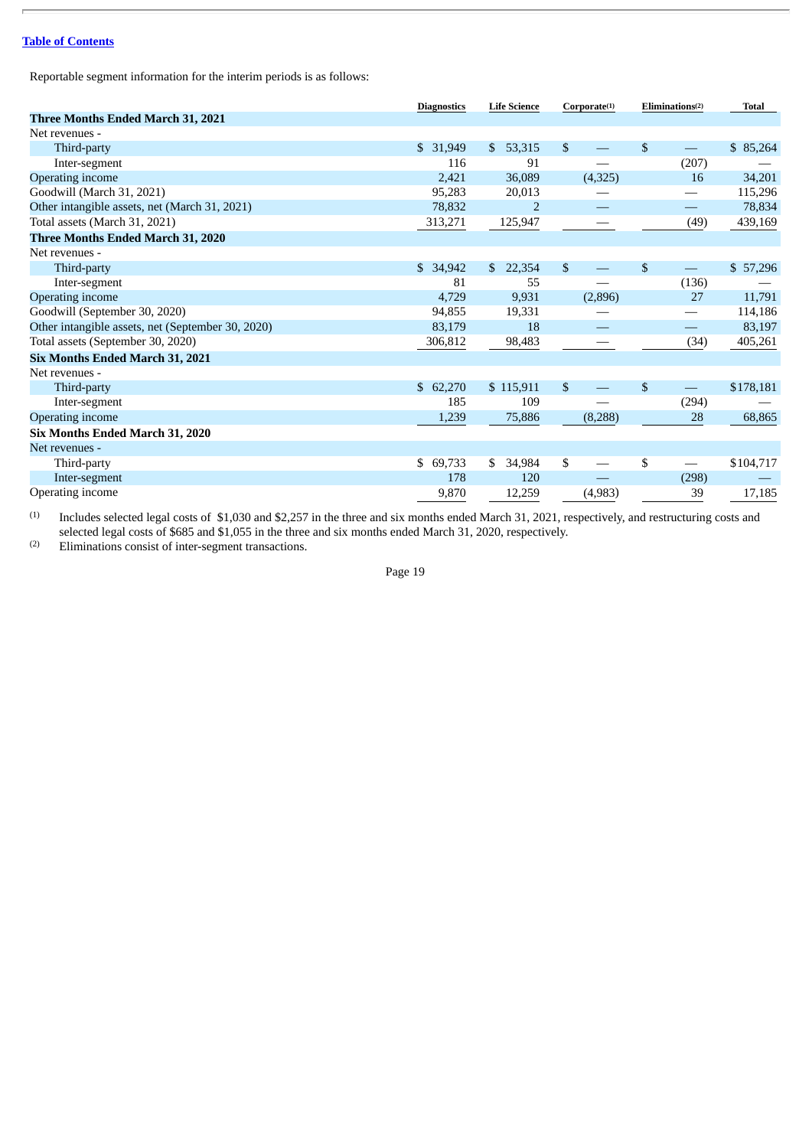Reportable segment information for the interim periods is as follows:

|                                                   | <b>Diagnostics</b> | <b>Life Science</b>      | Corporate <sup>(1)</sup> | Eliminations <sup>(2)</sup>                    |           |
|---------------------------------------------------|--------------------|--------------------------|--------------------------|------------------------------------------------|-----------|
| <b>Three Months Ended March 31, 2021</b>          |                    |                          |                          |                                                |           |
| Net revenues -                                    |                    |                          |                          |                                                |           |
| Third-party                                       | \$ 31,949          | 53,315<br>$\mathbb{S}^-$ | \$                       | \$                                             | \$85,264  |
| Inter-segment                                     | 116                | 91                       |                          | (207)                                          |           |
| Operating income                                  | 2,421              | 36,089                   | (4,325)                  | 16                                             | 34,201    |
| Goodwill (March 31, 2021)                         | 95,283             | 20,013                   |                          | $\overline{\phantom{0}}$                       | 115,296   |
| Other intangible assets, net (March 31, 2021)     | 78,832             | $\overline{2}$           |                          |                                                | 78,834    |
| Total assets (March 31, 2021)                     | 313,271            | 125,947                  |                          | (49)                                           | 439,169   |
| Three Months Ended March 31, 2020                 |                    |                          |                          |                                                |           |
| Net revenues -                                    |                    |                          |                          |                                                |           |
| Third-party                                       | \$34,942           | 22,354<br>$\mathbb{S}^-$ | \$                       | $\mathfrak{s}$                                 | \$57,296  |
| Inter-segment                                     | 81                 | 55                       |                          | (136)                                          |           |
| Operating income                                  | 4,729              | 9,931                    | (2,896)                  | 27                                             | 11,791    |
| Goodwill (September 30, 2020)                     | 94,855             | 19,331                   |                          | $\qquad \qquad$                                | 114,186   |
| Other intangible assets, net (September 30, 2020) | 83,179             | 18                       |                          |                                                | 83,197    |
| Total assets (September 30, 2020)                 | 306,812            | 98,483                   |                          | (34)                                           | 405,261   |
| <b>Six Months Ended March 31, 2021</b>            |                    |                          |                          |                                                |           |
| Net revenues -                                    |                    |                          |                          |                                                |           |
| Third-party                                       | \$62,270           | \$115,911                | \$                       | $\boldsymbol{\mathsf{S}}$<br>$\qquad \qquad -$ | \$178,181 |
| Inter-segment                                     | 185                | 109                      |                          | (294)                                          |           |
| Operating income                                  | 1,239              | 75,886                   | (8, 288)                 | 28                                             | 68,865    |
| Six Months Ended March 31, 2020                   |                    |                          |                          |                                                |           |
| Net revenues -                                    |                    |                          |                          |                                                |           |
| Third-party                                       | \$69,733           | 34,984<br>\$             | \$                       | \$                                             | \$104,717 |
| Inter-segment                                     | 178                | 120                      |                          | (298)                                          |           |
| Operating income                                  | 9,870              | 12,259                   | (4,983)                  | 39                                             | 17,185    |

(1) Includes selected legal costs of \$1,030 and \$2,257 in the three and six months ended March 31, 2021, respectively, and restructuring costs and selected legal costs of \$685 and \$1,055 in the three and six months ended March 31, 2020, respectively.

(2) Eliminations consist of inter-segment transactions.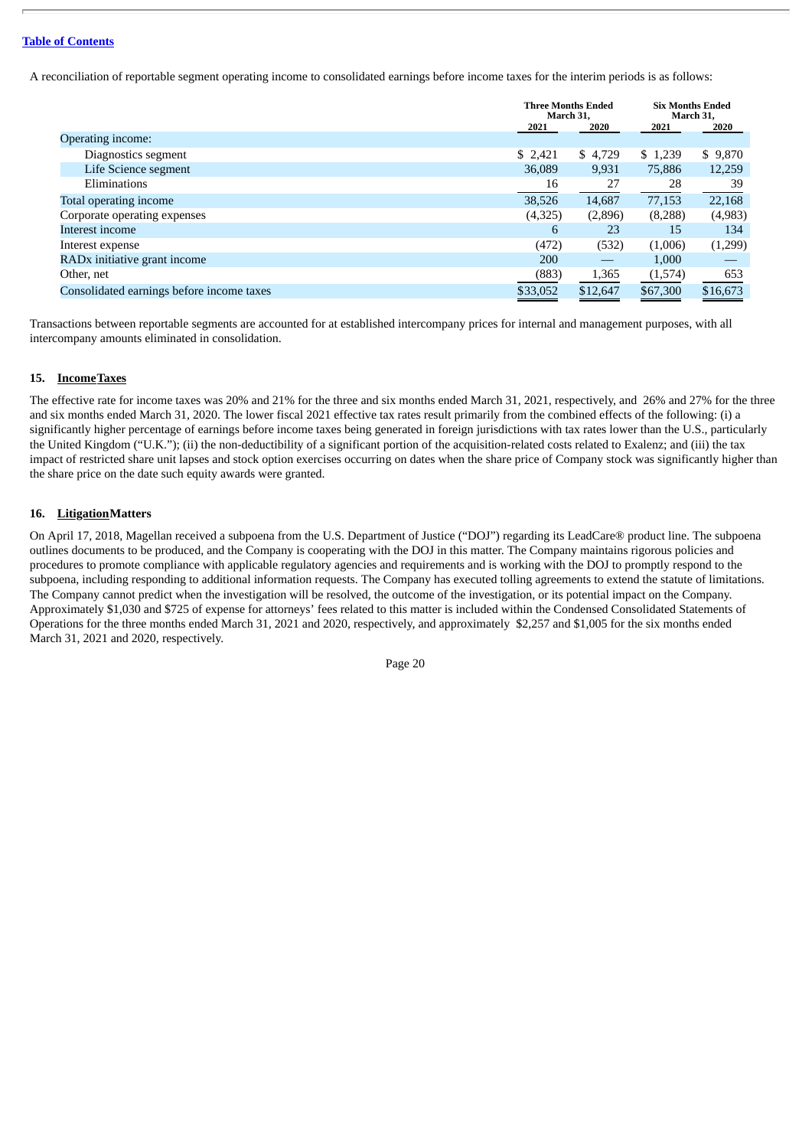A reconciliation of reportable segment operating income to consolidated earnings before income taxes for the interim periods is as follows:

| 2021     | 2020     | 2021                                   | 2020                                 |
|----------|----------|----------------------------------------|--------------------------------------|
|          |          |                                        |                                      |
| \$2,421  | \$4,729  | \$1,239                                | \$9,870                              |
| 36,089   | 9,931    | 75,886                                 | 12,259                               |
| 16       | 27       | 28                                     | 39                                   |
| 38,526   | 14,687   | 77,153                                 | 22,168                               |
| (4,325)  | (2,896)  | (8, 288)                               | (4,983)                              |
| 6        | 23       | 15                                     | 134                                  |
| (472)    | (532)    | (1,006)                                | (1,299)                              |
| 200      |          | 1.000                                  |                                      |
| (883)    | 1,365    | (1,574)                                | 653                                  |
| \$33,052 | \$12,647 | \$67,300                               | \$16,673                             |
|          |          | <b>Three Months Ended</b><br>March 31, | <b>Six Months Ended</b><br>March 31, |

Transactions between reportable segments are accounted for at established intercompany prices for internal and management purposes, with all intercompany amounts eliminated in consolidation.

## **15. IncomeTaxes**

The effective rate for income taxes was 20% and 21% for the three and six months ended March 31, 2021, respectively, and 26% and 27% for the three and six months ended March 31, 2020. The lower fiscal 2021 effective tax rates result primarily from the combined effects of the following: (i) a significantly higher percentage of earnings before income taxes being generated in foreign jurisdictions with tax rates lower than the U.S., particularly the United Kingdom ("U.K."); (ii) the non-deductibility of a significant portion of the acquisition-related costs related to Exalenz; and (iii) the tax impact of restricted share unit lapses and stock option exercises occurring on dates when the share price of Company stock was significantly higher than the share price on the date such equity awards were granted.

# **16. LitigationMatters**

On April 17, 2018, Magellan received a subpoena from the U.S. Department of Justice ("DOJ") regarding its LeadCare® product line. The subpoena outlines documents to be produced, and the Company is cooperating with the DOJ in this matter. The Company maintains rigorous policies and procedures to promote compliance with applicable regulatory agencies and requirements and is working with the DOJ to promptly respond to the subpoena, including responding to additional information requests. The Company has executed tolling agreements to extend the statute of limitations. The Company cannot predict when the investigation will be resolved, the outcome of the investigation, or its potential impact on the Company. Approximately \$1,030 and \$725 of expense for attorneys' fees related to this matter is included within the Condensed Consolidated Statements of Operations for the three months ended March 31, 2021 and 2020, respectively, and approximately \$2,257 and \$1,005 for the six months ended March 31, 2021 and 2020, respectively.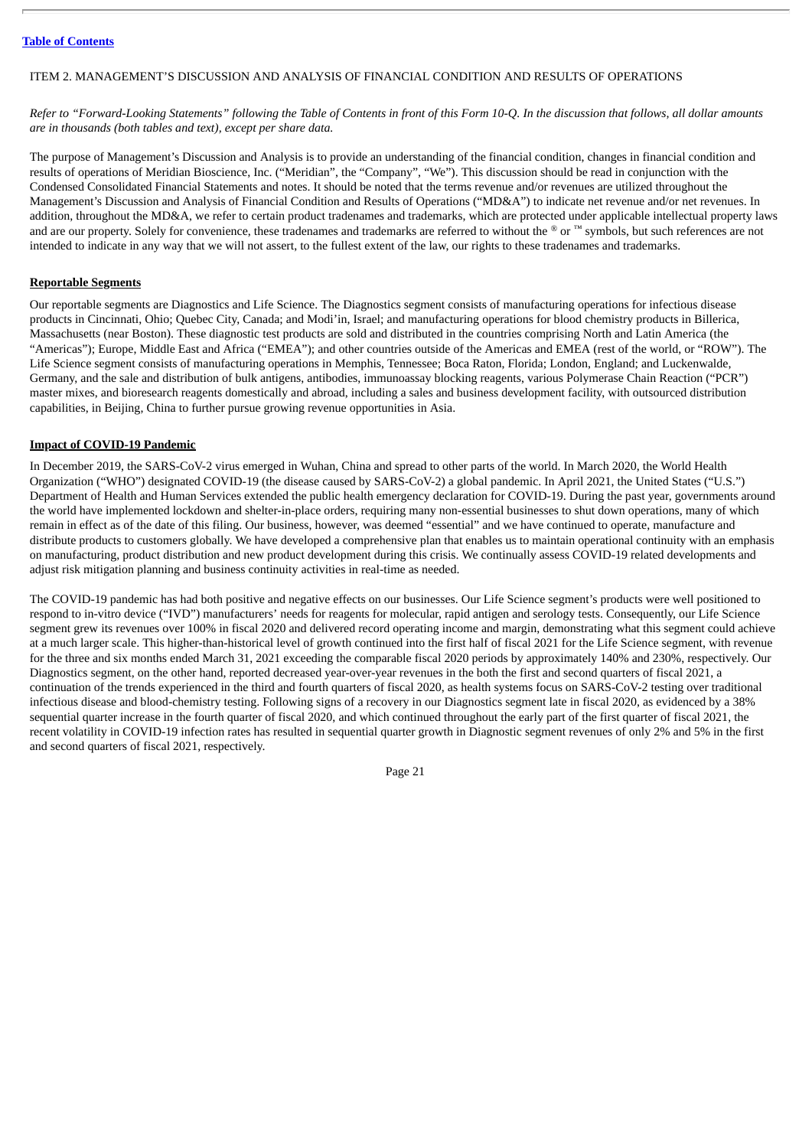#### <span id="page-24-0"></span>ITEM 2. MANAGEMENT'S DISCUSSION AND ANALYSIS OF FINANCIAL CONDITION AND RESULTS OF OPERATIONS

Refer to "Forward-Looking Statements" following the Table of Contents in front of this Form 10-Q. In the discussion that follows, all dollar amounts *are in thousands (both tables and text), except per share data.*

The purpose of Management's Discussion and Analysis is to provide an understanding of the financial condition, changes in financial condition and results of operations of Meridian Bioscience, Inc. ("Meridian", the "Company", "We"). This discussion should be read in conjunction with the Condensed Consolidated Financial Statements and notes. It should be noted that the terms revenue and/or revenues are utilized throughout the Management's Discussion and Analysis of Financial Condition and Results of Operations ("MD&A") to indicate net revenue and/or net revenues. In addition, throughout the MD&A, we refer to certain product tradenames and trademarks, which are protected under applicable intellectual property laws and are our property. Solely for convenience, these tradenames and trademarks are referred to without the *®* or ™ symbols, but such references are not intended to indicate in any way that we will not assert, to the fullest extent of the law, our rights to these tradenames and trademarks.

#### **Reportable Segments**

Our reportable segments are Diagnostics and Life Science. The Diagnostics segment consists of manufacturing operations for infectious disease products in Cincinnati, Ohio; Quebec City, Canada; and Modi'in, Israel; and manufacturing operations for blood chemistry products in Billerica, Massachusetts (near Boston). These diagnostic test products are sold and distributed in the countries comprising North and Latin America (the "Americas"); Europe, Middle East and Africa ("EMEA"); and other countries outside of the Americas and EMEA (rest of the world, or "ROW"). The Life Science segment consists of manufacturing operations in Memphis, Tennessee; Boca Raton, Florida; London, England; and Luckenwalde, Germany, and the sale and distribution of bulk antigens, antibodies, immunoassay blocking reagents, various Polymerase Chain Reaction ("PCR") master mixes, and bioresearch reagents domestically and abroad, including a sales and business development facility, with outsourced distribution capabilities, in Beijing, China to further pursue growing revenue opportunities in Asia.

#### **Impact of COVID-19 Pandemic**

In December 2019, the SARS-CoV-2 virus emerged in Wuhan, China and spread to other parts of the world. In March 2020, the World Health Organization ("WHO") designated COVID-19 (the disease caused by SARS-CoV-2) a global pandemic. In April 2021, the United States ("U.S.") Department of Health and Human Services extended the public health emergency declaration for COVID-19. During the past year, governments around the world have implemented lockdown and shelter-in-place orders, requiring many non-essential businesses to shut down operations, many of which remain in effect as of the date of this filing. Our business, however, was deemed "essential" and we have continued to operate, manufacture and distribute products to customers globally. We have developed a comprehensive plan that enables us to maintain operational continuity with an emphasis on manufacturing, product distribution and new product development during this crisis. We continually assess COVID-19 related developments and adjust risk mitigation planning and business continuity activities in real-time as needed.

The COVID-19 pandemic has had both positive and negative effects on our businesses. Our Life Science segment's products were well positioned to respond to in-vitro device ("IVD") manufacturers' needs for reagents for molecular, rapid antigen and serology tests. Consequently, our Life Science segment grew its revenues over 100% in fiscal 2020 and delivered record operating income and margin, demonstrating what this segment could achieve at a much larger scale. This higher-than-historical level of growth continued into the first half of fiscal 2021 for the Life Science segment, with revenue for the three and six months ended March 31, 2021 exceeding the comparable fiscal 2020 periods by approximately 140% and 230%, respectively. Our Diagnostics segment, on the other hand, reported decreased year-over-year revenues in the both the first and second quarters of fiscal 2021, a continuation of the trends experienced in the third and fourth quarters of fiscal 2020, as health systems focus on SARS-CoV-2 testing over traditional infectious disease and blood-chemistry testing. Following signs of a recovery in our Diagnostics segment late in fiscal 2020, as evidenced by a 38% sequential quarter increase in the fourth quarter of fiscal 2020, and which continued throughout the early part of the first quarter of fiscal 2021, the recent volatility in COVID-19 infection rates has resulted in sequential quarter growth in Diagnostic segment revenues of only 2% and 5% in the first and second quarters of fiscal 2021, respectively.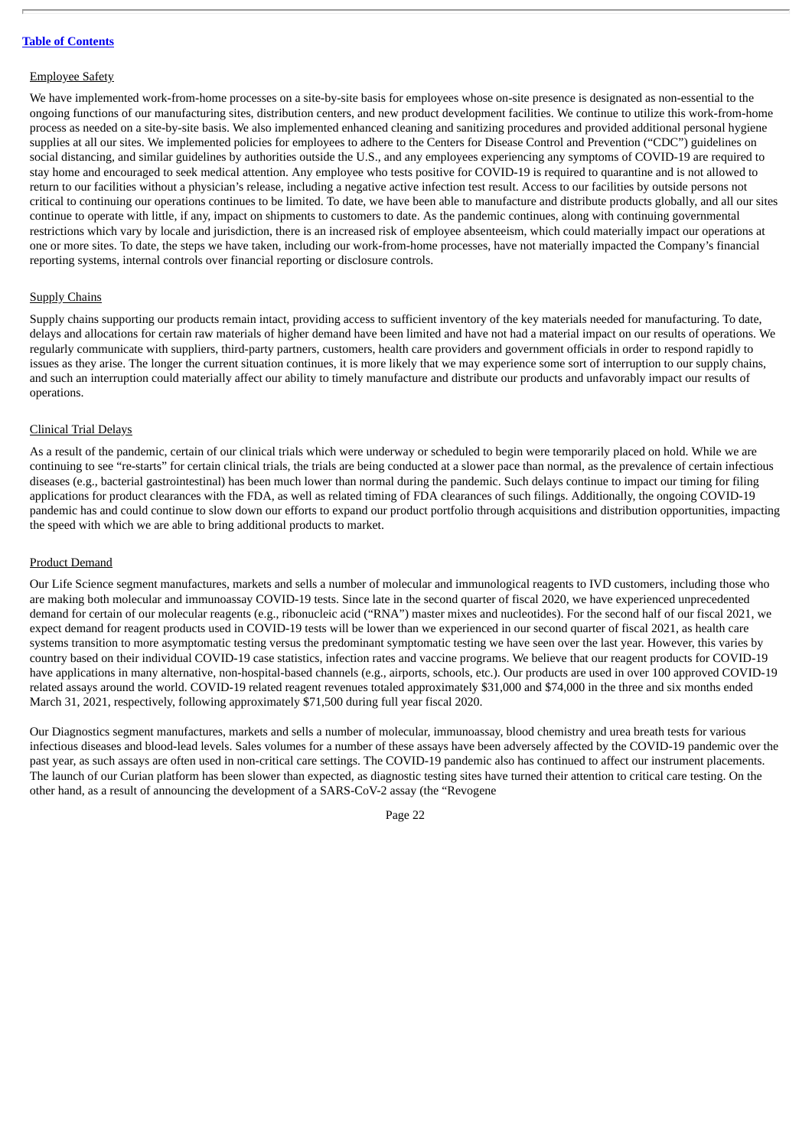#### Employee Safety

We have implemented work-from-home processes on a site-by-site basis for employees whose on-site presence is designated as non-essential to the ongoing functions of our manufacturing sites, distribution centers, and new product development facilities. We continue to utilize this work-from-home process as needed on a site-by-site basis. We also implemented enhanced cleaning and sanitizing procedures and provided additional personal hygiene supplies at all our sites. We implemented policies for employees to adhere to the Centers for Disease Control and Prevention ("CDC") guidelines on social distancing, and similar guidelines by authorities outside the U.S., and any employees experiencing any symptoms of COVID-19 are required to stay home and encouraged to seek medical attention. Any employee who tests positive for COVID-19 is required to quarantine and is not allowed to return to our facilities without a physician's release, including a negative active infection test result. Access to our facilities by outside persons not critical to continuing our operations continues to be limited. To date, we have been able to manufacture and distribute products globally, and all our sites continue to operate with little, if any, impact on shipments to customers to date. As the pandemic continues, along with continuing governmental restrictions which vary by locale and jurisdiction, there is an increased risk of employee absenteeism, which could materially impact our operations at one or more sites. To date, the steps we have taken, including our work-from-home processes, have not materially impacted the Company's financial reporting systems, internal controls over financial reporting or disclosure controls.

#### Supply Chains

Supply chains supporting our products remain intact, providing access to sufficient inventory of the key materials needed for manufacturing. To date, delays and allocations for certain raw materials of higher demand have been limited and have not had a material impact on our results of operations. We regularly communicate with suppliers, third-party partners, customers, health care providers and government officials in order to respond rapidly to issues as they arise. The longer the current situation continues, it is more likely that we may experience some sort of interruption to our supply chains, and such an interruption could materially affect our ability to timely manufacture and distribute our products and unfavorably impact our results of operations.

#### Clinical Trial Delays

As a result of the pandemic, certain of our clinical trials which were underway or scheduled to begin were temporarily placed on hold. While we are continuing to see "re-starts" for certain clinical trials, the trials are being conducted at a slower pace than normal, as the prevalence of certain infectious diseases (e.g., bacterial gastrointestinal) has been much lower than normal during the pandemic. Such delays continue to impact our timing for filing applications for product clearances with the FDA, as well as related timing of FDA clearances of such filings. Additionally, the ongoing COVID-19 pandemic has and could continue to slow down our efforts to expand our product portfolio through acquisitions and distribution opportunities, impacting the speed with which we are able to bring additional products to market.

#### Product Demand

Our Life Science segment manufactures, markets and sells a number of molecular and immunological reagents to IVD customers, including those who are making both molecular and immunoassay COVID-19 tests. Since late in the second quarter of fiscal 2020, we have experienced unprecedented demand for certain of our molecular reagents (e.g., ribonucleic acid ("RNA") master mixes and nucleotides). For the second half of our fiscal 2021, we expect demand for reagent products used in COVID-19 tests will be lower than we experienced in our second quarter of fiscal 2021, as health care systems transition to more asymptomatic testing versus the predominant symptomatic testing we have seen over the last year. However, this varies by country based on their individual COVID-19 case statistics, infection rates and vaccine programs. We believe that our reagent products for COVID-19 have applications in many alternative, non-hospital-based channels (e.g., airports, schools, etc.). Our products are used in over 100 approved COVID-19 related assays around the world. COVID-19 related reagent revenues totaled approximately \$31,000 and \$74,000 in the three and six months ended March 31, 2021, respectively, following approximately \$71,500 during full year fiscal 2020.

Our Diagnostics segment manufactures, markets and sells a number of molecular, immunoassay, blood chemistry and urea breath tests for various infectious diseases and blood-lead levels. Sales volumes for a number of these assays have been adversely affected by the COVID-19 pandemic over the past year, as such assays are often used in non-critical care settings. The COVID-19 pandemic also has continued to affect our instrument placements. The launch of our Curian platform has been slower than expected, as diagnostic testing sites have turned their attention to critical care testing. On the other hand, as a result of announcing the development of a SARS-CoV-2 assay (the "Revogene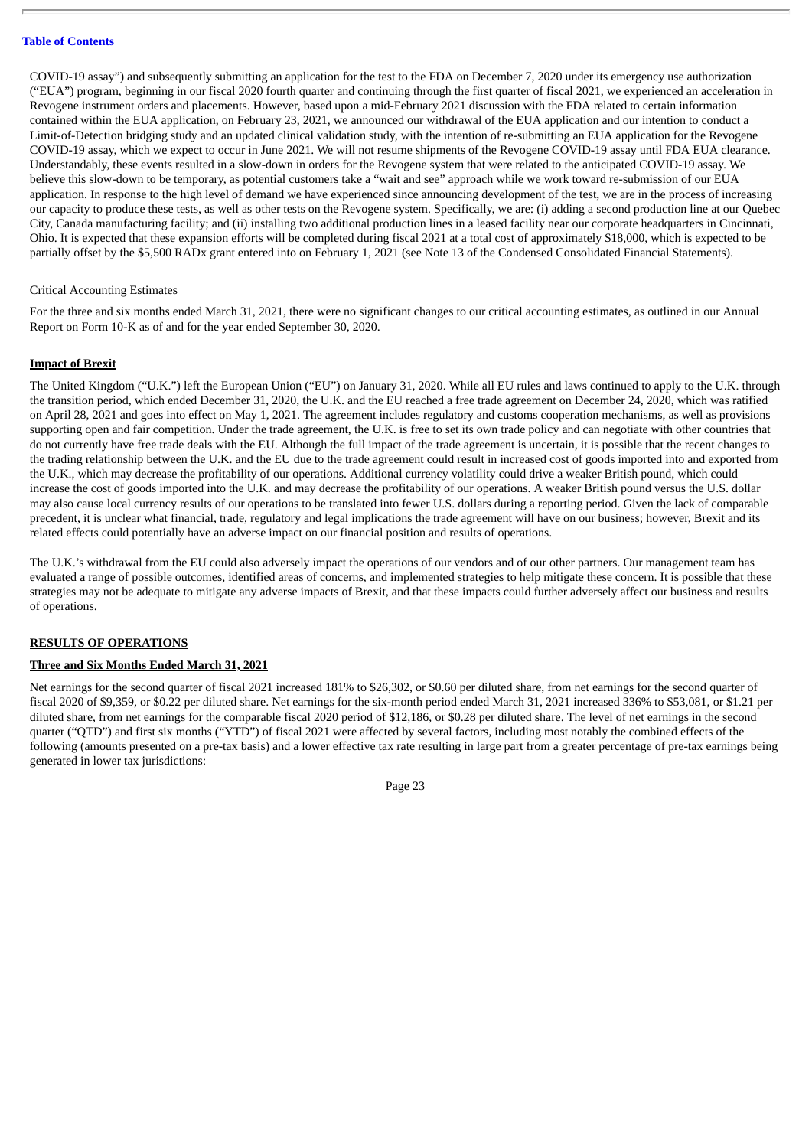COVID-19 assay") and subsequently submitting an application for the test to the FDA on December 7, 2020 under its emergency use authorization ("EUA") program, beginning in our fiscal 2020 fourth quarter and continuing through the first quarter of fiscal 2021, we experienced an acceleration in Revogene instrument orders and placements. However, based upon a mid-February 2021 discussion with the FDA related to certain information contained within the EUA application, on February 23, 2021, we announced our withdrawal of the EUA application and our intention to conduct a Limit-of-Detection bridging study and an updated clinical validation study, with the intention of re-submitting an EUA application for the Revogene COVID-19 assay, which we expect to occur in June 2021. We will not resume shipments of the Revogene COVID-19 assay until FDA EUA clearance. Understandably, these events resulted in a slow-down in orders for the Revogene system that were related to the anticipated COVID-19 assay. We believe this slow-down to be temporary, as potential customers take a "wait and see" approach while we work toward re-submission of our EUA application. In response to the high level of demand we have experienced since announcing development of the test, we are in the process of increasing our capacity to produce these tests, as well as other tests on the Revogene system. Specifically, we are: (i) adding a second production line at our Quebec City, Canada manufacturing facility; and (ii) installing two additional production lines in a leased facility near our corporate headquarters in Cincinnati, Ohio. It is expected that these expansion efforts will be completed during fiscal 2021 at a total cost of approximately \$18,000, which is expected to be partially offset by the \$5,500 RADx grant entered into on February 1, 2021 (see Note 13 of the Condensed Consolidated Financial Statements).

#### Critical Accounting Estimates

For the three and six months ended March 31, 2021, there were no significant changes to our critical accounting estimates, as outlined in our Annual Report on Form 10-K as of and for the year ended September 30, 2020.

#### **Impact of Brexit**

The United Kingdom ("U.K.") left the European Union ("EU") on January 31, 2020. While all EU rules and laws continued to apply to the U.K. through the transition period, which ended December 31, 2020, the U.K. and the EU reached a free trade agreement on December 24, 2020, which was ratified on April 28, 2021 and goes into effect on May 1, 2021. The agreement includes regulatory and customs cooperation mechanisms, as well as provisions supporting open and fair competition. Under the trade agreement, the U.K. is free to set its own trade policy and can negotiate with other countries that do not currently have free trade deals with the EU. Although the full impact of the trade agreement is uncertain, it is possible that the recent changes to the trading relationship between the U.K. and the EU due to the trade agreement could result in increased cost of goods imported into and exported from the U.K., which may decrease the profitability of our operations. Additional currency volatility could drive a weaker British pound, which could increase the cost of goods imported into the U.K. and may decrease the profitability of our operations. A weaker British pound versus the U.S. dollar may also cause local currency results of our operations to be translated into fewer U.S. dollars during a reporting period. Given the lack of comparable precedent, it is unclear what financial, trade, regulatory and legal implications the trade agreement will have on our business; however, Brexit and its related effects could potentially have an adverse impact on our financial position and results of operations.

The U.K.'s withdrawal from the EU could also adversely impact the operations of our vendors and of our other partners. Our management team has evaluated a range of possible outcomes, identified areas of concerns, and implemented strategies to help mitigate these concern. It is possible that these strategies may not be adequate to mitigate any adverse impacts of Brexit, and that these impacts could further adversely affect our business and results of operations.

#### **RESULTS OF OPERATIONS**

#### **Three and Six Months Ended March 31, 2021**

Net earnings for the second quarter of fiscal 2021 increased 181% to \$26,302, or \$0.60 per diluted share, from net earnings for the second quarter of fiscal 2020 of \$9,359, or \$0.22 per diluted share. Net earnings for the six-month period ended March 31, 2021 increased 336% to \$53,081, or \$1.21 per diluted share, from net earnings for the comparable fiscal 2020 period of \$12,186, or \$0.28 per diluted share. The level of net earnings in the second quarter ("QTD") and first six months ("YTD") of fiscal 2021 were affected by several factors, including most notably the combined effects of the following (amounts presented on a pre-tax basis) and a lower effective tax rate resulting in large part from a greater percentage of pre-tax earnings being generated in lower tax jurisdictions: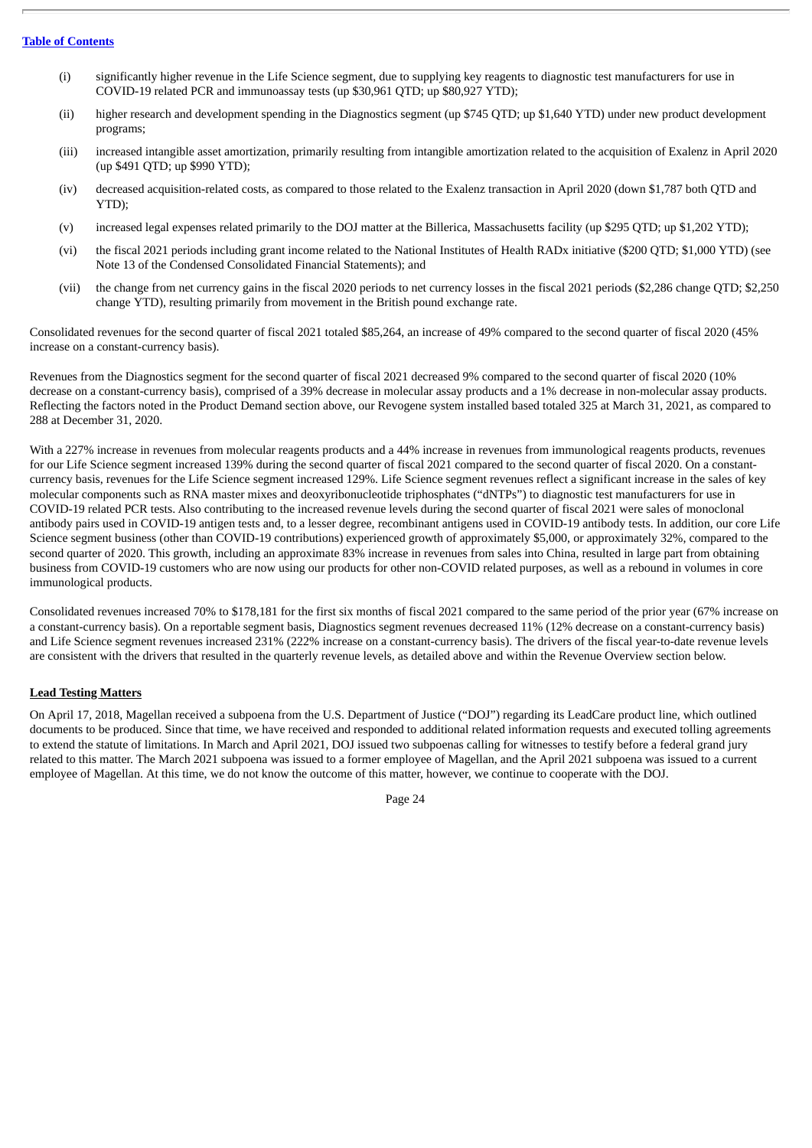- (i) significantly higher revenue in the Life Science segment, due to supplying key reagents to diagnostic test manufacturers for use in COVID-19 related PCR and immunoassay tests (up \$30,961 QTD; up \$80,927 YTD);
- (ii) higher research and development spending in the Diagnostics segment (up \$745 QTD; up \$1,640 YTD) under new product development programs;
- (iii) increased intangible asset amortization, primarily resulting from intangible amortization related to the acquisition of Exalenz in April 2020 (up \$491 QTD; up \$990 YTD);
- (iv) decreased acquisition-related costs, as compared to those related to the Exalenz transaction in April 2020 (down \$1,787 both QTD and YTD);
- (v) increased legal expenses related primarily to the DOJ matter at the Billerica, Massachusetts facility (up \$295 QTD; up \$1,202 YTD);
- (vi) the fiscal 2021 periods including grant income related to the National Institutes of Health RADx initiative (\$200 QTD; \$1,000 YTD) (see Note 13 of the Condensed Consolidated Financial Statements); and
- (vii) the change from net currency gains in the fiscal 2020 periods to net currency losses in the fiscal 2021 periods (\$2,286 change QTD; \$2,250 change YTD), resulting primarily from movement in the British pound exchange rate.

Consolidated revenues for the second quarter of fiscal 2021 totaled \$85,264, an increase of 49% compared to the second quarter of fiscal 2020 (45% increase on a constant-currency basis).

Revenues from the Diagnostics segment for the second quarter of fiscal 2021 decreased 9% compared to the second quarter of fiscal 2020 (10% decrease on a constant-currency basis), comprised of a 39% decrease in molecular assay products and a 1% decrease in non-molecular assay products. Reflecting the factors noted in the Product Demand section above, our Revogene system installed based totaled 325 at March 31, 2021, as compared to 288 at December 31, 2020.

With a 227% increase in revenues from molecular reagents products and a 44% increase in revenues from immunological reagents products, revenues for our Life Science segment increased 139% during the second quarter of fiscal 2021 compared to the second quarter of fiscal 2020. On a constantcurrency basis, revenues for the Life Science segment increased 129%. Life Science segment revenues reflect a significant increase in the sales of key molecular components such as RNA master mixes and deoxyribonucleotide triphosphates ("dNTPs") to diagnostic test manufacturers for use in COVID-19 related PCR tests. Also contributing to the increased revenue levels during the second quarter of fiscal 2021 were sales of monoclonal antibody pairs used in COVID-19 antigen tests and, to a lesser degree, recombinant antigens used in COVID-19 antibody tests. In addition, our core Life Science segment business (other than COVID-19 contributions) experienced growth of approximately \$5,000, or approximately 32%, compared to the second quarter of 2020. This growth, including an approximate 83% increase in revenues from sales into China, resulted in large part from obtaining business from COVID-19 customers who are now using our products for other non-COVID related purposes, as well as a rebound in volumes in core immunological products.

Consolidated revenues increased 70% to \$178,181 for the first six months of fiscal 2021 compared to the same period of the prior year (67% increase on a constant-currency basis). On a reportable segment basis, Diagnostics segment revenues decreased 11% (12% decrease on a constant-currency basis) and Life Science segment revenues increased 231% (222% increase on a constant-currency basis). The drivers of the fiscal year-to-date revenue levels are consistent with the drivers that resulted in the quarterly revenue levels, as detailed above and within the Revenue Overview section below.

#### **Lead Testing Matters**

On April 17, 2018, Magellan received a subpoena from the U.S. Department of Justice ("DOJ") regarding its LeadCare product line, which outlined documents to be produced. Since that time, we have received and responded to additional related information requests and executed tolling agreements to extend the statute of limitations. In March and April 2021, DOJ issued two subpoenas calling for witnesses to testify before a federal grand jury related to this matter. The March 2021 subpoena was issued to a former employee of Magellan, and the April 2021 subpoena was issued to a current employee of Magellan. At this time, we do not know the outcome of this matter, however, we continue to cooperate with the DOJ.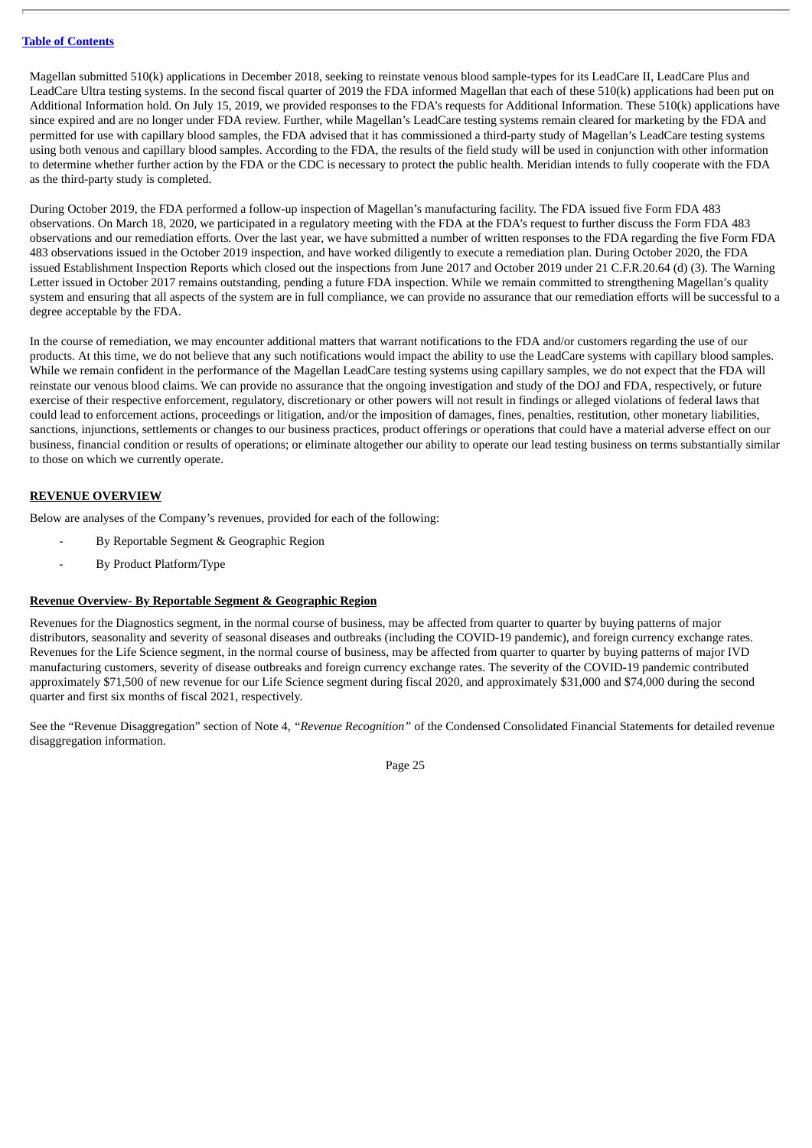Magellan submitted 510(k) applications in December 2018, seeking to reinstate venous blood sample-types for its LeadCare II, LeadCare Plus and LeadCare Ultra testing systems. In the second fiscal quarter of 2019 the FDA informed Magellan that each of these 510(k) applications had been put on Additional Information hold. On July 15, 2019, we provided responses to the FDA's requests for Additional Information. These 510(k) applications have since expired and are no longer under FDA review. Further, while Magellan's LeadCare testing systems remain cleared for marketing by the FDA and permitted for use with capillary blood samples, the FDA advised that it has commissioned a third-party study of Magellan's LeadCare testing systems using both venous and capillary blood samples. According to the FDA, the results of the field study will be used in conjunction with other information to determine whether further action by the FDA or the CDC is necessary to protect the public health. Meridian intends to fully cooperate with the FDA as the third-party study is completed.

During October 2019, the FDA performed a follow-up inspection of Magellan's manufacturing facility. The FDA issued five Form FDA 483 observations. On March 18, 2020, we participated in a regulatory meeting with the FDA at the FDA's request to further discuss the Form FDA 483 observations and our remediation efforts. Over the last year, we have submitted a number of written responses to the FDA regarding the five Form FDA 483 observations issued in the October 2019 inspection, and have worked diligently to execute a remediation plan. During October 2020, the FDA issued Establishment Inspection Reports which closed out the inspections from June 2017 and October 2019 under 21 C.F.R.20.64 (d) (3). The Warning Letter issued in October 2017 remains outstanding, pending a future FDA inspection. While we remain committed to strengthening Magellan's quality system and ensuring that all aspects of the system are in full compliance, we can provide no assurance that our remediation efforts will be successful to a degree acceptable by the FDA.

In the course of remediation, we may encounter additional matters that warrant notifications to the FDA and/or customers regarding the use of our products. At this time, we do not believe that any such notifications would impact the ability to use the LeadCare systems with capillary blood samples. While we remain confident in the performance of the Magellan LeadCare testing systems using capillary samples, we do not expect that the FDA will reinstate our venous blood claims. We can provide no assurance that the ongoing investigation and study of the DOJ and FDA, respectively, or future exercise of their respective enforcement, regulatory, discretionary or other powers will not result in findings or alleged violations of federal laws that could lead to enforcement actions, proceedings or litigation, and/or the imposition of damages, fines, penalties, restitution, other monetary liabilities, sanctions, injunctions, settlements or changes to our business practices, product offerings or operations that could have a material adverse effect on our business, financial condition or results of operations; or eliminate altogether our ability to operate our lead testing business on terms substantially similar to those on which we currently operate.

#### **REVENUE OVERVIEW**

Below are analyses of the Company's revenues, provided for each of the following:

- By Reportable Segment & Geographic Region
- By Product Platform/Type

#### **Revenue Overview- By Reportable Segment & Geographic Region**

Revenues for the Diagnostics segment, in the normal course of business, may be affected from quarter to quarter by buying patterns of major distributors, seasonality and severity of seasonal diseases and outbreaks (including the COVID-19 pandemic), and foreign currency exchange rates. Revenues for the Life Science segment, in the normal course of business, may be affected from quarter to quarter by buying patterns of major IVD manufacturing customers, severity of disease outbreaks and foreign currency exchange rates. The severity of the COVID-19 pandemic contributed approximately \$71,500 of new revenue for our Life Science segment during fiscal 2020, and approximately \$31,000 and \$74,000 during the second quarter and first six months of fiscal 2021, respectively.

See the "Revenue Disaggregation" section of Note 4, *"Revenue Recognition"* of the Condensed Consolidated Financial Statements for detailed revenue disaggregation information.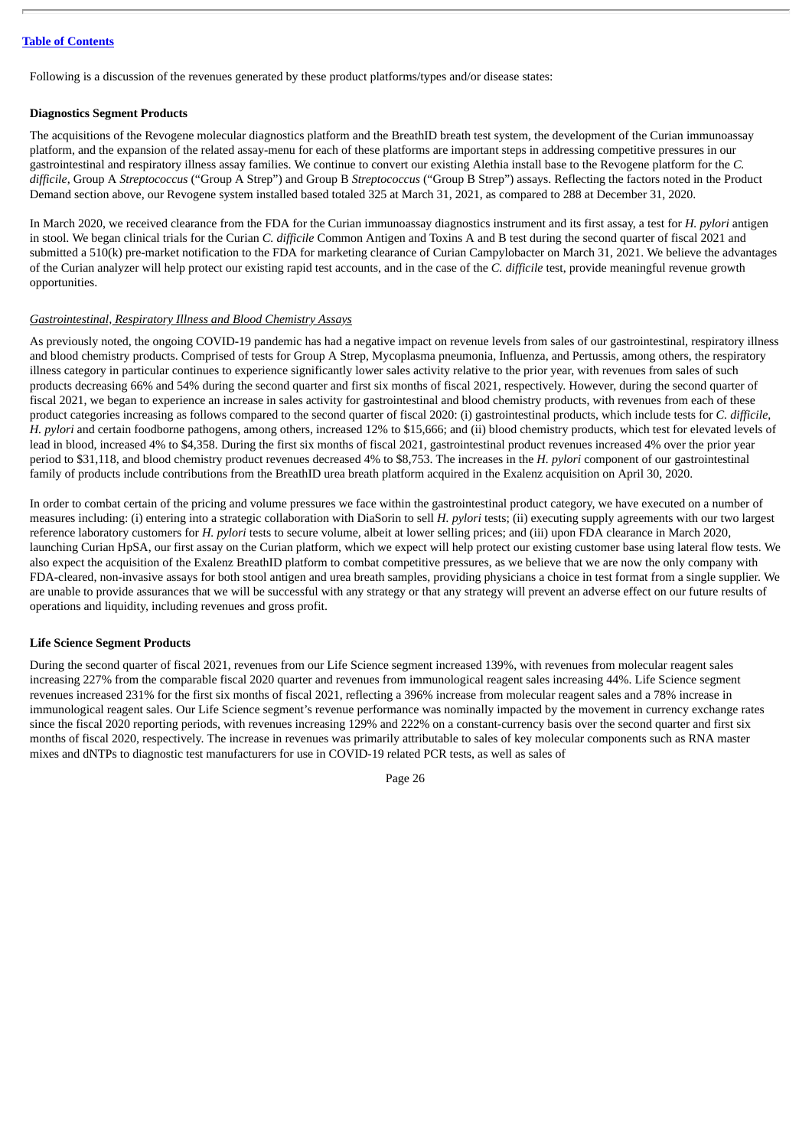Following is a discussion of the revenues generated by these product platforms/types and/or disease states:

#### **Diagnostics Segment Products**

The acquisitions of the Revogene molecular diagnostics platform and the BreathID breath test system, the development of the Curian immunoassay platform, and the expansion of the related assay-menu for each of these platforms are important steps in addressing competitive pressures in our gastrointestinal and respiratory illness assay families. We continue to convert our existing Alethia install base to the Revogene platform for the *C. difficile*, Group A *Streptococcus* ("Group A Strep") and Group B *Streptococcus* ("Group B Strep") assays. Reflecting the factors noted in the Product Demand section above, our Revogene system installed based totaled 325 at March 31, 2021, as compared to 288 at December 31, 2020.

In March 2020, we received clearance from the FDA for the Curian immunoassay diagnostics instrument and its first assay, a test for *H. pylori* antigen in stool. We began clinical trials for the Curian *C. difficile* Common Antigen and Toxins A and B test during the second quarter of fiscal 2021 and submitted a 510(k) pre-market notification to the FDA for marketing clearance of Curian Campylobacter on March 31, 2021. We believe the advantages of the Curian analyzer will help protect our existing rapid test accounts, and in the case of the *C. difficile* test, provide meaningful revenue growth opportunities.

#### *Gastrointestinal, Respiratory Illness and Blood Chemistry Assays*

As previously noted, the ongoing COVID-19 pandemic has had a negative impact on revenue levels from sales of our gastrointestinal, respiratory illness and blood chemistry products. Comprised of tests for Group A Strep, Mycoplasma pneumonia, Influenza, and Pertussis, among others, the respiratory illness category in particular continues to experience significantly lower sales activity relative to the prior year, with revenues from sales of such products decreasing 66% and 54% during the second quarter and first six months of fiscal 2021, respectively. However, during the second quarter of fiscal 2021, we began to experience an increase in sales activity for gastrointestinal and blood chemistry products, with revenues from each of these product categories increasing as follows compared to the second quarter of fiscal 2020: (i) gastrointestinal products, which include tests for *C. difficile*, *H. pylori* and certain foodborne pathogens, among others, increased 12% to \$15,666; and (ii) blood chemistry products, which test for elevated levels of lead in blood, increased 4% to \$4,358. During the first six months of fiscal 2021, gastrointestinal product revenues increased 4% over the prior year period to \$31,118, and blood chemistry product revenues decreased 4% to \$8,753. The increases in the *H. pylori* component of our gastrointestinal family of products include contributions from the BreathID urea breath platform acquired in the Exalenz acquisition on April 30, 2020.

In order to combat certain of the pricing and volume pressures we face within the gastrointestinal product category, we have executed on a number of measures including: (i) entering into a strategic collaboration with DiaSorin to sell *H. pylori* tests; (ii) executing supply agreements with our two largest reference laboratory customers for *H. pylori* tests to secure volume, albeit at lower selling prices; and (iii) upon FDA clearance in March 2020, launching Curian HpSA, our first assay on the Curian platform, which we expect will help protect our existing customer base using lateral flow tests. We also expect the acquisition of the Exalenz BreathID platform to combat competitive pressures, as we believe that we are now the only company with FDA-cleared, non-invasive assays for both stool antigen and urea breath samples, providing physicians a choice in test format from a single supplier. We are unable to provide assurances that we will be successful with any strategy or that any strategy will prevent an adverse effect on our future results of operations and liquidity, including revenues and gross profit.

#### **Life Science Segment Products**

During the second quarter of fiscal 2021, revenues from our Life Science segment increased 139%, with revenues from molecular reagent sales increasing 227% from the comparable fiscal 2020 quarter and revenues from immunological reagent sales increasing 44%. Life Science segment revenues increased 231% for the first six months of fiscal 2021, reflecting a 396% increase from molecular reagent sales and a 78% increase in immunological reagent sales. Our Life Science segment's revenue performance was nominally impacted by the movement in currency exchange rates since the fiscal 2020 reporting periods, with revenues increasing 129% and 222% on a constant-currency basis over the second quarter and first six months of fiscal 2020, respectively. The increase in revenues was primarily attributable to sales of key molecular components such as RNA master mixes and dNTPs to diagnostic test manufacturers for use in COVID-19 related PCR tests, as well as sales of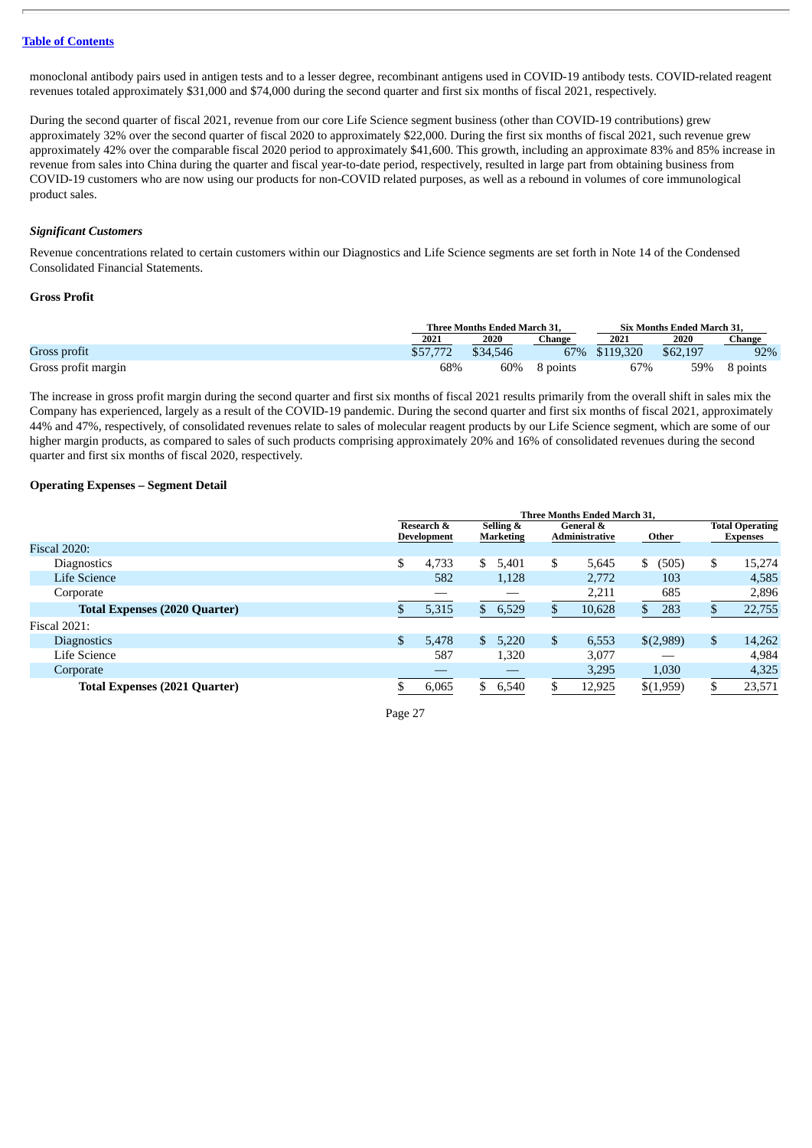monoclonal antibody pairs used in antigen tests and to a lesser degree, recombinant antigens used in COVID-19 antibody tests. COVID-related reagent revenues totaled approximately \$31,000 and \$74,000 during the second quarter and first six months of fiscal 2021, respectively.

During the second quarter of fiscal 2021, revenue from our core Life Science segment business (other than COVID-19 contributions) grew approximately 32% over the second quarter of fiscal 2020 to approximately \$22,000. During the first six months of fiscal 2021, such revenue grew approximately 42% over the comparable fiscal 2020 period to approximately \$41,600. This growth, including an approximate 83% and 85% increase in revenue from sales into China during the quarter and fiscal year-to-date period, respectively, resulted in large part from obtaining business from COVID-19 customers who are now using our products for non-COVID related purposes, as well as a rebound in volumes of core immunological product sales.

#### *Significant Customers*

Revenue concentrations related to certain customers within our Diagnostics and Life Science segments are set forth in Note 14 of the Condensed Consolidated Financial Statements.

#### **Gross Profit**

|                     |          | <b>Three Months Ended March 31.</b> |          | Six Months Ended March 31. |          |          |
|---------------------|----------|-------------------------------------|----------|----------------------------|----------|----------|
|                     | 2021     | 2020                                | Change   | 2021                       | 2020     | Change   |
| Gross profit        | \$57,772 | \$34,546                            |          | 67% \$119,320              | \$62,197 | 92%      |
| Gross profit margin | 68%      | 60%                                 | 8 points | 67%                        | 59%      | 8 points |

The increase in gross profit margin during the second quarter and first six months of fiscal 2021 results primarily from the overall shift in sales mix the Company has experienced, largely as a result of the COVID-19 pandemic. During the second quarter and first six months of fiscal 2021, approximately 44% and 47%, respectively, of consolidated revenues relate to sales of molecular reagent products by our Life Science segment, which are some of our higher margin products, as compared to sales of such products comprising approximately 20% and 16% of consolidated revenues during the second quarter and first six months of fiscal 2020, respectively.

#### **Operating Expenses – Segment Detail**

|                                      | <b>Three Months Ended March 31.</b> |                                                                   |                |                                        |              |        |                     |                                           |        |
|--------------------------------------|-------------------------------------|-------------------------------------------------------------------|----------------|----------------------------------------|--------------|--------|---------------------|-------------------------------------------|--------|
|                                      |                                     | Research &<br>Selling &<br><b>Marketing</b><br><b>Development</b> |                | <b>General &amp;</b><br>Administrative |              | Other  |                     | <b>Total Operating</b><br><b>Expenses</b> |        |
| <b>Fiscal 2020:</b>                  |                                     |                                                                   |                |                                        |              |        |                     |                                           |        |
| Diagnostics                          | \$                                  | 4,733                                                             | S.             | 5.401                                  | \$           | 5.645  | \$<br>(505)         | \$                                        | 15,274 |
| Life Science                         |                                     | 582                                                               |                | 1,128                                  |              | 2,772  | 103                 |                                           | 4,585  |
| Corporate                            |                                     |                                                                   |                |                                        |              | 2,211  | 685                 |                                           | 2,896  |
| <b>Total Expenses (2020 Quarter)</b> |                                     | 5,315                                                             | $\mathbb{S}$   | 6,529                                  | S            | 10,628 | $\mathbb{S}$<br>283 |                                           | 22,755 |
| <b>Fiscal 2021:</b>                  |                                     |                                                                   |                |                                        |              |        |                     |                                           |        |
| <b>Diagnostics</b>                   | \$                                  | 5,478                                                             | $\mathbb{S}^-$ | 5.220                                  | $\mathbb{S}$ | 6,553  | \$(2,989)           | \$                                        | 14,262 |
| Life Science                         |                                     | 587                                                               |                | 1,320                                  |              | 3,077  |                     |                                           | 4,984  |
| Corporate                            |                                     |                                                                   |                |                                        |              | 3,295  | 1,030               |                                           | 4,325  |
| <b>Total Expenses (2021 Quarter)</b> |                                     | 6,065                                                             | \$             | 6,540                                  |              | 12,925 | \$(1,959)           | ה.                                        | 23,571 |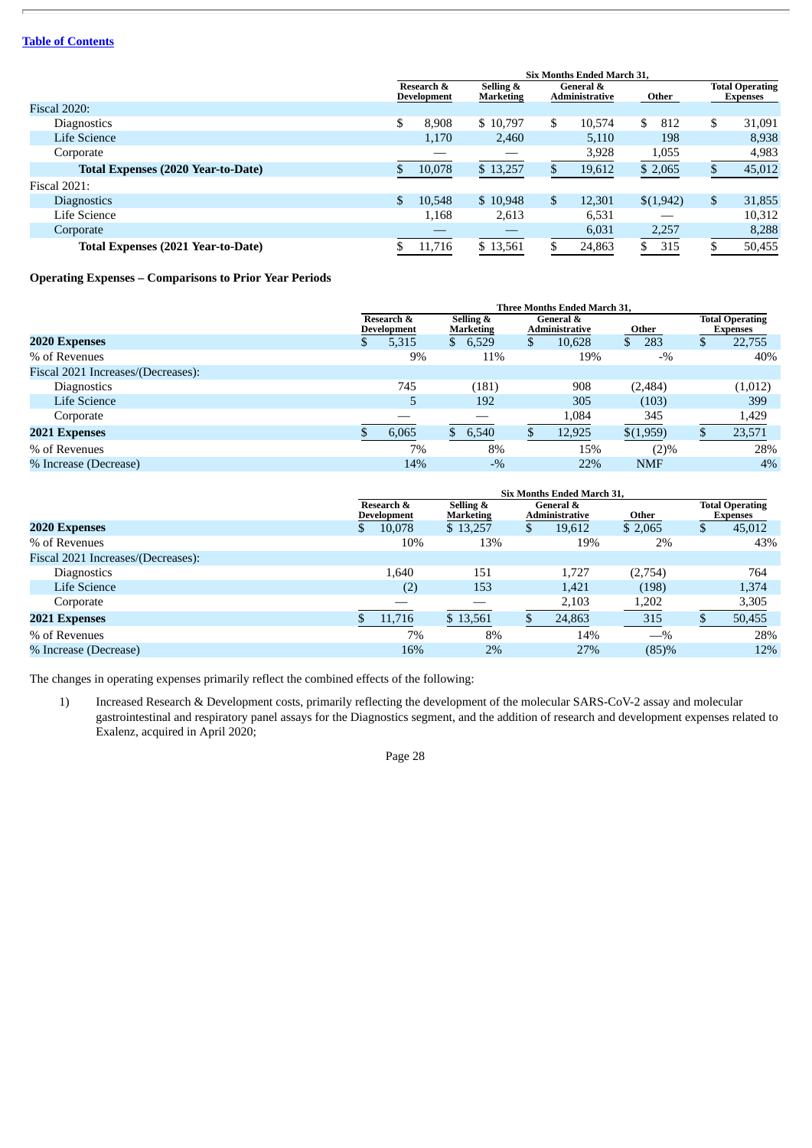|                                    | <b>Six Months Ended March 31.</b> |        |                                                                                |    |        |           |    |                                           |
|------------------------------------|-----------------------------------|--------|--------------------------------------------------------------------------------|----|--------|-----------|----|-------------------------------------------|
|                                    | Research &<br>Development         |        | Selling &<br><b>General &amp;</b><br><b>Administrative</b><br><b>Marketing</b> |    | Other  |           |    | <b>Total Operating</b><br><b>Expenses</b> |
| <b>Fiscal 2020:</b>                |                                   |        |                                                                                |    |        |           |    |                                           |
| <b>Diagnostics</b>                 | \$                                | 8.908  | \$10,797                                                                       | \$ | 10.574 | \$<br>812 | \$ | 31,091                                    |
| Life Science                       |                                   | 1,170  | 2,460                                                                          |    | 5,110  | 198       |    | 8,938                                     |
| Corporate                          |                                   |        |                                                                                |    | 3,928  | 1,055     |    | 4,983                                     |
| Total Expenses (2020 Year-to-Date) |                                   | 10,078 | \$13,257                                                                       |    | 19,612 | \$2,065   | J. | 45,012                                    |
| <b>Fiscal 2021:</b>                |                                   |        |                                                                                |    |        |           |    |                                           |
| <b>Diagnostics</b>                 |                                   | 10,548 | \$10,948                                                                       | \$ | 12,301 | \$(1,942) | \$ | 31,855                                    |
| Life Science                       |                                   | 1,168  | 2,613                                                                          |    | 6,531  |           |    | 10,312                                    |
| Corporate                          |                                   |        |                                                                                |    | 6,031  | 2,257     |    | 8,288                                     |
| Total Expenses (2021 Year-to-Date) |                                   | 11,716 | \$13,561                                                                       | £. | 24,863 | 315<br>\$ |    | 50,455                                    |

**Operating Expenses – Comparisons to Prior Year Periods**

|                                    |  | Three Months Ended March 31, |    |                               |   |                                        |       |            |                                           |         |
|------------------------------------|--|------------------------------|----|-------------------------------|---|----------------------------------------|-------|------------|-------------------------------------------|---------|
|                                    |  | Research &<br>Development    |    | Selling &<br><b>Marketing</b> |   | <b>General &amp;</b><br>Administrative | Other |            | <b>Total Operating</b><br><b>Expenses</b> |         |
| <b>2020 Expenses</b>               |  | 5,315                        | S. | 6,529                         | S | 10,628                                 | S     | 283        |                                           | 22,755  |
| % of Revenues                      |  | 9%                           |    | 11%                           |   | 19%                                    |       | $-9/6$     |                                           | 40%     |
| Fiscal 2021 Increases/(Decreases): |  |                              |    |                               |   |                                        |       |            |                                           |         |
| <b>Diagnostics</b>                 |  | 745                          |    | (181)                         |   | 908                                    |       | (2,484)    |                                           | (1,012) |
| Life Science                       |  | 5                            |    | 192                           |   | 305                                    |       | (103)      |                                           | 399     |
| Corporate                          |  |                              |    |                               |   | 1,084                                  |       | 345        |                                           | 1,429   |
| <b>2021 Expenses</b>               |  | 6,065                        |    | 6,540                         |   | 12,925                                 |       | \$(1,959)  |                                           | 23,571  |
| % of Revenues                      |  | 7%                           |    | 8%                            |   | 15%                                    |       | (2)%       |                                           | 28%     |
| % Increase (Decrease)              |  | 14%                          |    | $-9/6$                        |   | 22%                                    |       | <b>NMF</b> |                                           | 4%      |

|                                    | <b>Six Months Ended March 31.</b> |                               |                             |        |         |                                           |        |
|------------------------------------|-----------------------------------|-------------------------------|-----------------------------|--------|---------|-------------------------------------------|--------|
|                                    | Research &<br><b>Development</b>  | Selling &<br><b>Marketing</b> | General &<br>Administrative |        | Other   | <b>Total Operating</b><br><b>Expenses</b> |        |
| <b>2020 Expenses</b>               | 10,078                            | \$13,257                      |                             | 19,612 | \$2,065 |                                           | 45,012 |
| % of Revenues                      | 10%                               | 13%                           |                             | 19%    | 2%      |                                           | 43%    |
| Fiscal 2021 Increases/(Decreases): |                                   |                               |                             |        |         |                                           |        |
| <b>Diagnostics</b>                 | 1,640                             | 151                           |                             | 1.727  | (2,754) |                                           | 764    |
| Life Science                       | (2)                               | 153                           |                             | 1,421  | (198)   |                                           | 1,374  |
| Corporate                          |                                   |                               |                             | 2,103  | 1,202   |                                           | 3,305  |
| 2021 Expenses                      | 11,716                            | \$13,561                      |                             | 24,863 | 315     |                                           | 50,455 |
| % of Revenues                      | 7%                                | 8%                            |                             | 14%    | $-$ %   |                                           | 28%    |
| % Increase (Decrease)              | 16%                               | 2%                            |                             | 27%    | (85)%   |                                           | 12%    |

The changes in operating expenses primarily reflect the combined effects of the following:

1) Increased Research & Development costs, primarily reflecting the development of the molecular SARS-CoV-2 assay and molecular gastrointestinal and respiratory panel assays for the Diagnostics segment, and the addition of research and development expenses related to Exalenz, acquired in April 2020;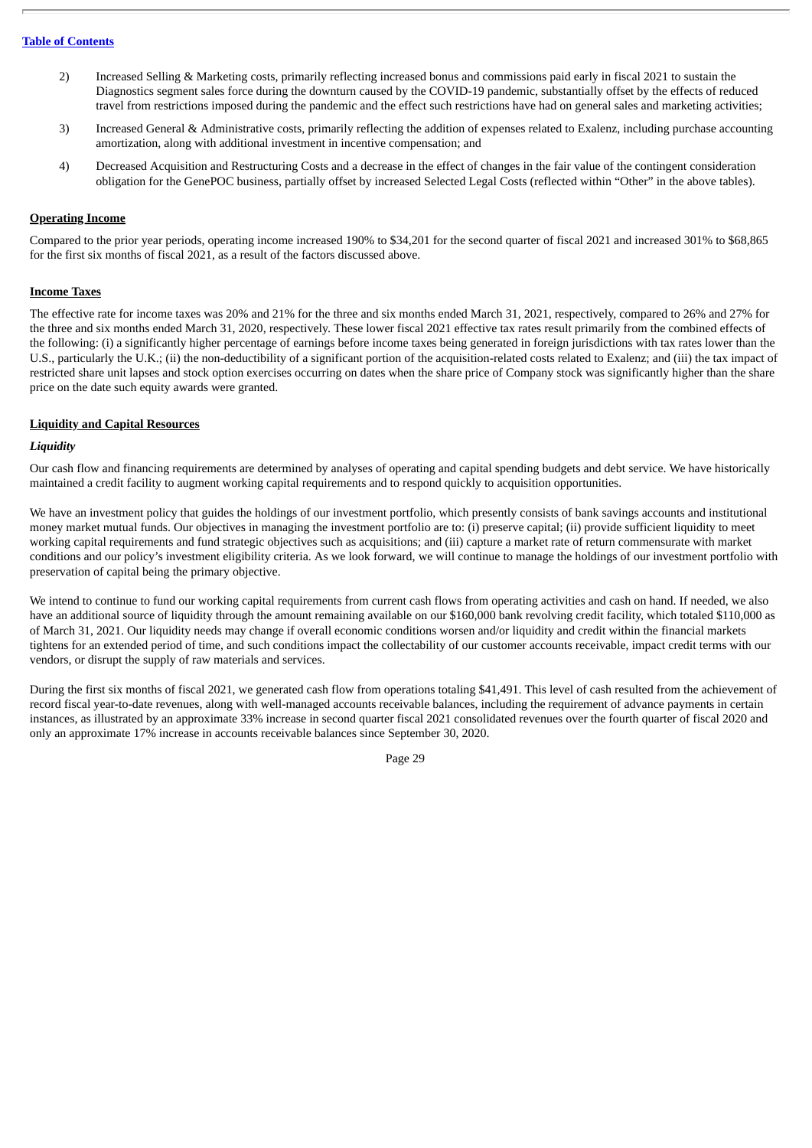- 2) Increased Selling & Marketing costs, primarily reflecting increased bonus and commissions paid early in fiscal 2021 to sustain the Diagnostics segment sales force during the downturn caused by the COVID-19 pandemic, substantially offset by the effects of reduced travel from restrictions imposed during the pandemic and the effect such restrictions have had on general sales and marketing activities;
- 3) Increased General & Administrative costs, primarily reflecting the addition of expenses related to Exalenz, including purchase accounting amortization, along with additional investment in incentive compensation; and
- 4) Decreased Acquisition and Restructuring Costs and a decrease in the effect of changes in the fair value of the contingent consideration obligation for the GenePOC business, partially offset by increased Selected Legal Costs (reflected within "Other" in the above tables).

#### **Operating Income**

Compared to the prior year periods, operating income increased 190% to \$34,201 for the second quarter of fiscal 2021 and increased 301% to \$68,865 for the first six months of fiscal 2021, as a result of the factors discussed above.

#### **Income Taxes**

The effective rate for income taxes was 20% and 21% for the three and six months ended March 31, 2021, respectively, compared to 26% and 27% for the three and six months ended March 31, 2020, respectively. These lower fiscal 2021 effective tax rates result primarily from the combined effects of the following: (i) a significantly higher percentage of earnings before income taxes being generated in foreign jurisdictions with tax rates lower than the U.S., particularly the U.K.; (ii) the non-deductibility of a significant portion of the acquisition-related costs related to Exalenz; and (iii) the tax impact of restricted share unit lapses and stock option exercises occurring on dates when the share price of Company stock was significantly higher than the share price on the date such equity awards were granted.

#### **Liquidity and Capital Resources**

#### *Liquidity*

Our cash flow and financing requirements are determined by analyses of operating and capital spending budgets and debt service. We have historically maintained a credit facility to augment working capital requirements and to respond quickly to acquisition opportunities.

We have an investment policy that guides the holdings of our investment portfolio, which presently consists of bank savings accounts and institutional money market mutual funds. Our objectives in managing the investment portfolio are to: (i) preserve capital; (ii) provide sufficient liquidity to meet working capital requirements and fund strategic objectives such as acquisitions; and (iii) capture a market rate of return commensurate with market conditions and our policy's investment eligibility criteria. As we look forward, we will continue to manage the holdings of our investment portfolio with preservation of capital being the primary objective.

We intend to continue to fund our working capital requirements from current cash flows from operating activities and cash on hand. If needed, we also have an additional source of liquidity through the amount remaining available on our \$160,000 bank revolving credit facility, which totaled \$110,000 as of March 31, 2021. Our liquidity needs may change if overall economic conditions worsen and/or liquidity and credit within the financial markets tightens for an extended period of time, and such conditions impact the collectability of our customer accounts receivable, impact credit terms with our vendors, or disrupt the supply of raw materials and services.

During the first six months of fiscal 2021, we generated cash flow from operations totaling \$41,491. This level of cash resulted from the achievement of record fiscal year-to-date revenues, along with well-managed accounts receivable balances, including the requirement of advance payments in certain instances, as illustrated by an approximate 33% increase in second quarter fiscal 2021 consolidated revenues over the fourth quarter of fiscal 2020 and only an approximate 17% increase in accounts receivable balances since September 30, 2020.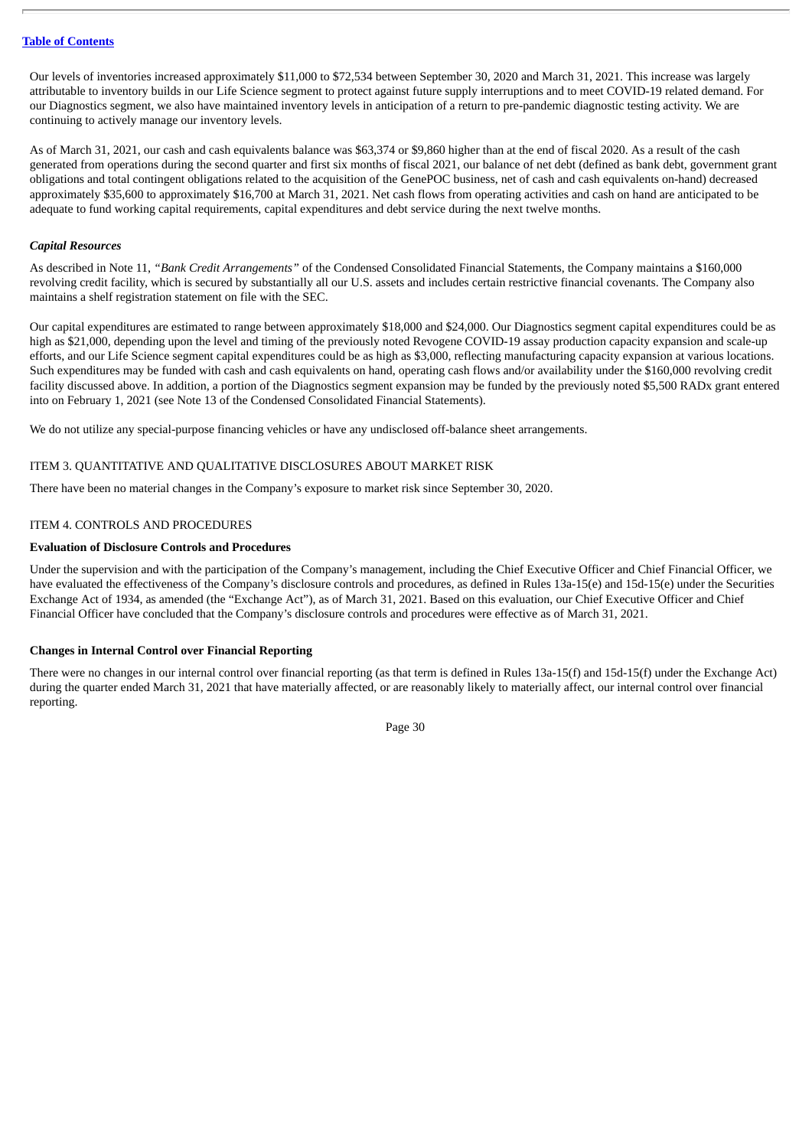Our levels of inventories increased approximately \$11,000 to \$72,534 between September 30, 2020 and March 31, 2021. This increase was largely attributable to inventory builds in our Life Science segment to protect against future supply interruptions and to meet COVID-19 related demand. For our Diagnostics segment, we also have maintained inventory levels in anticipation of a return to pre-pandemic diagnostic testing activity. We are continuing to actively manage our inventory levels.

As of March 31, 2021, our cash and cash equivalents balance was \$63,374 or \$9,860 higher than at the end of fiscal 2020. As a result of the cash generated from operations during the second quarter and first six months of fiscal 2021, our balance of net debt (defined as bank debt, government grant obligations and total contingent obligations related to the acquisition of the GenePOC business, net of cash and cash equivalents on-hand) decreased approximately \$35,600 to approximately \$16,700 at March 31, 2021. Net cash flows from operating activities and cash on hand are anticipated to be adequate to fund working capital requirements, capital expenditures and debt service during the next twelve months.

#### *Capital Resources*

As described in Note 11, *"Bank Credit Arrangements"* of the Condensed Consolidated Financial Statements, the Company maintains a \$160,000 revolving credit facility, which is secured by substantially all our U.S. assets and includes certain restrictive financial covenants. The Company also maintains a shelf registration statement on file with the SEC.

Our capital expenditures are estimated to range between approximately \$18,000 and \$24,000. Our Diagnostics segment capital expenditures could be as high as \$21,000, depending upon the level and timing of the previously noted Revogene COVID-19 assay production capacity expansion and scale-up efforts, and our Life Science segment capital expenditures could be as high as \$3,000, reflecting manufacturing capacity expansion at various locations. Such expenditures may be funded with cash and cash equivalents on hand, operating cash flows and/or availability under the \$160,000 revolving credit facility discussed above. In addition, a portion of the Diagnostics segment expansion may be funded by the previously noted \$5,500 RADx grant entered into on February 1, 2021 (see Note 13 of the Condensed Consolidated Financial Statements).

We do not utilize any special-purpose financing vehicles or have any undisclosed off-balance sheet arrangements.

#### <span id="page-33-0"></span>ITEM 3. QUANTITATIVE AND QUALITATIVE DISCLOSURES ABOUT MARKET RISK

There have been no material changes in the Company's exposure to market risk since September 30, 2020.

#### <span id="page-33-1"></span>ITEM 4. CONTROLS AND PROCEDURES

#### **Evaluation of Disclosure Controls and Procedures**

Under the supervision and with the participation of the Company's management, including the Chief Executive Officer and Chief Financial Officer, we have evaluated the effectiveness of the Company's disclosure controls and procedures, as defined in Rules 13a-15(e) and 15d-15(e) under the Securities Exchange Act of 1934, as amended (the "Exchange Act"), as of March 31, 2021. Based on this evaluation, our Chief Executive Officer and Chief Financial Officer have concluded that the Company's disclosure controls and procedures were effective as of March 31, 2021.

#### **Changes in Internal Control over Financial Reporting**

There were no changes in our internal control over financial reporting (as that term is defined in Rules 13a-15(f) and 15d-15(f) under the Exchange Act) during the quarter ended March 31, 2021 that have materially affected, or are reasonably likely to materially affect, our internal control over financial reporting.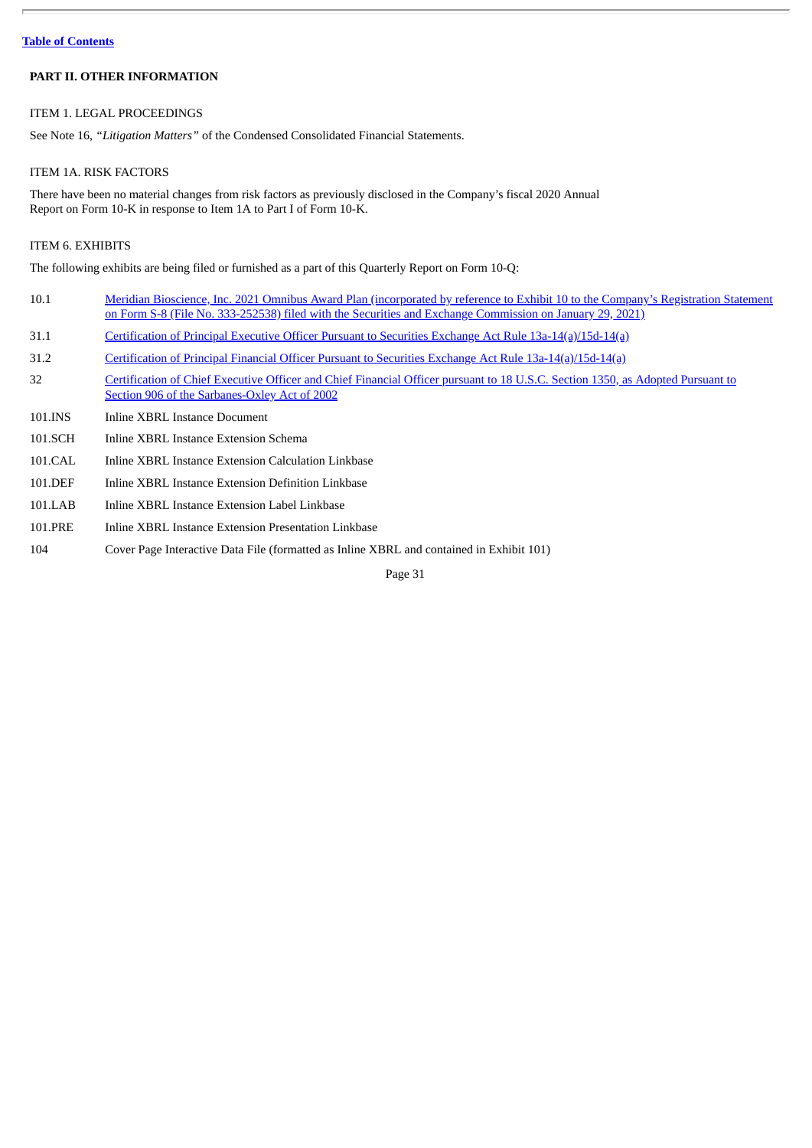#### <span id="page-34-0"></span>**PART II. OTHER INFORMATION**

#### <span id="page-34-1"></span>ITEM 1. LEGAL PROCEEDINGS

See Note 16, *"Litigation Matters"* of the Condensed Consolidated Financial Statements.

#### <span id="page-34-2"></span>ITEM 1A. RISK FACTORS

There have been no material changes from risk factors as previously disclosed in the Company's fiscal 2020 Annual Report on Form 10-K in response to Item 1A to Part I of Form 10-K.

# <span id="page-34-3"></span>ITEM 6. EXHIBITS

The following exhibits are being filed or furnished as a part of this Quarterly Report on Form 10-Q:

- 10.1 Meridian Bioscience, Inc. 2021 Omnibus Award Plan [\(incorporated](http://www.sec.gov/Archives/edgar/data/794172/000119312521021994/d34197dex10.htm) by reference to Exhibit 10 to the Company's Registration Statement on Form S-8 (File No. 333-252538) filed with the Securities and Exchange Commission on January 29, 2021)
- 31.1 Certification of Principal Executive Officer Pursuant to Securities Exchange Act Rule [13a-14\(a\)/15d-14\(a\)](#page-36-0)
- 31.2 Certification of Principal Financial Officer Pursuant to Securities Exchange Act Rule [13a-14\(a\)/15d-14\(a\)](#page-37-0)
- 32 Certification of Chief Executive Officer and Chief Financial Officer pursuant to 18 U.S.C. Section 1350, as Adopted Pursuant to Section 906 of the [Sarbanes-Oxley](#page-38-0) Act of 2002
- 101.INS Inline XBRL Instance Document
- 101.SCH Inline XBRL Instance Extension Schema
- 101.CAL Inline XBRL Instance Extension Calculation Linkbase
- 101.DEF Inline XBRL Instance Extension Definition Linkbase
- 101.LAB Inline XBRL Instance Extension Label Linkbase
- 101.PRE Inline XBRL Instance Extension Presentation Linkbase
- 104 Cover Page Interactive Data File (formatted as Inline XBRL and contained in Exhibit 101)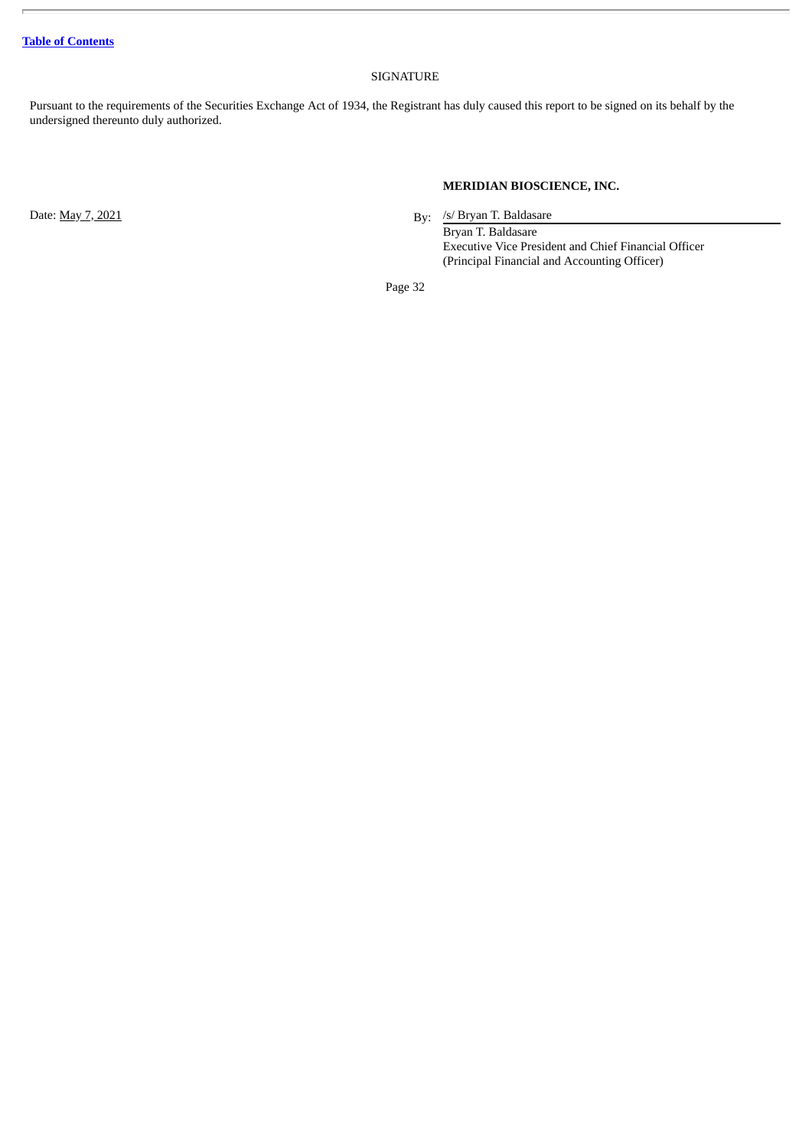### SIGNATURE

<span id="page-35-0"></span>Pursuant to the requirements of the Securities Exchange Act of 1934, the Registrant has duly caused this report to be signed on its behalf by the undersigned thereunto duly authorized.

## **MERIDIAN BIOSCIENCE, INC.**

By: /s/ Bryan T. Baldasare Bryan T. Baldasare Executive Vice President and Chief Financial Officer

(Principal Financial and Accounting Officer)

Page 32

Date: May 7, 2021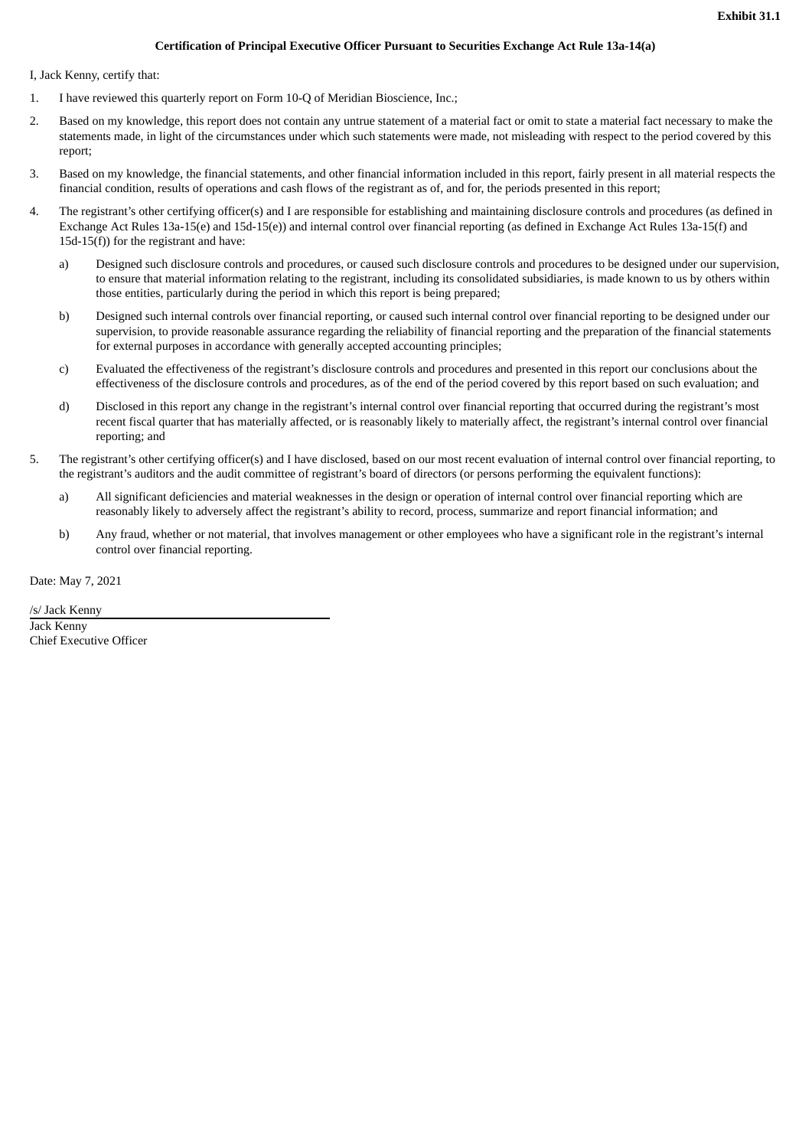#### **Certification of Principal Executive Officer Pursuant to Securities Exchange Act Rule 13a-14(a)**

<span id="page-36-0"></span>I, Jack Kenny, certify that:

- 1. I have reviewed this quarterly report on Form 10-Q of Meridian Bioscience, Inc.;
- 2. Based on my knowledge, this report does not contain any untrue statement of a material fact or omit to state a material fact necessary to make the statements made, in light of the circumstances under which such statements were made, not misleading with respect to the period covered by this report;
- 3. Based on my knowledge, the financial statements, and other financial information included in this report, fairly present in all material respects the financial condition, results of operations and cash flows of the registrant as of, and for, the periods presented in this report;
- 4. The registrant's other certifying officer(s) and I are responsible for establishing and maintaining disclosure controls and procedures (as defined in Exchange Act Rules 13a-15(e) and 15d-15(e)) and internal control over financial reporting (as defined in Exchange Act Rules 13a-15(f) and 15d-15(f)) for the registrant and have:
	- a) Designed such disclosure controls and procedures, or caused such disclosure controls and procedures to be designed under our supervision, to ensure that material information relating to the registrant, including its consolidated subsidiaries, is made known to us by others within those entities, particularly during the period in which this report is being prepared;
	- b) Designed such internal controls over financial reporting, or caused such internal control over financial reporting to be designed under our supervision, to provide reasonable assurance regarding the reliability of financial reporting and the preparation of the financial statements for external purposes in accordance with generally accepted accounting principles;
	- c) Evaluated the effectiveness of the registrant's disclosure controls and procedures and presented in this report our conclusions about the effectiveness of the disclosure controls and procedures, as of the end of the period covered by this report based on such evaluation; and
	- d) Disclosed in this report any change in the registrant's internal control over financial reporting that occurred during the registrant's most recent fiscal quarter that has materially affected, or is reasonably likely to materially affect, the registrant's internal control over financial reporting; and
- 5. The registrant's other certifying officer(s) and I have disclosed, based on our most recent evaluation of internal control over financial reporting, to the registrant's auditors and the audit committee of registrant's board of directors (or persons performing the equivalent functions):
	- a) All significant deficiencies and material weaknesses in the design or operation of internal control over financial reporting which are reasonably likely to adversely affect the registrant's ability to record, process, summarize and report financial information; and
	- b) Any fraud, whether or not material, that involves management or other employees who have a significant role in the registrant's internal control over financial reporting.

Date: May 7, 2021

/s/ Jack Kenny Jack Kenny Chief Executive Officer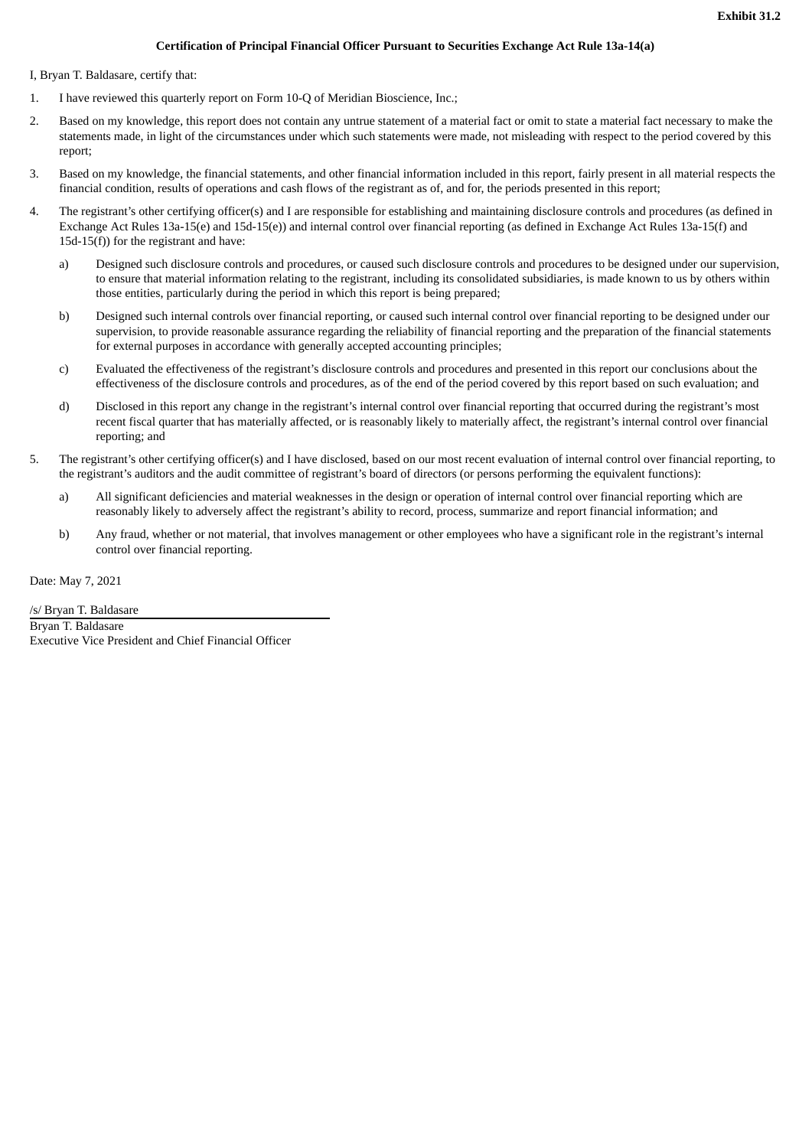#### **Certification of Principal Financial Officer Pursuant to Securities Exchange Act Rule 13a-14(a)**

<span id="page-37-0"></span>I, Bryan T. Baldasare, certify that:

- 1. I have reviewed this quarterly report on Form 10-Q of Meridian Bioscience, Inc.;
- 2. Based on my knowledge, this report does not contain any untrue statement of a material fact or omit to state a material fact necessary to make the statements made, in light of the circumstances under which such statements were made, not misleading with respect to the period covered by this report;
- 3. Based on my knowledge, the financial statements, and other financial information included in this report, fairly present in all material respects the financial condition, results of operations and cash flows of the registrant as of, and for, the periods presented in this report;
- 4. The registrant's other certifying officer(s) and I are responsible for establishing and maintaining disclosure controls and procedures (as defined in Exchange Act Rules 13a-15(e) and 15d-15(e)) and internal control over financial reporting (as defined in Exchange Act Rules 13a-15(f) and 15d-15(f)) for the registrant and have:
	- a) Designed such disclosure controls and procedures, or caused such disclosure controls and procedures to be designed under our supervision, to ensure that material information relating to the registrant, including its consolidated subsidiaries, is made known to us by others within those entities, particularly during the period in which this report is being prepared;
	- b) Designed such internal controls over financial reporting, or caused such internal control over financial reporting to be designed under our supervision, to provide reasonable assurance regarding the reliability of financial reporting and the preparation of the financial statements for external purposes in accordance with generally accepted accounting principles;
	- c) Evaluated the effectiveness of the registrant's disclosure controls and procedures and presented in this report our conclusions about the effectiveness of the disclosure controls and procedures, as of the end of the period covered by this report based on such evaluation; and
	- d) Disclosed in this report any change in the registrant's internal control over financial reporting that occurred during the registrant's most recent fiscal quarter that has materially affected, or is reasonably likely to materially affect, the registrant's internal control over financial reporting; and
- 5. The registrant's other certifying officer(s) and I have disclosed, based on our most recent evaluation of internal control over financial reporting, to the registrant's auditors and the audit committee of registrant's board of directors (or persons performing the equivalent functions):
	- a) All significant deficiencies and material weaknesses in the design or operation of internal control over financial reporting which are reasonably likely to adversely affect the registrant's ability to record, process, summarize and report financial information; and
	- b) Any fraud, whether or not material, that involves management or other employees who have a significant role in the registrant's internal control over financial reporting.

Date: May 7, 2021

/s/ Bryan T. Baldasare

Bryan T. Baldasare Executive Vice President and Chief Financial Officer